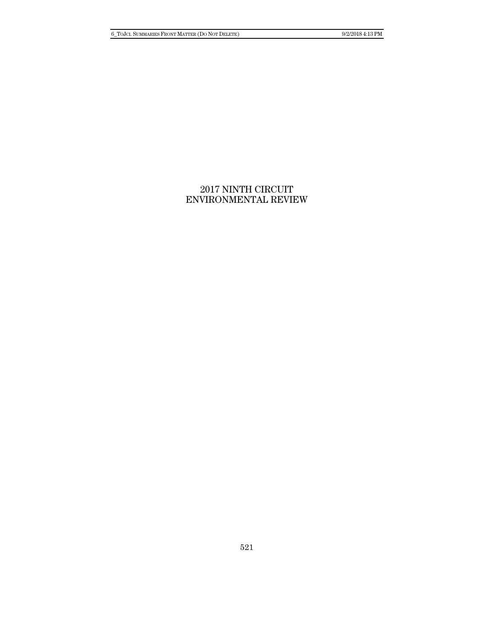# 2017 NINTH CIRCUIT ENVIRONMENTAL REVIEW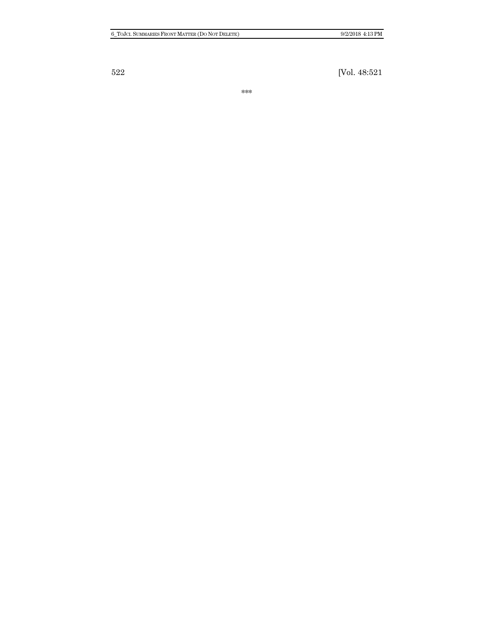$***$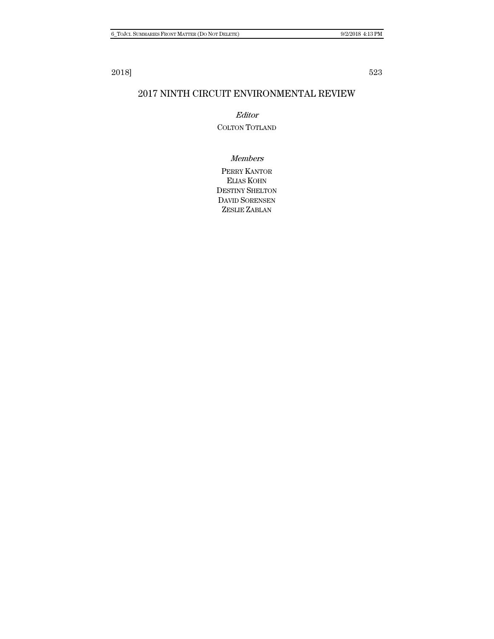# 2017 NINTH CIRCUIT ENVIRONMENTAL REVIEW

Editor COLTON TOTLAND

Members PERRY KANTOR ELIAS KOHN DESTINY SHELTON DAVID SORENSEN ZESLIE ZABLAN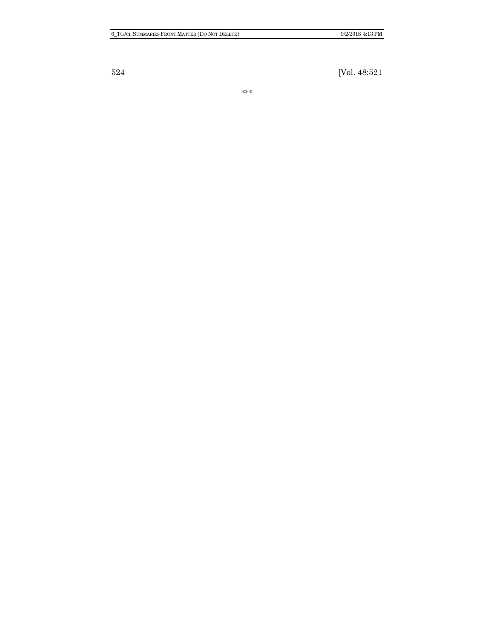$***$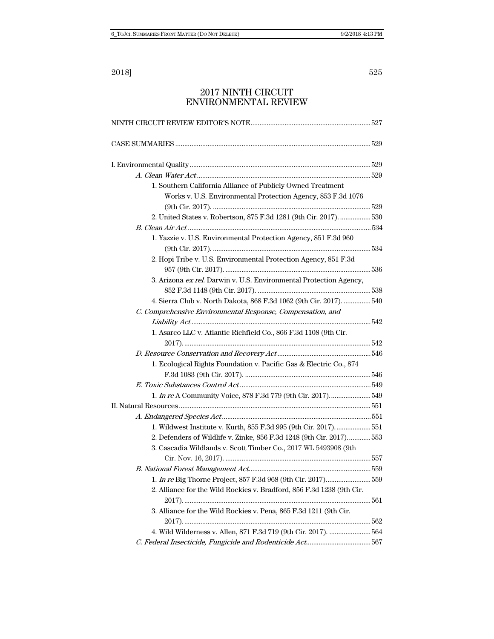# 2017 NINTH CIRCUIT ENVIRONMENTAL REVIEW

| 1. Southern California Alliance of Publicly Owned Treatment           |  |
|-----------------------------------------------------------------------|--|
| Works v. U.S. Environmental Protection Agency, 853 F.3d 1076          |  |
|                                                                       |  |
| 2. United States v. Robertson, 875 F.3d 1281 (9th Cir. 2017).  530    |  |
|                                                                       |  |
| 1. Yazzie v. U.S. Environmental Protection Agency, 851 F.3d 960       |  |
|                                                                       |  |
| 2. Hopi Tribe v. U.S. Environmental Protection Agency, 851 F.3d       |  |
|                                                                       |  |
| 3. Arizona ex rel. Darwin v. U.S. Environmental Protection Agency,    |  |
|                                                                       |  |
| 4. Sierra Club v. North Dakota, 868 F.3d 1062 (9th Cir. 2017).  540   |  |
| C. Comprehensive Environmental Response, Compensation, and            |  |
|                                                                       |  |
| 1. Asarco LLC v. Atlantic Richfield Co., 866 F.3d 1108 (9th Cir.      |  |
|                                                                       |  |
|                                                                       |  |
| 1. Ecological Rights Foundation v. Pacific Gas & Electric Co., 874    |  |
|                                                                       |  |
|                                                                       |  |
| 1. In re A Community Voice, 878 F.3d 779 (9th Cir. 2017)549           |  |
|                                                                       |  |
|                                                                       |  |
| 1. Wildwest Institute v. Kurth, 855 F.3d 995 (9th Cir. 2017)551       |  |
| 2. Defenders of Wildlife v. Zinke, 856 F.3d 1248 (9th Cir. 2017) 553  |  |
| 3. Cascadia Wildlands v. Scott Timber Co., 2017 WL 5493908 (9th       |  |
|                                                                       |  |
| 1. In re Big Thorne Project, 857 F.3d 968 (9th Cir. 2017)559          |  |
| 2. Alliance for the Wild Rockies v. Bradford, 856 F.3d 1238 (9th Cir. |  |
|                                                                       |  |
| 3. Alliance for the Wild Rockies v. Pena, 865 F.3d 1211 (9th Cir.     |  |
|                                                                       |  |
| 4. Wild Wilderness v. Allen, 871 F.3d 719 (9th Cir. 2017).  564       |  |
| C. Federal Insecticide, Fungicide and Rodenticide Act567              |  |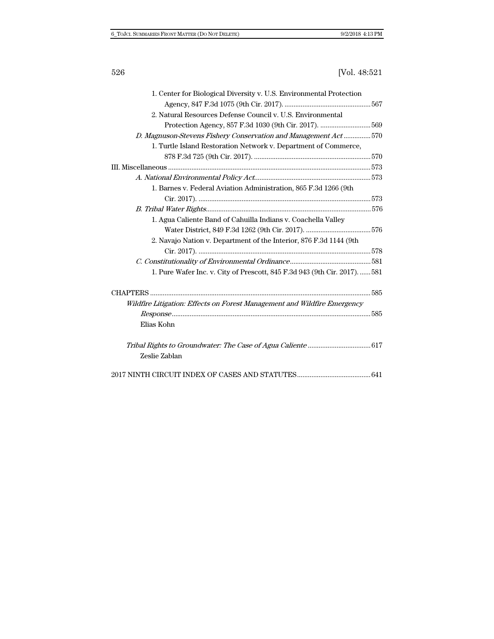| 1. Center for Biological Diversity v. U.S. Environmental Protection      |
|--------------------------------------------------------------------------|
|                                                                          |
| 2. Natural Resources Defense Council v. U.S. Environmental               |
| Protection Agency, 857 F.3d 1030 (9th Cir. 2017).  569                   |
| D. Magnuson-Stevens Fishery Conservation and Management Act570           |
| 1. Turtle Island Restoration Network v. Department of Commerce,          |
|                                                                          |
|                                                                          |
|                                                                          |
| 1. Barnes v. Federal Aviation Administration, 865 F.3d 1266 (9th         |
|                                                                          |
|                                                                          |
| 1. Agua Caliente Band of Cahuilla Indians v. Coachella Valley            |
|                                                                          |
| 2. Navajo Nation v. Department of the Interior, 876 F.3d 1144 (9th       |
|                                                                          |
|                                                                          |
| 1. Pure Wafer Inc. v. City of Prescott, 845 F.3d 943 (9th Cir. 2017) 581 |
|                                                                          |
|                                                                          |
| Wildfire Litigation: Effects on Forest Management and Wildfire Emergency |
|                                                                          |
| Elias Kohn                                                               |
|                                                                          |
| Zeslie Zablan                                                            |
|                                                                          |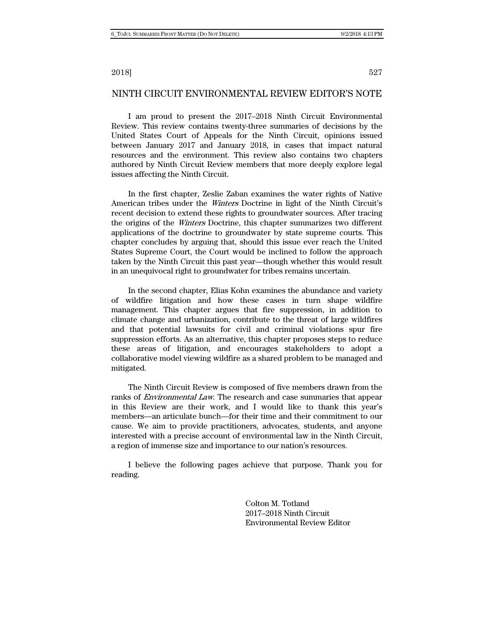# NINTH CIRCUIT ENVIRONMENTAL REVIEW EDITOR'S NOTE

I am proud to present the 2017–2018 Ninth Circuit Environmental Review. This review contains twenty-three summaries of decisions by the United States Court of Appeals for the Ninth Circuit, opinions issued between January 2017 and January 2018 , in cases that impact natural resources and the environment. This review also contains two chapters authored by Ninth Circuit Review members that more deeply explore legal issues affecting the Ninth Circuit.

In the first chapter, Zeslie Zaban examines the water rights of Native American tribes under the Winters Doctrine in light of the Ninth Circuit's recent decision to extend these rights to groundwater sources. After tracing the origins of the Winters Doctrine, this chapter summarizes two different applications of the doctrine to groundwater by state supreme courts. This chapter concludes by arguing that, should this issue ever reach the United States Supreme Court, the Court would be inclined to follow the approach taken by the Ninth Circuit this past year—though whether this would result in an unequivocal right to groundwater for tribes remains uncertain.

In the second chapter, Elias Kohn examines the abundance and variety of wildfire litigation and how these cases in turn shape wildfire management. This chapter argues that fire suppression, in addition to climate change and urbanization, contribute to the threat of large wildfires and that potential lawsuits for civil and criminal violations spur fire suppression efforts. As an alternative, this chapter proposes steps to reduce these areas of litigation, and encourages stakeholders to adopt a collaborative model viewing wildfire as a shared problem to be managed and mitigated.

The Ninth Circuit Review is composed of five members drawn from the ranks of Environmental Law. The research and case summaries that appear in this Review are their work, and I would like to thank this year's members—an articulate bunch—for their time and their commitment to our cause. We aim to provide practitioners, advocates, students, and anyone interested with a precise account of environmental law in the Ninth Circuit, a region of immense size and importance to our nation's resources.

I believe the following pages achieve that purpose. Thank you for reading.

> Colton M. Totland 2017–2018 Ninth Circuit Environmental Review Editor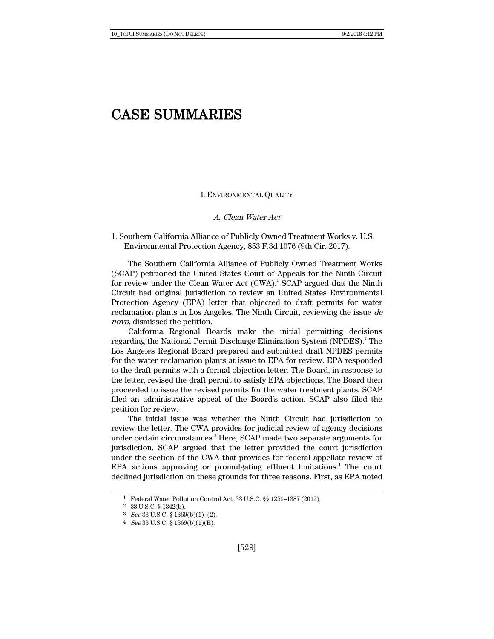# CASE SUMMARIES

I. ENVIRONMENTAL QUALITY

## A. Clean Water Act

1. Southern California Alliance of Publicly Owned Treatment Works v. U.S. Environmental Protection Agency, 853 F.3d 1076 (9th Cir. 2017).

The Southern California Alliance of Publicly Owned Treatment Works (SCAP) petitioned the United States Court of Appeals for the Ninth Circuit for review under the Clean Water Act (CWA).<sup>1</sup> SCAP argued that the Ninth Circuit had original jurisdiction to review an United States Environmental Protection Agency (EPA) letter that objected to draft permits for water reclamation plants in Los Angeles. The Ninth Circuit, reviewing the issue de novo, dismissed the petition.

California Regional Boards make the initial permitting decisions regarding the National Permit Discharge Elimination System (NPDES).<sup>2</sup> The Los Angeles Regional Board prepared and submitted draft NPDES permits for the water reclamation plants at issue to EPA for review. EPA responded to the draft permits with a formal objection letter. The Board, in response to the letter, revised the draft permit to satisfy EPA objections. The Board then proceeded to issue the revised permits for the water treatment plants. SCAP filed an administrative appeal of the Board's action. SCAP also filed the petition for review.

The initial issue was whether the Ninth Circuit had jurisdiction to review the letter. The CWA provides for judicial review of agency decisions under certain circumstances.<sup>3</sup> Here, SCAP made two separate arguments for jurisdiction. SCAP argued that the letter provided the court jurisdiction under the section of the CWA that provides for federal appellate review of EPA actions approving or promulgating effluent limitations.<sup>4</sup> The court declined jurisdiction on these grounds for three reasons. First, as EPA noted

<sup>1</sup> Federal Water Pollution Control Act, 33 U.S.C. §§ 1251–1387 (2012).

<sup>2 33</sup> U.S.C. § 1342(b).

 $3 \text{ See } 33 \text{ U.S.C. } $1369(b)(1) - (2).$ 

<sup>4</sup> See 33 U.S.C. § 1369(b)(1)(E).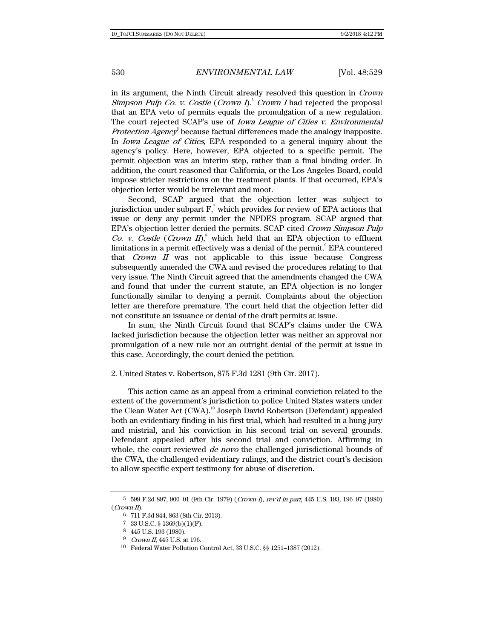in its argument, the Ninth Circuit already resolved this question in Crown Simpson Pulp Co. v. Costle (Crown I).<sup>5</sup> Crown I had rejected the proposal that an EPA veto of permits equals the promulgation of a new regulation. The court rejected SCAP's use of *Iowa League of Cities v. Environmental* Protection  $A$ gency<sup>6</sup> because factual differences made the analogy inapposite. In Iowa League of Cities, EPA responded to a general inquiry about the agency's policy. Here, however, EPA objected to a specific permit. The permit objection was an interim step, rather than a final binding order. In addition, the court reasoned that California, or the Los Angeles Board, could impose stricter restrictions on the treatment plants. If that occurred, EPA's objection letter would be irrelevant and moot.

Second, SCAP argued that the objection letter was subject to jurisdiction under subpart  $F<sub>i</sub><sup>7</sup>$  which provides for review of EPA actions that issue or deny any permit under the NPDES program. SCAP argued that EPA's objection letter denied the permits. SCAP cited Crown Simpson Pulp Co. v. Costle (Crown II),<sup>8</sup> which held that an EPA objection to effluent limitations in a permit effectively was a denial of the permit.<sup>9</sup> EPA countered that *Crown II* was not applicable to this issue because Congress subsequently amended the CWA and revised the procedures relating to that very issue. The Ninth Circuit agreed that the amendments changed the CWA and found that under the current statute, an EPA objection is no longer functionally similar to denying a permit. Complaints about the objection letter are therefore premature. The court held that the objection letter did not constitute an issuance or denial of the draft permits at issue.

In sum, the Ninth Circuit found that SCAP's claims under the CWA lacked jurisdiction because the objection letter was neither an approval nor promulgation of a new rule nor an outright denial of the permit at issue in this case. Accordingly, the court denied the petition.

## 2. United States v. Robertson, 875 F.3d 1281 (9th Cir. 2017).

This action came as an appeal from a criminal conviction related to the extent of the government's jurisdiction to police United States waters under the Clean Water Act (CWA).<sup>10</sup> Joseph David Robertson (Defendant) appealed both an evidentiary finding in his first trial, which had resulted in a hung jury and mistrial, and his conviction in his second trial on several grounds. Defendant appealed after his second trial and conviction. Affirming in whole, the court reviewed *de novo* the challenged jurisdictional bounds of the CWA, the challenged evidentiary rulings, and the district court's decision to allow specific expert testimony for abuse of discretion.

<sup>5 599</sup> F.2d 897, 900–01 (9th Cir. 1979) (Crown I), rev'd in part, 445 U.S. 193, 196–97 (1980)  $(Crown II)$ .

<sup>6 711</sup> F.3d 844, 863 (8th Cir. 2013).

<sup>7 33</sup> U.S.C. § 1369(b)(1)(F).

<sup>8 445</sup> U.S. 193 (1980).

<sup>9</sup> Crown II, 445 U.S. at 196.

<sup>10</sup> Federal Water Pollution Control Act, 33 U.S.C. §§ 1251–1387 (2012).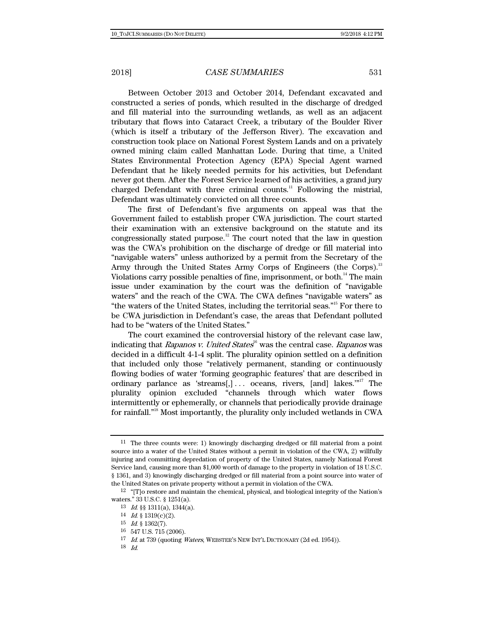Between October 2013 and October 2014, Defendant excavated and constructed a series of ponds, which resulted in the discharge of dredged and fill material into the surrounding wetlands, as well as an adjacent tributary that flows into Cataract Creek, a tributary of the Boulder River (which is itself a tributary of the Jefferson River). The excavation and construction took place on National Forest System Lands and on a privately owned mining claim called Manhattan Lode. During that time, a United States Environmental Protection Agency (EPA) Special Agent warned Defendant that he likely needed permits for his activities, but Defendant never got them. After the Forest Service learned of his activities, a grand jury charged Defendant with three criminal counts.<sup>11</sup> Following the mistrial, Defendant was ultimately convicted on all three counts.

The first of Defendant's five arguments on appeal was that the Government failed to establish proper CWA jurisdiction. The court started their examination with an extensive background on the statute and its congressionally stated purpose.12 The court noted that the law in question was the CWA's prohibition on the discharge of dredge or fill material into "navigable waters" unless authorized by a permit from the Secretary of the Army through the United States Army Corps of Engineers (the Corps).<sup>13</sup> Violations carry possible penalties of fine, imprisonment, or both.<sup>14</sup> The main issue under examination by the court was the definition of "navigable waters" and the reach of the CWA. The CWA defines "navigable waters" as "the waters of the United States, including the territorial seas."15 For there to be CWA jurisdiction in Defendant's case, the areas that Defendant polluted had to be "waters of the United States."

The court examined the controversial history of the relevant case law, indicating that Rapanos v. United States<sup>16</sup> was the central case. Rapanos was decided in a difficult 4-1-4 split. The plurality opinion settled on a definition that included only those "relatively permanent, standing or continuously flowing bodies of water 'forming geographic features' that are described in ordinary parlance as 'streams[,]... oceans, rivers, [and] lakes."<sup>17</sup> The plurality opinion excluded "channels through which water flows intermittently or ephemerally, or channels that periodically provide drainage for rainfall."18 Most importantly, the plurality only included wetlands in CWA

<sup>11</sup> The three counts were: 1) knowingly discharging dredged or fill material from a point source into a water of the United States without a permit in violation of the CWA, 2) willfully injuring and committing depredation of property of the United States, namely National Forest Service land, causing more than \$1,000 worth of damage to the property in violation of 18 U.S.C. § 1361, and 3) knowingly discharging dredged or fill material from a point source into water of the United States on private property without a permit in violation of the CWA.

<sup>12 &</sup>quot;[T]o restore and maintain the chemical, physical, and biological integrity of the Nation's waters." 33 U.S.C. § 1251(a).

 $13$  *Id.* §§ 1311(a), 1344(a).

<sup>14</sup>  $Id.$  § 1319(c)(2).

 $15$  *Id.* § 1362(7).

<sup>16 547</sup> U.S. 715 (2006).

<sup>17</sup> Id. at 739 (quoting Waters, WEBSTER'S NEW INT'L DICTIONARY (2d ed. 1954)).

<sup>18</sup> Id.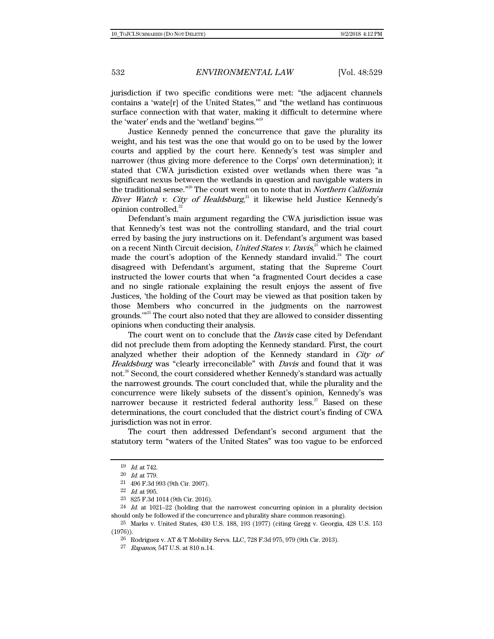jurisdiction if two specific conditions were met: "the adjacent channels contains a 'wate[r] of the United States,'" and "the wetland has continuous surface connection with that water, making it difficult to determine where the 'water' ends and the 'wetland' begins."19

Justice Kennedy penned the concurrence that gave the plurality its weight, and his test was the one that would go on to be used by the lower courts and applied by the court here. Kennedy's test was simpler and narrower (thus giving more deference to the Corps' own determination); it stated that CWA jurisdiction existed over wetlands when there was "a significant nexus between the wetlands in question and navigable waters in the traditional sense."<sup>20</sup> The court went on to note that in *Northern California* River Watch v. City of Healdsburg, $2^1$  it likewise held Justice Kennedy's opinion controlled.<sup>22</sup>

Defendant's main argument regarding the CWA jurisdiction issue was that Kennedy's test was not the controlling standard, and the trial court erred by basing the jury instructions on it. Defendant's argument was based on a recent Ninth Circuit decision, United States v. Davis,<sup>23</sup> which he claimed made the court's adoption of the Kennedy standard invalid.<sup>24</sup> The court disagreed with Defendant's argument, stating that the Supreme Court instructed the lower courts that when "a fragmented Court decides a case and no single rationale explaining the result enjoys the assent of five Justices, 'the holding of the Court may be viewed as that position taken by those Members who concurred in the judgments on the narrowest grounds.'"25 The court also noted that they are allowed to consider dissenting opinions when conducting their analysis.

The court went on to conclude that the *Davis* case cited by Defendant did not preclude them from adopting the Kennedy standard. First, the court analyzed whether their adoption of the Kennedy standard in City of Healdsburg was "clearly irreconcilable" with *Davis* and found that it was not.<sup>26</sup> Second, the court considered whether Kennedy's standard was actually the narrowest grounds. The court concluded that, while the plurality and the concurrence were likely subsets of the dissent's opinion, Kennedy's was narrower because it restricted federal authority less.<sup>27</sup> Based on these determinations, the court concluded that the district court's finding of CWA jurisdiction was not in error.

The court then addressed Defendant's second argument that the statutory term "waters of the United States" was too vague to be enforced

<sup>19</sup> Id. at 742.

<sup>20</sup> Id. at 779.

<sup>21 496</sup> F.3d 993 (9th Cir. 2007).

 $^{22}\,$   $\,$   $\!ld$  at 995.

<sup>23 825</sup> F.3d 1014 (9th Cir. 2016).

 $24$  *Id.* at 1021–22 (holding that the narrowest concurring opinion in a plurality decision should only be followed if the concurrence and plurality share common reasoning).

<sup>25</sup> Marks v. United States, 430 U.S. 188, 193 (1977) (citing Gregg v. Georgia, 428 U.S. 153 (1976)).

<sup>26</sup> Rodriguez v. AT & T Mobility Servs. LLC, 728 F.3d 975, 979 (9th Cir. 2013).

<sup>27</sup> Rapanos, 547 U.S. at 810 n.14.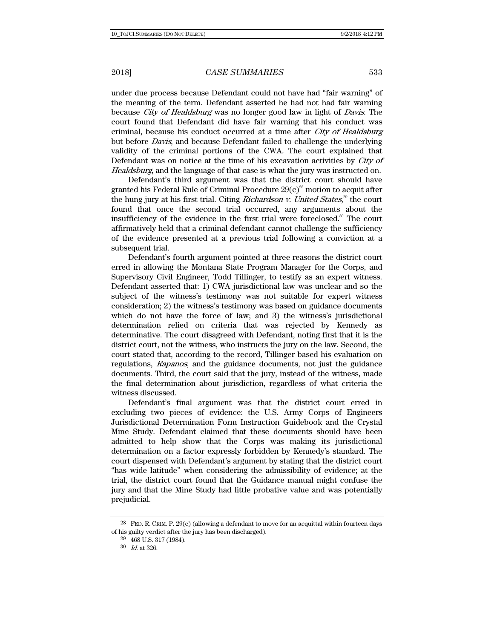under due process because Defendant could not have had "fair warning" of the meaning of the term. Defendant asserted he had not had fair warning because City of Healdsburg was no longer good law in light of Davis. The court found that Defendant did have fair warning that his conduct was criminal, because his conduct occurred at a time after City of Healdsburg but before Davis, and because Defendant failed to challenge the underlying validity of the criminal portions of the CWA. The court explained that Defendant was on notice at the time of his excavation activities by City of Healdsburg, and the language of that case is what the jury was instructed on.

Defendant's third argument was that the district court should have granted his Federal Rule of Criminal Procedure  $29(c)^{28}$  motion to acquit after the hung jury at his first trial. Citing *Richardson v. United States*,<sup>29</sup> the court found that once the second trial occurred, any arguments about the insufficiency of the evidence in the first trial were foreclosed.<sup>30</sup> The court affirmatively held that a criminal defendant cannot challenge the sufficiency of the evidence presented at a previous trial following a conviction at a subsequent trial.

Defendant's fourth argument pointed at three reasons the district court erred in allowing the Montana State Program Manager for the Corps, and Supervisory Civil Engineer, Todd Tillinger, to testify as an expert witness. Defendant asserted that: 1) CWA jurisdictional law was unclear and so the subject of the witness's testimony was not suitable for expert witness consideration; 2) the witness's testimony was based on guidance documents which do not have the force of law; and 3) the witness's jurisdictional determination relied on criteria that was rejected by Kennedy as determinative. The court disagreed with Defendant, noting first that it is the district court, not the witness, who instructs the jury on the law. Second, the court stated that, according to the record, Tillinger based his evaluation on regulations, Rapanos, and the guidance documents, not just the guidance documents. Third, the court said that the jury, instead of the witness, made the final determination about jurisdiction, regardless of what criteria the witness discussed.

Defendant's final argument was that the district court erred in excluding two pieces of evidence: the U.S. Army Corps of Engineers Jurisdictional Determination Form Instruction Guidebook and the Crystal Mine Study. Defendant claimed that these documents should have been admitted to help show that the Corps was making its jurisdictional determination on a factor expressly forbidden by Kennedy's standard. The court dispensed with Defendant's argument by stating that the district court "has wide latitude" when considering the admissibility of evidence; at the trial, the district court found that the Guidance manual might confuse the jury and that the Mine Study had little probative value and was potentially prejudicial.

<sup>&</sup>lt;sup>28</sup> FED. R. CRIM. P. 29(c) (allowing a defendant to move for an acquittal within fourteen days of his guilty verdict after the jury has been discharged).

<sup>29 468</sup> U.S. 317 (1984).

<sup>30</sup> Id. at 326.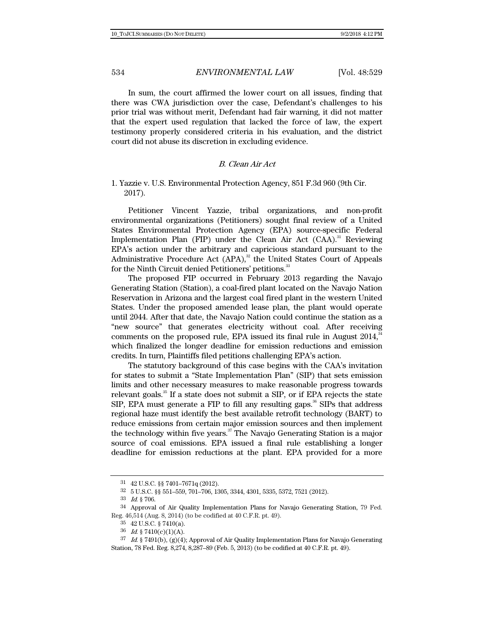In sum, the court affirmed the lower court on all issues, finding that there was CWA jurisdiction over the case, Defendant's challenges to his prior trial was without merit, Defendant had fair warning, it did not matter that the expert used regulation that lacked the force of law, the expert testimony properly considered criteria in his evaluation, and the district court did not abuse its discretion in excluding evidence.

#### B. Clean Air Act

## 1. Yazzie v. U.S. Environmental Protection Agency, 851 F.3d 960 (9th Cir. 2017).

Petitioner Vincent Yazzie, tribal organizations, and non-profit environmental organizations (Petitioners) sought final review of a United States Environmental Protection Agency (EPA) source-specific Federal Implementation Plan (FIP) under the Clean Air Act  $(CAA)$ .<sup>31</sup> Reviewing EPA's action under the arbitrary and capricious standard pursuant to the Administrative Procedure Act  $(APA)$ ,<sup>32</sup> the United States Court of Appeals for the Ninth Circuit denied Petitioners' petitions.<sup>33</sup>

The proposed FIP occurred in February 2013 regarding the Navajo Generating Station (Station), a coal-fired plant located on the Navajo Nation Reservation in Arizona and the largest coal fired plant in the western United States. Under the proposed amended lease plan, the plant would operate until 2044. After that date, the Navajo Nation could continue the station as a "new source" that generates electricity without coal. After receiving comments on the proposed rule, EPA issued its final rule in August  $2014$ ,<sup>34</sup> which finalized the longer deadline for emission reductions and emission credits. In turn, Plaintiffs filed petitions challenging EPA's action.

The statutory background of this case begins with the CAA's invitation for states to submit a "State Implementation Plan" (SIP) that sets emission limits and other necessary measures to make reasonable progress towards relevant goals.35 If a state does not submit a SIP, or if EPA rejects the state  $SIP$ , EPA must generate a FIP to fill any resulting gaps.<sup>36</sup> SIPs that address regional haze must identify the best available retrofit technology (BART) to reduce emissions from certain major emission sources and then implement the technology within five years. $37$  The Navajo Generating Station is a major source of coal emissions. EPA issued a final rule establishing a longer deadline for emission reductions at the plant. EPA provided for a more

<sup>31 42</sup> U.S.C. §§ 7401–7671q (2012).

<sup>32 5</sup> U.S.C. §§ 551–559, 701–706, 1305, 3344, 4301, 5335, 5372, 7521 (2012).

 $33$  *Id.* § 706.

<sup>34</sup> Approval of Air Quality Implementation Plans for Navajo Generating Station, 79 Fed. Reg. 46,514 (Aug. 8, 2014) (to be codified at 40 C.F.R. pt. 49).

<sup>35 42</sup> U.S.C. § 7410(a).

 $36$  *Id.* § 7410(c)(1)(A).

 $37$  *Id.* § 7491(b), (g)(4); Approval of Air Quality Implementation Plans for Navajo Generating Station, 78 Fed. Reg. 8,274, 8,287–89 (Feb. 5, 2013) (to be codified at 40 C.F.R. pt. 49).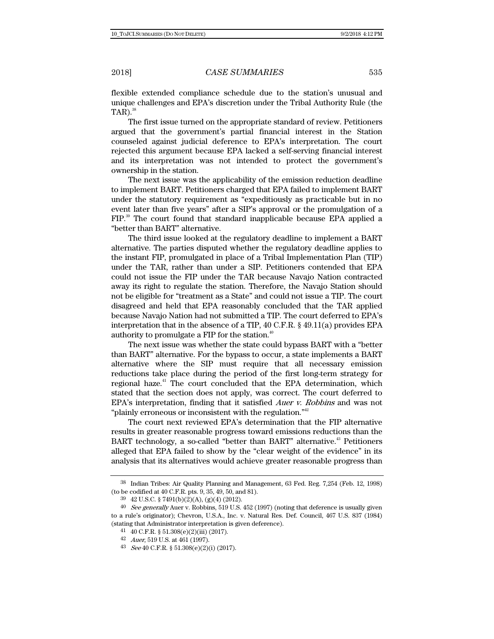flexible extended compliance schedule due to the station's unusual and unique challenges and EPA's discretion under the Tribal Authority Rule (the  $TAR$ ).  $38$ 

The first issue turned on the appropriate standard of review. Petitioners argued that the government's partial financial interest in the Station counseled against judicial deference to EPA's interpretation. The court rejected this argument because EPA lacked a self-serving financial interest and its interpretation was not intended to protect the government's ownership in the station.

The next issue was the applicability of the emission reduction deadline to implement BART. Petitioners charged that EPA failed to implement BART under the statutory requirement as "expeditiously as practicable but in no event later than five years" after a SIP's approval or the promulgation of a FIP.<sup>39</sup> The court found that standard inapplicable because EPA applied a "better than BART" alternative.

The third issue looked at the regulatory deadline to implement a BART alternative. The parties disputed whether the regulatory deadline applies to the instant FIP, promulgated in place of a Tribal Implementation Plan (TIP) under the TAR, rather than under a SIP. Petitioners contended that EPA could not issue the FIP under the TAR because Navajo Nation contracted away its right to regulate the station. Therefore, the Navajo Station should not be eligible for "treatment as a State" and could not issue a TIP. The court disagreed and held that EPA reasonably concluded that the TAR applied because Navajo Nation had not submitted a TIP. The court deferred to EPA's interpretation that in the absence of a TIP, 40 C.F.R. § 49.11(a) provides EPA authority to promulgate a FIP for the station. $40$ 

The next issue was whether the state could bypass BART with a "better than BART" alternative. For the bypass to occur, a state implements a BART alternative where the SIP must require that all necessary emission reductions take place during the period of the first long-term strategy for regional haze.<sup>41</sup> The court concluded that the EPA determination, which stated that the section does not apply, was correct. The court deferred to EPA's interpretation, finding that it satisfied *Auer v. Robbins* and was not "plainly erroneous or inconsistent with the regulation."<sup>42</sup>

The court next reviewed EPA's determination that the FIP alternative results in greater reasonable progress toward emissions reductions than the BART technology, a so-called "better than BART" alternative.<sup>43</sup> Petitioners alleged that EPA failed to show by the "clear weight of the evidence" in its analysis that its alternatives would achieve greater reasonable progress than

<sup>38</sup> Indian Tribes: Air Quality Planning and Management, 63 Fed. Reg. 7,254 (Feb. 12, 1998) (to be codified at 40 C.F.R. pts. 9, 35, 49, 50, and 81).

<sup>39 42</sup> U.S.C. § 7491(b)(2)(A), (g)(4) (2012).

<sup>&</sup>lt;sup>40</sup> See generally Auer v. Robbins, 519 U.S. 452 (1997) (noting that deference is usually given to a rule's originator); Chevron, U.S.A., Inc. v. Natural Res. Def. Council, 467 U.S. 837 (1984) (stating that Administrator interpretation is given deference).

<sup>41 40</sup> C.F.R. § 51.308(e)(2)(iii) (2017).

<sup>42</sup> Auer, 519 U.S. at 461 (1997).

<sup>43</sup>  $See 40$  C.F.R. § 51.308(e)(2)(i) (2017).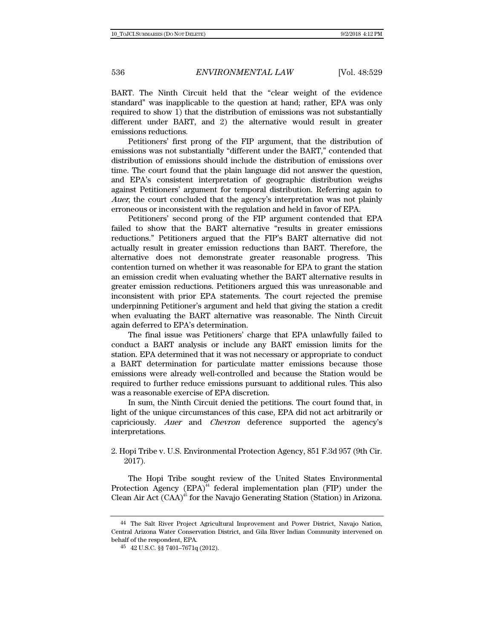BART. The Ninth Circuit held that the "clear weight of the evidence standard" was inapplicable to the question at hand; rather, EPA was only required to show 1) that the distribution of emissions was not substantially different under BART, and 2) the alternative would result in greater emissions reductions.

Petitioners' first prong of the FIP argument, that the distribution of emissions was not substantially "different under the BART," contended that distribution of emissions should include the distribution of emissions over time. The court found that the plain language did not answer the question, and EPA's consistent interpretation of geographic distribution weighs against Petitioners' argument for temporal distribution. Referring again to Auer, the court concluded that the agency's interpretation was not plainly erroneous or inconsistent with the regulation and held in favor of EPA.

Petitioners' second prong of the FIP argument contended that EPA failed to show that the BART alternative "results in greater emissions reductions." Petitioners argued that the FIP's BART alternative did not actually result in greater emission reductions than BART. Therefore, the alternative does not demonstrate greater reasonable progress. This contention turned on whether it was reasonable for EPA to grant the station an emission credit when evaluating whether the BART alternative results in greater emission reductions. Petitioners argued this was unreasonable and inconsistent with prior EPA statements. The court rejected the premise underpinning Petitioner's argument and held that giving the station a credit when evaluating the BART alternative was reasonable. The Ninth Circuit again deferred to EPA's determination.

The final issue was Petitioners' charge that EPA unlawfully failed to conduct a BART analysis or include any BART emission limits for the station. EPA determined that it was not necessary or appropriate to conduct a BART determination for particulate matter emissions because those emissions were already well-controlled and because the Station would be required to further reduce emissions pursuant to additional rules. This also was a reasonable exercise of EPA discretion.

In sum, the Ninth Circuit denied the petitions. The court found that, in light of the unique circumstances of this case, EPA did not act arbitrarily or capriciously. Auer and Chevron deference supported the agency's interpretations.

2. Hopi Tribe v. U.S. Environmental Protection Agency, 851 F.3d 957 (9th Cir. 2017).

The Hopi Tribe sought review of the United States Environmental Protection Agency  $(EPA)^4$  federal implementation plan (FIP) under the Clean Air Act  $(CAA)^{45}$  for the Navajo Generating Station (Station) in Arizona.

<sup>44</sup> The Salt River Project Agricultural Improvement and Power District, Navajo Nation, Central Arizona Water Conservation District, and Gila River Indian Community intervened on behalf of the respondent, EPA.

<sup>45 42</sup> U.S.C. §§ 7401–7671q (2012).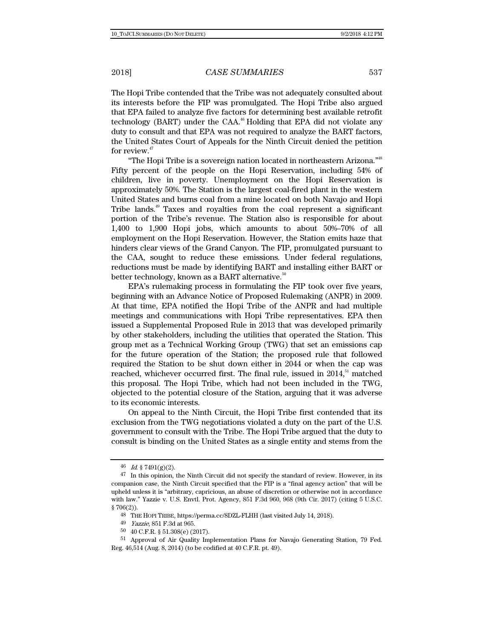The Hopi Tribe contended that the Tribe was not adequately consulted about its interests before the FIP was promulgated. The Hopi Tribe also argued that EPA failed to analyze five factors for determining best available retrofit technology (BART) under the CAA.<sup>46</sup> Holding that EPA did not violate any duty to consult and that EPA was not required to analyze the BART factors, the United States Court of Appeals for the Ninth Circuit denied the petition for review.<sup>47</sup>

"The Hopi Tribe is a sovereign nation located in northeastern Arizona."48 Fifty percent of the people on the Hopi Reservation, including 54% of children, live in poverty. Unemployment on the Hopi Reservation is approximately 50%. The Station is the largest coal-fired plant in the western United States and burns coal from a mine located on both Navajo and Hopi Tribe lands.49 Taxes and royalties from the coal represent a significant portion of the Tribe's revenue. The Station also is responsible for about 1,400 to 1,900 Hopi jobs, which amounts to about 50%–70% of all employment on the Hopi Reservation. However, the Station emits haze that hinders clear views of the Grand Canyon. The FIP, promulgated pursuant to the CAA, sought to reduce these emissions. Under federal regulations, reductions must be made by identifying BART and installing either BART or better technology, known as a BART alternative.<sup>50</sup>

EPA's rulemaking process in formulating the FIP took over five years, beginning with an Advance Notice of Proposed Rulemaking (ANPR) in 2009. At that time, EPA notified the Hopi Tribe of the ANPR and had multiple meetings and communications with Hopi Tribe representatives. EPA then issued a Supplemental Proposed Rule in 2013 that was developed primarily by other stakeholders, including the utilities that operated the Station. This group met as a Technical Working Group (TWG) that set an emissions cap for the future operation of the Station; the proposed rule that followed required the Station to be shut down either in 2044 or when the cap was reached, whichever occurred first. The final rule, issued in  $2014$ ,<sup>51</sup> matched this proposal. The Hopi Tribe, which had not been included in the TWG, objected to the potential closure of the Station, arguing that it was adverse to its economic interests.

On appeal to the Ninth Circuit, the Hopi Tribe first contended that its exclusion from the TWG negotiations violated a duty on the part of the U.S. government to consult with the Tribe. The Hopi Tribe argued that the duty to consult is binding on the United States as a single entity and stems from the

<sup>46</sup> Id. § 7491(g)(2).

<sup>&</sup>lt;sup>47</sup> In this opinion, the Ninth Circuit did not specify the standard of review. However, in its companion case, the Ninth Circuit specified that the FIP is a "final agency action" that will be upheld unless it is "arbitrary, capricious, an abuse of discretion or otherwise not in accordance with law." Yazzie v. U.S. Envtl. Prot. Agency, 851 F.3d 960, 968 (9th Cir. 2017) (citing 5 U.S.C.  $§ 706(2)$ .

<sup>48</sup> THE HOPI TRIBE, https://perma.cc/8DZL-FLHH (last visited July 14, 2018).

<sup>49</sup> Yazzie, 851 F.3d at 965.

<sup>50 40</sup> C.F.R. § 51.308(e) (2017).

<sup>51</sup> Approval of Air Quality Implementation Plans for Navajo Generating Station, 79 Fed. Reg. 46,514 (Aug. 8, 2014) (to be codified at 40 C.F.R. pt. 49).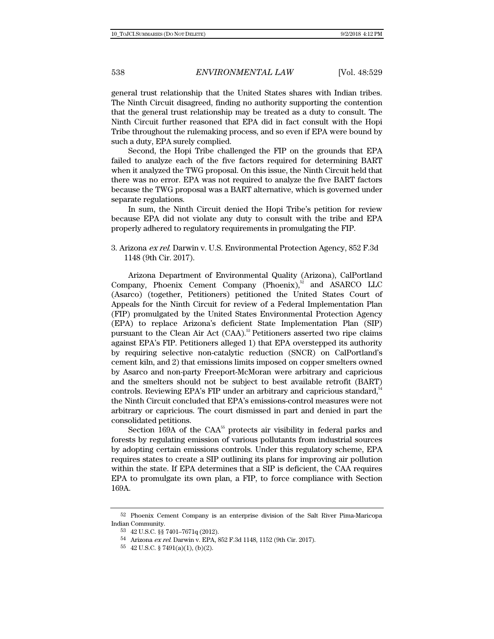general trust relationship that the United States shares with Indian tribes. The Ninth Circuit disagreed, finding no authority supporting the contention that the general trust relationship may be treated as a duty to consult. The Ninth Circuit further reasoned that EPA did in fact consult with the Hopi Tribe throughout the rulemaking process, and so even if EPA were bound by such a duty, EPA surely complied.

Second, the Hopi Tribe challenged the FIP on the grounds that EPA failed to analyze each of the five factors required for determining BART when it analyzed the TWG proposal. On this issue, the Ninth Circuit held that there was no error. EPA was not required to analyze the five BART factors because the TWG proposal was a BART alternative, which is governed under separate regulations.

In sum, the Ninth Circuit denied the Hopi Tribe's petition for review because EPA did not violate any duty to consult with the tribe and EPA properly adhered to regulatory requirements in promulgating the FIP.

Arizona Department of Environmental Quality (Arizona), CalPortland Company, Phoenix Cement Company (Phoenix), $52$  and ASARCO LLC (Asarco) (together, Petitioners) petitioned the United States Court of Appeals for the Ninth Circuit for review of a Federal Implementation Plan (FIP) promulgated by the United States Environmental Protection Agency (EPA) to replace Arizona's deficient State Implementation Plan (SIP) pursuant to the Clean Air Act (CAA).<sup>53</sup> Petitioners asserted two ripe claims against EPA's FIP. Petitioners alleged 1) that EPA overstepped its authority by requiring selective non-catalytic reduction (SNCR) on CalPortland's cement kiln, and 2) that emissions limits imposed on copper smelters owned by Asarco and non-party Freeport-McMoran were arbitrary and capricious and the smelters should not be subject to best available retrofit (BART) controls. Reviewing EPA's FIP under an arbitrary and capricious standard, $54$ the Ninth Circuit concluded that EPA's emissions-control measures were not arbitrary or capricious. The court dismissed in part and denied in part the consolidated petitions.

Section  $169A$  of the  $CAA^{55}$  protects air visibility in federal parks and forests by regulating emission of various pollutants from industrial sources by adopting certain emissions controls. Under this regulatory scheme, EPA requires states to create a SIP outlining its plans for improving air pollution within the state. If EPA determines that a SIP is deficient, the CAA requires EPA to promulgate its own plan, a FIP, to force compliance with Section 169A.

<sup>3.</sup> Arizona ex rel. Darwin v. U.S. Environmental Protection Agency, 852 F.3d 1148 (9th Cir. 2017).

<sup>52</sup> Phoenix Cement Company is an enterprise division of the Salt River Pima-Maricopa Indian Community.

<sup>53 42</sup> U.S.C. §§ 7401–7671q (2012).

<sup>54</sup> Arizona ex rel. Darwin v. EPA, 852 F.3d 1148, 1152 (9th Cir. 2017).

 $55 \quad 42 \text{ U.S.C. }$  § 7491(a)(1), (b)(2).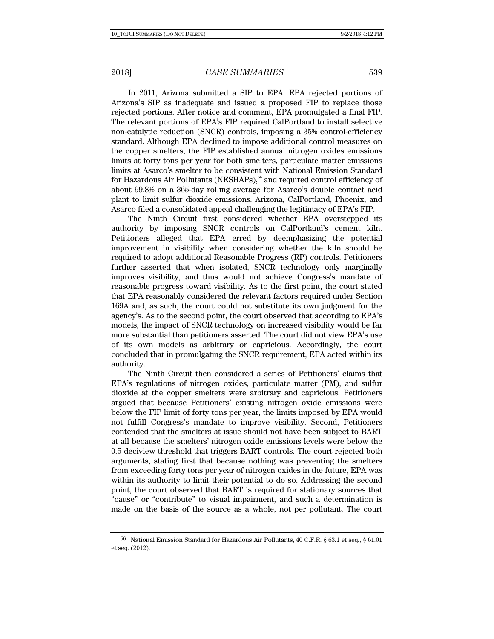In 2011, Arizona submitted a SIP to EPA. EPA rejected portions of Arizona's SIP as inadequate and issued a proposed FIP to replace those rejected portions. After notice and comment, EPA promulgated a final FIP. The relevant portions of EPA's FIP required CalPortland to install selective non-catalytic reduction (SNCR) controls, imposing a 35% control-efficiency standard. Although EPA declined to impose additional control measures on the copper smelters, the FIP established annual nitrogen oxides emissions limits at forty tons per year for both smelters, particulate matter emissions limits at Asarco's smelter to be consistent with National Emission Standard for Hazardous Air Pollutants (NESHAPs),<sup>56</sup> and required control efficiency of about 99.8% on a 365-day rolling average for Asarco's double contact acid plant to limit sulfur dioxide emissions. Arizona, CalPortland, Phoenix, and Asarco filed a consolidated appeal challenging the legitimacy of EPA's FIP.

The Ninth Circuit first considered whether EPA overstepped its authority by imposing SNCR controls on CalPortland's cement kiln. Petitioners alleged that EPA erred by deemphasizing the potential improvement in visibility when considering whether the kiln should be required to adopt additional Reasonable Progress (RP) controls. Petitioners further asserted that when isolated, SNCR technology only marginally improves visibility, and thus would not achieve Congress's mandate of reasonable progress toward visibility. As to the first point, the court stated that EPA reasonably considered the relevant factors required under Section 169A and, as such, the court could not substitute its own judgment for the agency's. As to the second point, the court observed that according to EPA's models, the impact of SNCR technology on increased visibility would be far more substantial than petitioners asserted. The court did not view EPA's use of its own models as arbitrary or capricious. Accordingly, the court concluded that in promulgating the SNCR requirement, EPA acted within its authority.

The Ninth Circuit then considered a series of Petitioners' claims that EPA's regulations of nitrogen oxides, particulate matter (PM), and sulfur dioxide at the copper smelters were arbitrary and capricious. Petitioners argued that because Petitioners' existing nitrogen oxide emissions were below the FIP limit of forty tons per year, the limits imposed by EPA would not fulfill Congress's mandate to improve visibility. Second, Petitioners contended that the smelters at issue should not have been subject to BART at all because the smelters' nitrogen oxide emissions levels were below the 0.5 deciview threshold that triggers BART controls. The court rejected both arguments, stating first that because nothing was preventing the smelters from exceeding forty tons per year of nitrogen oxides in the future, EPA was within its authority to limit their potential to do so. Addressing the second point, the court observed that BART is required for stationary sources that "cause" or "contribute" to visual impairment, and such a determination is made on the basis of the source as a whole, not per pollutant. The court

<sup>56</sup> National Emission Standard for Hazardous Air Pollutants, 40 C.F.R. § 63.1 et seq., § 61.01 et seq. (2012).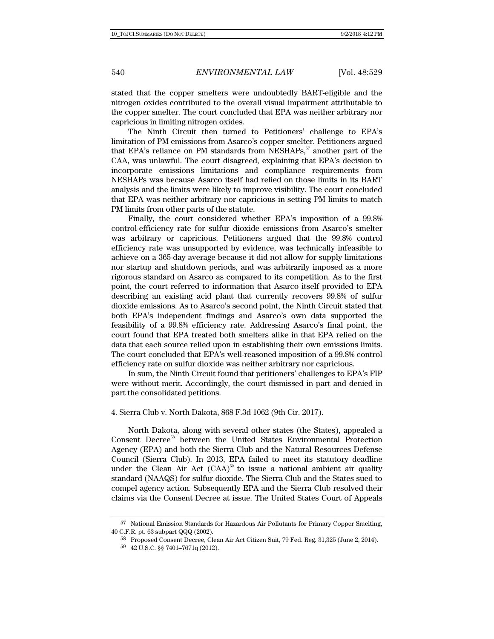stated that the copper smelters were undoubtedly BART-eligible and the nitrogen oxides contributed to the overall visual impairment attributable to the copper smelter. The court concluded that EPA was neither arbitrary nor capricious in limiting nitrogen oxides.

The Ninth Circuit then turned to Petitioners' challenge to EPA's limitation of PM emissions from Asarco's copper smelter. Petitioners argued that EPA's reliance on PM standards from NESHAPs,<sup>57</sup> another part of the CAA, was unlawful. The court disagreed, explaining that EPA's decision to incorporate emissions limitations and compliance requirements from NESHAPs was because Asarco itself had relied on those limits in its BART analysis and the limits were likely to improve visibility. The court concluded that EPA was neither arbitrary nor capricious in setting PM limits to match PM limits from other parts of the statute.

Finally, the court considered whether EPA's imposition of a 99.8% control-efficiency rate for sulfur dioxide emissions from Asarco's smelter was arbitrary or capricious. Petitioners argued that the 99.8% control efficiency rate was unsupported by evidence, was technically infeasible to achieve on a 365-day average because it did not allow for supply limitations nor startup and shutdown periods, and was arbitrarily imposed as a more rigorous standard on Asarco as compared to its competition. As to the first point, the court referred to information that Asarco itself provided to EPA describing an existing acid plant that currently recovers 99.8% of sulfur dioxide emissions. As to Asarco's second point, the Ninth Circuit stated that both EPA's independent findings and Asarco's own data supported the feasibility of a 99.8% efficiency rate. Addressing Asarco's final point, the court found that EPA treated both smelters alike in that EPA relied on the data that each source relied upon in establishing their own emissions limits. The court concluded that EPA's well-reasoned imposition of a 99.8% control efficiency rate on sulfur dioxide was neither arbitrary nor capricious.

In sum, the Ninth Circuit found that petitioners' challenges to EPA's FIP were without merit. Accordingly, the court dismissed in part and denied in part the consolidated petitions.

#### 4. Sierra Club v. North Dakota, 868 F.3d 1062 (9th Cir. 2017).

North Dakota, along with several other states (the States), appealed a Consent Decree<sup>58</sup> between the United States Environmental Protection Agency (EPA) and both the Sierra Club and the Natural Resources Defense Council (Sierra Club). In 2013, EPA failed to meet its statutory deadline under the Clean Air Act  $(CAA)^{59}$  to issue a national ambient air quality standard (NAAQS) for sulfur dioxide. The Sierra Club and the States sued to compel agency action. Subsequently EPA and the Sierra Club resolved their claims via the Consent Decree at issue. The United States Court of Appeals

<sup>57</sup> National Emission Standards for Hazardous Air Pollutants for Primary Copper Smelting, 40 C.F.R. pt. 63 subpart QQQ (2002).

<sup>58</sup> Proposed Consent Decree, Clean Air Act Citizen Suit, 79 Fed. Reg. 31,325 (June 2, 2014).

<sup>59 42</sup> U.S.C. §§ 7401–7671q (2012).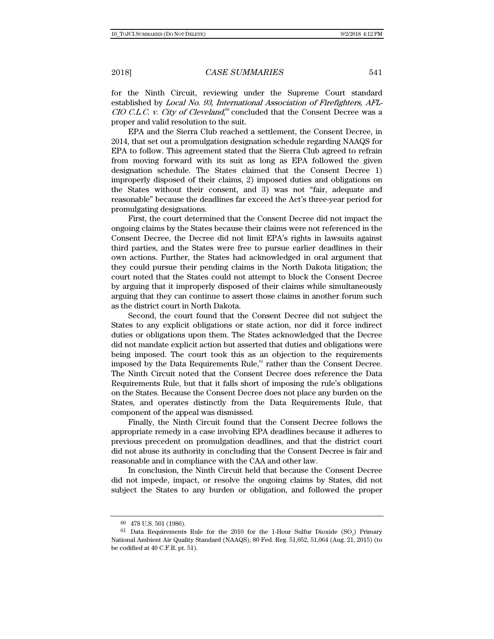for the Ninth Circuit, reviewing under the Supreme Court standard established by Local No. 93, International Association of Firefighters, AFL-CIO C.L.C. v. City of Cleveland, $60$  concluded that the Consent Decree was a proper and valid resolution to the suit.

EPA and the Sierra Club reached a settlement, the Consent Decree, in 2014, that set out a promulgation designation schedule regarding NAAQS for EPA to follow. This agreement stated that the Sierra Club agreed to refrain from moving forward with its suit as long as EPA followed the given designation schedule. The States claimed that the Consent Decree 1) improperly disposed of their claims, 2) imposed duties and obligations on the States without their consent, and 3) was not "fair, adequate and reasonable" because the deadlines far exceed the Act's three-year period for promulgating designations.

First, the court determined that the Consent Decree did not impact the ongoing claims by the States because their claims were not referenced in the Consent Decree, the Decree did not limit EPA's rights in lawsuits against third parties, and the States were free to pursue earlier deadlines in their own actions. Further, the States had acknowledged in oral argument that they could pursue their pending claims in the North Dakota litigation; the court noted that the States could not attempt to block the Consent Decree by arguing that it improperly disposed of their claims while simultaneously arguing that they can continue to assert those claims in another forum such as the district court in North Dakota.

Second, the court found that the Consent Decree did not subject the States to any explicit obligations or state action, nor did it force indirect duties or obligations upon them. The States acknowledged that the Decree did not mandate explicit action but asserted that duties and obligations were being imposed. The court took this as an objection to the requirements imposed by the Data Requirements Rule, $61$  rather than the Consent Decree. The Ninth Circuit noted that the Consent Decree does reference the Data Requirements Rule, but that it falls short of imposing the rule's obligations on the States. Because the Consent Decree does not place any burden on the States, and operates distinctly from the Data Requirements Rule, that component of the appeal was dismissed.

Finally, the Ninth Circuit found that the Consent Decree follows the appropriate remedy in a case involving EPA deadlines because it adheres to previous precedent on promulgation deadlines, and that the district court did not abuse its authority in concluding that the Consent Decree is fair and reasonable and in compliance with the CAA and other law.

In conclusion, the Ninth Circuit held that because the Consent Decree did not impede, impact, or resolve the ongoing claims by States, did not subject the States to any burden or obligation, and followed the proper

<sup>60 478</sup> U.S. 501 (1986).

 $61$  Data Requirements Rule for the 2010 for the 1-Hour Sulfur Dioxide (SO<sub>2</sub>) Primary National Ambient Air Quality Standard (NAAQS), 80 Fed. Reg. 51,052, 51,064 (Aug. 21, 2015) (to be codified at 40 C.F.R. pt. 51).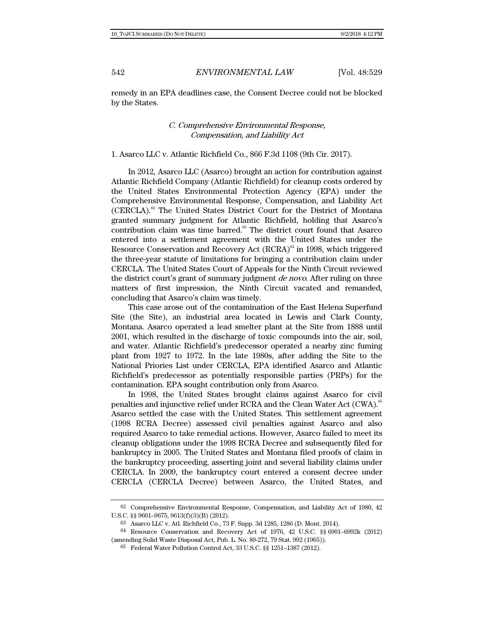remedy in an EPA deadlines case, the Consent Decree could not be blocked by the States.

# C. Comprehensive Environmental Response, Compensation, and Liability Act

## 1. Asarco LLC v. Atlantic Richfield Co., 866 F.3d 1108 (9th Cir. 2017).

In 2012, Asarco LLC (Asarco) brought an action for contribution against Atlantic Richfield Company (Atlantic Richfield) for cleanup costs ordered by the United States Environmental Protection Agency (EPA) under the Comprehensive Environmental Response, Compensation, and Liability Act (CERCLA).62 The United States District Court for the District of Montana granted summary judgment for Atlantic Richfield, holding that Asarco's contribution claim was time barred.<sup>63</sup> The district court found that Asarco entered into a settlement agreement with the United States under the Resource Conservation and Recovery Act  $(RCRA)^{64}$  in 1998, which triggered the three-year statute of limitations for bringing a contribution claim under CERCLA. The United States Court of Appeals for the Ninth Circuit reviewed the district court's grant of summary judgment de novo. After ruling on three matters of first impression, the Ninth Circuit vacated and remanded, concluding that Asarco's claim was timely.

This case arose out of the contamination of the East Helena Superfund Site (the Site), an industrial area located in Lewis and Clark County, Montana. Asarco operated a lead smelter plant at the Site from 1888 until 2001, which resulted in the discharge of toxic compounds into the air, soil, and water. Atlantic Richfield's predecessor operated a nearby zinc fuming plant from 1927 to 1972. In the late 1980s, after adding the Site to the National Priories List under CERCLA, EPA identified Asarco and Atlantic Richfield's predecessor as potentially responsible parties (PRPs) for the contamination. EPA sought contribution only from Asarco.

In 1998, the United States brought claims against Asarco for civil penalties and injunctive relief under RCRA and the Clean Water Act (CWA).<sup>65</sup> Asarco settled the case with the United States. This settlement agreement (1998 RCRA Decree) assessed civil penalties against Asarco and also required Asarco to take remedial actions. However, Asarco failed to meet its cleanup obligations under the 1998 RCRA Decree and subsequently filed for bankruptcy in 2005. The United States and Montana filed proofs of claim in the bankruptcy proceeding, asserting joint and several liability claims under CERCLA. In 2009, the bankruptcy court entered a consent decree under CERCLA (CERCLA Decree) between Asarco, the United States, and

<sup>62</sup> Comprehensive Environmental Response, Compensation, and Liability Act of 1980, 42 U.S.C. §§ 9601–9675, 9613(f)(3)(B) (2012).

<sup>63</sup> Asarco LLC v. Atl. Richfield Co., 73 F. Supp. 3d 1285, 1286 (D. Mont. 2014).

<sup>64</sup> Resource Conservation and Recovery Act of 1976, 42 U.S.C. §§ 6901–6992k (2012) (amending Solid Waste Disposal Act, Pub. L. No. 89-272, 79 Stat. 992 (1965)).

<sup>65</sup> Federal Water Pollution Control Act, 33 U.S.C. §§ 1251–1387 (2012).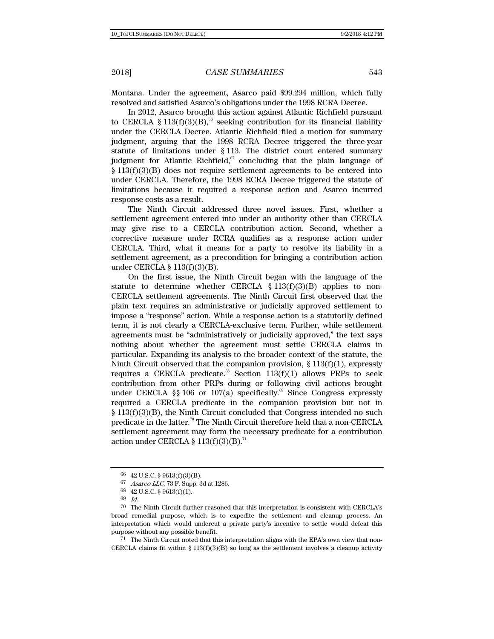Montana. Under the agreement, Asarco paid \$99.294 million, which fully resolved and satisfied Asarco's obligations under the 1998 RCRA Decree.

In 2012, Asarco brought this action against Atlantic Richfield pursuant to CERCLA § 113(f)(3)(B),<sup>66</sup> seeking contribution for its financial liability under the CERCLA Decree. Atlantic Richfield filed a motion for summary judgment, arguing that the 1998 RCRA Decree triggered the three-year statute of limitations under § 113. The district court entered summary judgment for Atlantic Richfield, $67$  concluding that the plain language of § 113(f)(3)(B) does not require settlement agreements to be entered into under CERCLA. Therefore, the 1998 RCRA Decree triggered the statute of limitations because it required a response action and Asarco incurred response costs as a result.

The Ninth Circuit addressed three novel issues. First, whether a settlement agreement entered into under an authority other than CERCLA may give rise to a CERCLA contribution action. Second, whether a corrective measure under RCRA qualifies as a response action under CERCLA. Third, what it means for a party to resolve its liability in a settlement agreement, as a precondition for bringing a contribution action under CERCLA § 113(f)(3)(B).

On the first issue, the Ninth Circuit began with the language of the statute to determine whether CERCLA  $\S 113(f)(3)(B)$  applies to non-CERCLA settlement agreements. The Ninth Circuit first observed that the plain text requires an administrative or judicially approved settlement to impose a "response" action. While a response action is a statutorily defined term, it is not clearly a CERCLA-exclusive term. Further, while settlement agreements must be "administratively or judicially approved," the text says nothing about whether the agreement must settle CERCLA claims in particular. Expanding its analysis to the broader context of the statute, the Ninth Circuit observed that the companion provision,  $\S 113(f)(1)$ , expressly requires a CERCLA predicate.<sup>68</sup> Section  $113(f)(1)$  allows PRPs to seek contribution from other PRPs during or following civil actions brought under CERCLA §§ 106 or 107(a) specifically.<sup>69</sup> Since Congress expressly required a CERCLA predicate in the companion provision but not in § 113(f)(3)(B), the Ninth Circuit concluded that Congress intended no such predicate in the latter.70 The Ninth Circuit therefore held that a non-CERCLA settlement agreement may form the necessary predicate for a contribution action under CERCLA §  $113(f)(3)(B)$ .<sup>71</sup>

71 The Ninth Circuit noted that this interpretation aligns with the EPA's own view that non-CERCLA claims fit within  $\S 113(f)(3)(B)$  so long as the settlement involves a cleanup activity

<sup>66 42</sup> U.S.C. § 9613(f)(3)(B).

<sup>67</sup> Asarco LLC, 73 F. Supp. 3d at 1286.

<sup>68 42</sup> U.S.C. § 9613(f)(1).

<sup>69</sup> Id.

<sup>70</sup> The Ninth Circuit further reasoned that this interpretation is consistent with CERCLA's broad remedial purpose, which is to expedite the settlement and cleanup process. An interpretation which would undercut a private party's incentive to settle would defeat this purpose without any possible benefit.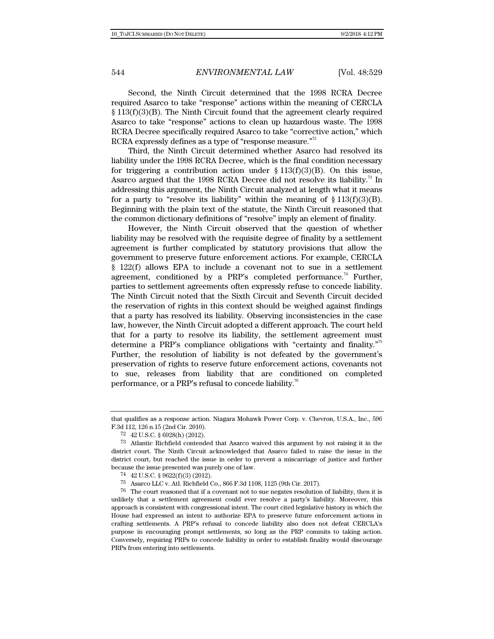Second, the Ninth Circuit determined that the 1998 RCRA Decree required Asarco to take "response" actions within the meaning of CERCLA § 113(f)(3)(B). The Ninth Circuit found that the agreement clearly required Asarco to take "response" actions to clean up hazardous waste. The 1998 RCRA Decree specifically required Asarco to take "corrective action," which RCRA expressly defines as a type of "response measure."<sup>72</sup>

Third, the Ninth Circuit determined whether Asarco had resolved its liability under the 1998 RCRA Decree, which is the final condition necessary for triggering a contribution action under  $\S 113(f)(3)(B)$ . On this issue, Asarco argued that the 1998 RCRA Decree did not resolve its liability.<sup>73</sup> In addressing this argument, the Ninth Circuit analyzed at length what it means for a party to "resolve its liability" within the meaning of  $\S 113(f)(3)(B)$ . Beginning with the plain text of the statute, the Ninth Circuit reasoned that the common dictionary definitions of "resolve" imply an element of finality.

However, the Ninth Circuit observed that the question of whether liability may be resolved with the requisite degree of finality by a settlement agreement is further complicated by statutory provisions that allow the government to preserve future enforcement actions. For example, CERCLA § 122(f) allows EPA to include a covenant not to sue in a settlement agreement, conditioned by a PRP's completed performance.<sup>74</sup> Further, parties to settlement agreements often expressly refuse to concede liability. The Ninth Circuit noted that the Sixth Circuit and Seventh Circuit decided the reservation of rights in this context should be weighed against findings that a party has resolved its liability. Observing inconsistencies in the case law, however, the Ninth Circuit adopted a different approach. The court held that for a party to resolve its liability, the settlement agreement must determine a PRP's compliance obligations with "certainty and finality."75 Further, the resolution of liability is not defeated by the government's preservation of rights to reserve future enforcement actions, covenants not to sue, releases from liability that are conditioned on completed performance, or a PRP's refusal to concede liability.<sup>76</sup>

that qualifies as a response action. Niagara Mohawk Power Corp. v. Chevron, U.S.A., Inc., 596 F.3d 112, 126 n.15 (2nd Cir. 2010).

<sup>72 42</sup> U.S.C. § 6928(h) (2012).

<sup>73</sup> Atlantic Richfield contended that Asarco waived this argument by not raising it in the district court. The Ninth Circuit acknowledged that Asarco failed to raise the issue in the district court, but reached the issue in order to prevent a miscarriage of justice and further because the issue presented was purely one of law.

<sup>74 42</sup> U.S.C. § 9622(f)(3) (2012).

<sup>75</sup> Asarco LLC v. Atl. Richfield Co., 866 F.3d 1108, 1125 (9th Cir. 2017).

 $^{76}\,$  The court reasoned that if a covenant not to sue negates resolution of liability, then it is unlikely that a settlement agreement could ever resolve a party's liability. Moreover, this approach is consistent with congressional intent. The court cited legislative history in which the House had expressed an intent to authorize EPA to preserve future enforcement actions in crafting settlements. A PRP's refusal to concede liability also does not defeat CERCLA's purpose in encouraging prompt settlements, so long as the PRP commits to taking action. Conversely, requiring PRPs to concede liability in order to establish finality would discourage PRPs from entering into settlements.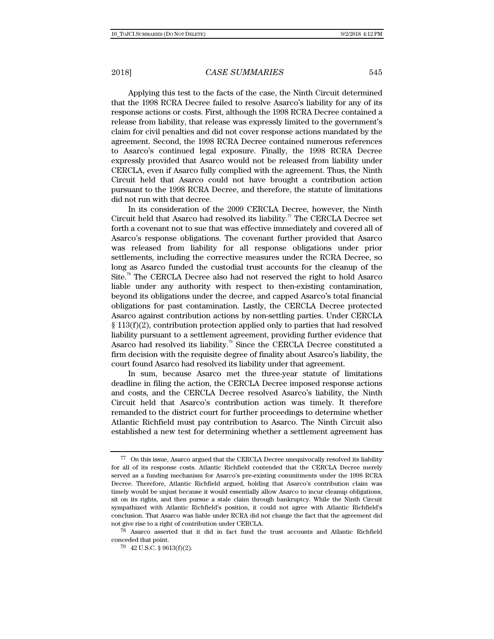Applying this test to the facts of the case, the Ninth Circuit determined that the 1998 RCRA Decree failed to resolve Asarco's liability for any of its response actions or costs. First, although the 1998 RCRA Decree contained a release from liability, that release was expressly limited to the government's claim for civil penalties and did not cover response actions mandated by the agreement. Second, the 1998 RCRA Decree contained numerous references to Asarco's continued legal exposure. Finally, the 1998 RCRA Decree expressly provided that Asarco would not be released from liability under CERCLA, even if Asarco fully complied with the agreement. Thus, the Ninth Circuit held that Asarco could not have brought a contribution action pursuant to the 1998 RCRA Decree, and therefore, the statute of limitations did not run with that decree.

In its consideration of the 2009 CERCLA Decree, however, the Ninth Circuit held that Asarco had resolved its liability.<sup>77</sup> The CERCLA Decree set forth a covenant not to sue that was effective immediately and covered all of Asarco's response obligations. The covenant further provided that Asarco was released from liability for all response obligations under prior settlements, including the corrective measures under the RCRA Decree, so long as Asarco funded the custodial trust accounts for the cleanup of the Site.<sup>78</sup> The CERCLA Decree also had not reserved the right to hold Asarco liable under any authority with respect to then-existing contamination, beyond its obligations under the decree, and capped Asarco's total financial obligations for past contamination. Lastly, the CERCLA Decree protected Asarco against contribution actions by non-settling parties. Under CERCLA § 113(f)(2), contribution protection applied only to parties that had resolved liability pursuant to a settlement agreement, providing further evidence that Asarco had resolved its liability.<sup>79</sup> Since the CERCLA Decree constituted a firm decision with the requisite degree of finality about Asarco's liability, the court found Asarco had resolved its liability under that agreement.

In sum, because Asarco met the three-year statute of limitations deadline in filing the action, the CERCLA Decree imposed response actions and costs, and the CERCLA Decree resolved Asarco's liability, the Ninth Circuit held that Asarco's contribution action was timely. It therefore remanded to the district court for further proceedings to determine whether Atlantic Richfield must pay contribution to Asarco. The Ninth Circuit also established a new test for determining whether a settlement agreement has

<sup>77</sup> On this issue, Asarco argued that the CERCLA Decree unequivocally resolved its liability for all of its response costs. Atlantic Richfield contended that the CERCLA Decree merely served as a funding mechanism for Asarco's pre-existing commitments under the 1998 RCRA Decree. Therefore, Atlantic Richfield argued, holding that Asarco's contribution claim was timely would be unjust because it would essentially allow Asarco to incur cleanup obligations, sit on its rights, and then pursue a stale claim through bankruptcy. While the Ninth Circuit sympathized with Atlantic Richfield's position, it could not agree with Atlantic Richfield's conclusion. That Asarco was liable under RCRA did not change the fact that the agreement did not give rise to a right of contribution under CERCLA.

<sup>78</sup> Asarco asserted that it did in fact fund the trust accounts and Atlantic Richfield conceded that point.

<sup>79 42</sup> U.S.C. § 9613(f)(2).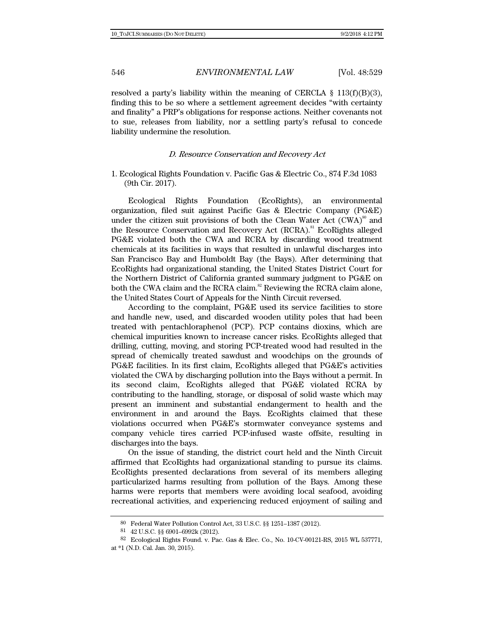resolved a party's liability within the meaning of CERCLA  $\S$  113(f)(B)(3), finding this to be so where a settlement agreement decides "with certainty and finality" a PRP's obligations for response actions. Neither covenants not to sue, releases from liability, nor a settling party's refusal to concede liability undermine the resolution.

## D. Resource Conservation and Recovery Act

1. Ecological Rights Foundation v. Pacific Gas & Electric Co., 874 F.3d 1083 (9th Cir. 2017).

Ecological Rights Foundation (EcoRights), an environmental organization, filed suit against Pacific Gas & Electric Company (PG&E) under the citizen suit provisions of both the Clean Water Act  $(CWA)^{80}$  and the Resource Conservation and Recovery Act (RCRA).<sup>81</sup> EcoRights alleged PG&E violated both the CWA and RCRA by discarding wood treatment chemicals at its facilities in ways that resulted in unlawful discharges into San Francisco Bay and Humboldt Bay (the Bays). After determining that EcoRights had organizational standing, the United States District Court for the Northern District of California granted summary judgment to PG&E on both the CWA claim and the RCRA claim.<sup>82</sup> Reviewing the RCRA claim alone, the United States Court of Appeals for the Ninth Circuit reversed.

According to the complaint, PG&E used its service facilities to store and handle new, used, and discarded wooden utility poles that had been treated with pentachloraphenol (PCP). PCP contains dioxins, which are chemical impurities known to increase cancer risks. EcoRights alleged that drilling, cutting, moving, and storing PCP-treated wood had resulted in the spread of chemically treated sawdust and woodchips on the grounds of PG&E facilities. In its first claim, EcoRights alleged that PG&E's activities violated the CWA by discharging pollution into the Bays without a permit. In its second claim, EcoRights alleged that PG&E violated RCRA by contributing to the handling, storage, or disposal of solid waste which may present an imminent and substantial endangerment to health and the environment in and around the Bays. EcoRights claimed that these violations occurred when PG&E's stormwater conveyance systems and company vehicle tires carried PCP-infused waste offsite, resulting in discharges into the bays.

On the issue of standing, the district court held and the Ninth Circuit affirmed that EcoRights had organizational standing to pursue its claims. EcoRights presented declarations from several of its members alleging particularized harms resulting from pollution of the Bays. Among these harms were reports that members were avoiding local seafood, avoiding recreational activities, and experiencing reduced enjoyment of sailing and

<sup>80</sup> Federal Water Pollution Control Act, 33 U.S.C. §§ 1251–1387 (2012).

<sup>81 42</sup> U.S.C. §§ 6901–6992k (2012).

<sup>82</sup> Ecological Rights Found. v. Pac. Gas & Elec. Co., No. 10-CV-00121-RS, 2015 WL 537771, at \*1 (N.D. Cal. Jan. 30, 2015).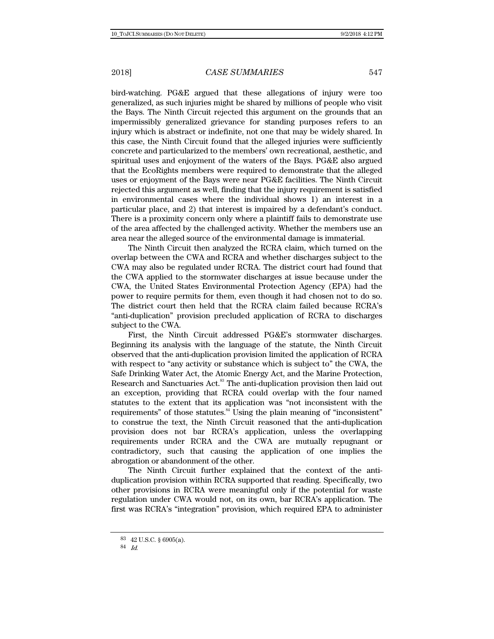bird-watching. PG&E argued that these allegations of injury were too generalized, as such injuries might be shared by millions of people who visit the Bays. The Ninth Circuit rejected this argument on the grounds that an impermissibly generalized grievance for standing purposes refers to an injury which is abstract or indefinite, not one that may be widely shared. In this case, the Ninth Circuit found that the alleged injuries were sufficiently concrete and particularized to the members' own recreational, aesthetic, and spiritual uses and enjoyment of the waters of the Bays. PG&E also argued that the EcoRights members were required to demonstrate that the alleged uses or enjoyment of the Bays were near PG&E facilities. The Ninth Circuit rejected this argument as well, finding that the injury requirement is satisfied in environmental cases where the individual shows 1) an interest in a particular place, and 2) that interest is impaired by a defendant's conduct. There is a proximity concern only where a plaintiff fails to demonstrate use of the area affected by the challenged activity. Whether the members use an area near the alleged source of the environmental damage is immaterial.

The Ninth Circuit then analyzed the RCRA claim, which turned on the overlap between the CWA and RCRA and whether discharges subject to the CWA may also be regulated under RCRA. The district court had found that the CWA applied to the stormwater discharges at issue because under the CWA, the United States Environmental Protection Agency (EPA) had the power to require permits for them, even though it had chosen not to do so. The district court then held that the RCRA claim failed because RCRA's "anti-duplication" provision precluded application of RCRA to discharges subject to the CWA.

First, the Ninth Circuit addressed PG&E's stormwater discharges. Beginning its analysis with the language of the statute, the Ninth Circuit observed that the anti-duplication provision limited the application of RCRA with respect to "any activity or substance which is subject to" the CWA, the Safe Drinking Water Act, the Atomic Energy Act, and the Marine Protection, Research and Sanctuaries Act.<sup>83</sup> The anti-duplication provision then laid out an exception, providing that RCRA could overlap with the four named statutes to the extent that its application was "not inconsistent with the requirements" of those statutes.<sup>84</sup> Using the plain meaning of "inconsistent" to construe the text, the Ninth Circuit reasoned that the anti-duplication provision does not bar RCRA's application, unless the overlapping requirements under RCRA and the CWA are mutually repugnant or contradictory, such that causing the application of one implies the abrogation or abandonment of the other.

The Ninth Circuit further explained that the context of the antiduplication provision within RCRA supported that reading. Specifically, two other provisions in RCRA were meaningful only if the potential for waste regulation under CWA would not, on its own, bar RCRA's application. The first was RCRA's "integration" provision, which required EPA to administer

<sup>83 42</sup> U.S.C. § 6905(a).

<sup>84</sup> Id.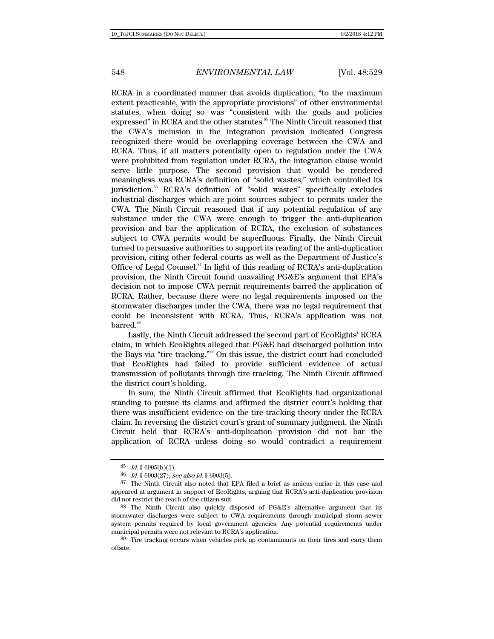RCRA in a coordinated manner that avoids duplication, "to the maximum extent practicable, with the appropriate provisions" of other environmental statutes, when doing so was "consistent with the goals and policies expressed" in RCRA and the other statutes.<sup>85</sup> The Ninth Circuit reasoned that the CWA's inclusion in the integration provision indicated Congress recognized there would be overlapping coverage between the CWA and RCRA. Thus, if all matters potentially open to regulation under the CWA were prohibited from regulation under RCRA, the integration clause would serve little purpose. The second provision that would be rendered meaningless was RCRA's definition of "solid wastes," which controlled its jurisdiction.<sup>86</sup> RCRA's definition of "solid wastes" specifically excludes industrial discharges which are point sources subject to permits under the CWA. The Ninth Circuit reasoned that if any potential regulation of any substance under the CWA were enough to trigger the anti-duplication provision and bar the application of RCRA, the exclusion of substances subject to CWA permits would be superfluous. Finally, the Ninth Circuit turned to persuasive authorities to support its reading of the anti-duplication provision, citing other federal courts as well as the Department of Justice's Office of Legal Counsel.<sup>87</sup> In light of this reading of RCRA's anti-duplication provision, the Ninth Circuit found unavailing PG&E's argument that EPA's decision not to impose CWA permit requirements barred the application of RCRA. Rather, because there were no legal requirements imposed on the stormwater discharges under the CWA, there was no legal requirement that could be inconsistent with RCRA. Thus, RCRA's application was not barred.<sup>88</sup>

Lastly, the Ninth Circuit addressed the second part of EcoRights' RCRA claim, in which EcoRights alleged that PG&E had discharged pollution into the Bays via "tire tracking."89 On this issue, the district court had concluded that EcoRights had failed to provide sufficient evidence of actual transmission of pollutants through tire tracking. The Ninth Circuit affirmed the district court's holding.

In sum, the Ninth Circuit affirmed that EcoRights had organizational standing to pursue its claims and affirmed the district court's holding that there was insufficient evidence on the tire tracking theory under the RCRA claim. In reversing the district court's grant of summary judgment, the Ninth Circuit held that RCRA's anti-duplication provision did not bar the application of RCRA unless doing so would contradict a requirement

 $85$  *Id.* § 6905(b)(1).

<sup>86</sup> Id. § 6903(27); see also id. § 6903(5).

<sup>87</sup> The Ninth Circuit also noted that EPA filed a brief as amicus curiae in this case and appeared at argument in support of EcoRights, arguing that RCRA's anti-duplication provision did not restrict the reach of the citizen suit.

<sup>88</sup> The Ninth Circuit also quickly disposed of PG&E's alternative argument that its stormwater discharges were subject to CWA requirements through municipal storm sewer system permits required by local government agencies. Any potential requirements under municipal permits were not relevant to RCRA's application.

<sup>89</sup> Tire tracking occurs when vehicles pick up contaminants on their tires and carry them offsite.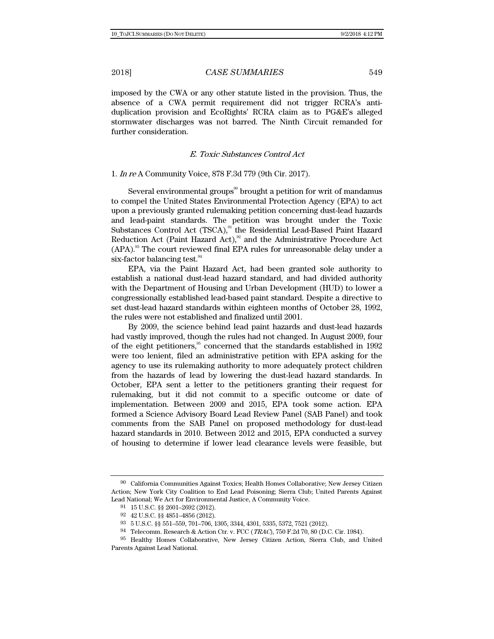imposed by the CWA or any other statute listed in the provision. Thus, the absence of a CWA permit requirement did not trigger RCRA's antiduplication provision and EcoRights' RCRA claim as to PG&E's alleged stormwater discharges was not barred. The Ninth Circuit remanded for further consideration.

## E. Toxic Substances Control Act

## 1. In re A Community Voice, 878 F.3d 779 (9th Cir. 2017).

Several environmental groups<sup>90</sup> brought a petition for writ of mandamus to compel the United States Environmental Protection Agency (EPA) to act upon a previously granted rulemaking petition concerning dust-lead hazards and lead-paint standards. The petition was brought under the Toxic Substances Control Act (TSCA),<sup>91</sup> the Residential Lead-Based Paint Hazard Reduction Act (Paint Hazard Act), $^{92}$  and the Administrative Procedure Act (APA).<sup>93</sup> The court reviewed final EPA rules for unreasonable delay under a six-factor balancing test.<sup>94</sup>

EPA, via the Paint Hazard Act, had been granted sole authority to establish a national dust-lead hazard standard, and had divided authority with the Department of Housing and Urban Development (HUD) to lower a congressionally established lead-based paint standard. Despite a directive to set dust-lead hazard standards within eighteen months of October 28, 1992, the rules were not established and finalized until 2001.

By 2009, the science behind lead paint hazards and dust-lead hazards had vastly improved, though the rules had not changed. In August 2009, four of the eight petitioners,<sup>95</sup> concerned that the standards established in 1992 were too lenient, filed an administrative petition with EPA asking for the agency to use its rulemaking authority to more adequately protect children from the hazards of lead by lowering the dust-lead hazard standards. In October, EPA sent a letter to the petitioners granting their request for rulemaking, but it did not commit to a specific outcome or date of implementation. Between 2009 and 2015, EPA took some action. EPA formed a Science Advisory Board Lead Review Panel (SAB Panel) and took comments from the SAB Panel on proposed methodology for dust-lead hazard standards in 2010. Between 2012 and 2015, EPA conducted a survey of housing to determine if lower lead clearance levels were feasible, but

<sup>90</sup> California Communities Against Toxics; Health Homes Collaborative; New Jersey Citizen Action; New York City Coalition to End Lead Poisoning; Sierra Club; United Parents Against Lead National; We Act for Environmental Justice, A Community Voice.

<sup>91 15</sup> U.S.C. §§ 2601–2692 (2012).

<sup>92 42</sup> U.S.C. §§ 4851–4856 (2012).

<sup>93 5</sup> U.S.C. §§ 551–559, 701–706, 1305, 3344, 4301, 5335, 5372, 7521 (2012).

<sup>94</sup> Telecomm. Research & Action Ctr. v. FCC (TRAC), 750 F.2d 70, 80 (D.C. Cir. 1984).

<sup>95</sup> Healthy Homes Collaborative, New Jersey Citizen Action, Sierra Club, and United Parents Against Lead National.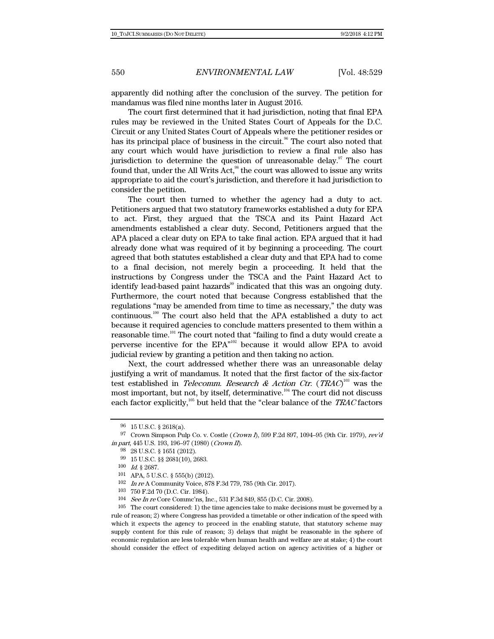apparently did nothing after the conclusion of the survey. The petition for mandamus was filed nine months later in August 2016.

The court first determined that it had jurisdiction, noting that final EPA rules may be reviewed in the United States Court of Appeals for the D.C. Circuit or any United States Court of Appeals where the petitioner resides or has its principal place of business in the circuit.<sup>96</sup> The court also noted that any court which would have jurisdiction to review a final rule also has jurisdiction to determine the question of unreasonable delay. $\degree$  The court found that, under the All Writs  $Act$ ,<sup>98</sup> the court was allowed to issue any writs appropriate to aid the court's jurisdiction, and therefore it had jurisdiction to consider the petition.

The court then turned to whether the agency had a duty to act. Petitioners argued that two statutory frameworks established a duty for EPA to act. First, they argued that the TSCA and its Paint Hazard Act amendments established a clear duty. Second, Petitioners argued that the APA placed a clear duty on EPA to take final action. EPA argued that it had already done what was required of it by beginning a proceeding. The court agreed that both statutes established a clear duty and that EPA had to come to a final decision, not merely begin a proceeding. It held that the instructions by Congress under the TSCA and the Paint Hazard Act to identify lead-based paint hazards<sup>99</sup> indicated that this was an ongoing duty. Furthermore, the court noted that because Congress established that the regulations "may be amended from time to time as necessary," the duty was continuous.100 The court also held that the APA established a duty to act because it required agencies to conclude matters presented to them within a reasonable time.101 The court noted that "failing to find a duty would create a perverse incentive for the  $EPA<sup>n102</sup>$  because it would allow EPA to avoid judicial review by granting a petition and then taking no action.

Next, the court addressed whether there was an unreasonable delay justifying a writ of mandamus. It noted that the first factor of the six-factor test established in Telecomm. Research & Action Ctr. (TRAC)<sup>103</sup> was the most important, but not, by itself, determinative.<sup>104</sup> The court did not discuss each factor explicitly,<sup>105</sup> but held that the "clear balance of the  $TRAC$  factors

<sup>96 15</sup> U.S.C. § 2618(a).

<sup>97</sup> Crown Simpson Pulp Co. v. Costle (Crown I), 599 F.2d 897, 1094–95 (9th Cir. 1979), rev'd in part, 445 U.S. 193, 196–97 (1980) (Crown II).

<sup>98 28</sup> U.S.C. § 1651 (2012).

<sup>99 15</sup> U.S.C. §§ 2681(10), 2683.

<sup>100</sup> Id. § 2687.

<sup>101</sup> APA, 5 U.S.C. § 555(b) (2012).

<sup>102</sup> In re A Community Voice, 878 F.3d 779, 785 (9th Cir. 2017).

<sup>103 750</sup> F.2d 70 (D.C. Cir. 1984).

<sup>104</sup> See In re Core Commc'ns, Inc., 531 F.3d 849, 855 (D.C. Cir. 2008).

<sup>105</sup> The court considered: 1) the time agencies take to make decisions must be governed by a rule of reason; 2) where Congress has provided a timetable or other indication of the speed with which it expects the agency to proceed in the enabling statute, that statutory scheme may supply content for this rule of reason; 3) delays that might be reasonable in the sphere of economic regulation are less tolerable when human health and welfare are at stake; 4) the court should consider the effect of expediting delayed action on agency activities of a higher or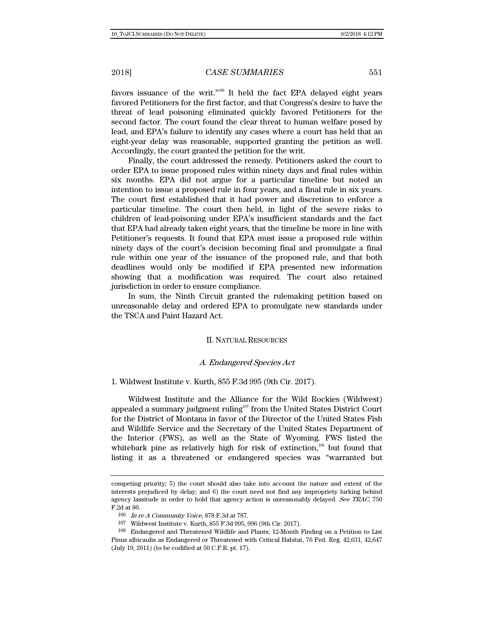favors issuance of the writ."<sup>106</sup> It held the fact EPA delayed eight years favored Petitioners for the first factor, and that Congress's desire to have the threat of lead poisoning eliminated quickly favored Petitioners for the second factor. The court found the clear threat to human welfare posed by lead, and EPA's failure to identify any cases where a court has held that an eight-year delay was reasonable, supported granting the petition as well. Accordingly, the court granted the petition for the writ.

Finally, the court addressed the remedy. Petitioners asked the court to order EPA to issue proposed rules within ninety days and final rules within six months. EPA did not argue for a particular timeline but noted an intention to issue a proposed rule in four years, and a final rule in six years. The court first established that it had power and discretion to enforce a particular timeline. The court then held, in light of the severe risks to children of lead-poisoning under EPA's insufficient standards and the fact that EPA had already taken eight years, that the timeline be more in line with Petitioner's requests. It found that EPA must issue a proposed rule within ninety days of the court's decision becoming final and promulgate a final rule within one year of the issuance of the proposed rule, and that both deadlines would only be modified if EPA presented new information showing that a modification was required. The court also retained jurisdiction in order to ensure compliance.

In sum, the Ninth Circuit granted the rulemaking petition based on unreasonable delay and ordered EPA to promulgate new standards under the TSCA and Paint Hazard Act.

## II. NATURAL RESOURCES

#### A. Endangered Species Act

1. Wildwest Institute v. Kurth, 855 F.3d 995 (9th Cir. 2017).

Wildwest Institute and the Alliance for the Wild Rockies (Wildwest) appealed a summary judgment ruling $107$  from the United States District Court for the District of Montana in favor of the Director of the United States Fish and Wildlife Service and the Secretary of the United States Department of the Interior (FWS), as well as the State of Wyoming. FWS listed the whitebark pine as relatively high for risk of extinction,<sup>108</sup> but found that listing it as a threatened or endangered species was "warranted but

competing priority; 5) the court should also take into account the nature and extent of the interests prejudiced by delay; and 6) the court need not find any impropriety lurking behind agency lassitude in order to hold that agency action is unreasonably delayed. See TRAC, 750 F.2d at 80.

<sup>106</sup> In re A Community Voice, 878 F.3d at 787.

<sup>107</sup> Wildwest Institute v. Kurth, 855 F.3d 995, 996 (9th Cir. 2017).

<sup>108</sup> Endangered and Threatened Wildlife and Plants; 12-Month Finding on a Petition to List Pinus albicaulis as Endangered or Threatened with Critical Habitat, 76 Fed. Reg. 42,631, 42,647 (July 19, 2011) (to be codified at 50 C.F.R. pt. 17).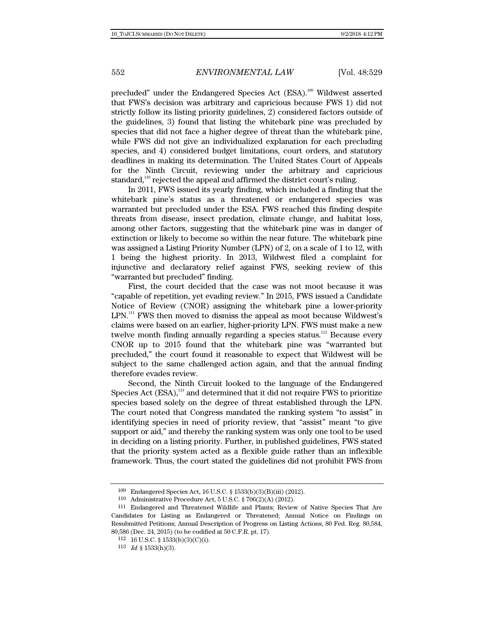precluded" under the Endangered Species Act (ESA).109 Wildwest asserted that FWS's decision was arbitrary and capricious because FWS 1) did not strictly follow its listing priority guidelines, 2) considered factors outside of the guidelines, 3) found that listing the whitebark pine was precluded by species that did not face a higher degree of threat than the whitebark pine, while FWS did not give an individualized explanation for each precluding species, and 4) considered budget limitations, court orders, and statutory deadlines in making its determination. The United States Court of Appeals for the Ninth Circuit, reviewing under the arbitrary and capricious standard,<sup>110</sup> rejected the appeal and affirmed the district court's ruling.

In 2011, FWS issued its yearly finding, which included a finding that the whitebark pine's status as a threatened or endangered species was warranted but precluded under the ESA. FWS reached this finding despite threats from disease, insect predation, climate change, and habitat loss, among other factors, suggesting that the whitebark pine was in danger of extinction or likely to become so within the near future. The whitebark pine was assigned a Listing Priority Number (LPN) of 2, on a scale of 1 to 12, with 1 being the highest priority. In 2013, Wildwest filed a complaint for injunctive and declaratory relief against FWS, seeking review of this "warranted but precluded" finding.

First, the court decided that the case was not moot because it was "capable of repetition, yet evading review." In 2015, FWS issued a Candidate Notice of Review (CNOR) assigning the whitebark pine a lower-priority LPN.<sup>111</sup> FWS then moved to dismiss the appeal as moot because Wildwest's claims were based on an earlier, higher-priority LPN. FWS must make a new twelve month finding annually regarding a species status.<sup>112</sup> Because every CNOR up to 2015 found that the whitebark pine was "warranted but precluded," the court found it reasonable to expect that Wildwest will be subject to the same challenged action again, and that the annual finding therefore evades review.

Second, the Ninth Circuit looked to the language of the Endangered Species Act  $(ESA)$ ,<sup>113</sup> and determined that it did not require FWS to prioritize species based solely on the degree of threat established through the LPN. The court noted that Congress mandated the ranking system "to assist" in identifying species in need of priority review, that "assist" meant "to give support or aid," and thereby the ranking system was only one tool to be used in deciding on a listing priority. Further, in published guidelines, FWS stated that the priority system acted as a flexible guide rather than an inflexible framework. Thus, the court stated the guidelines did not prohibit FWS from

<sup>109</sup> Endangered Species Act, 16 U.S.C. § 1533(b)(3)(B)(iii) (2012).

<sup>110</sup> Administrative Procedure Act, 5 U.S.C. § 706(2)(A) (2012).

<sup>111</sup> Endangered and Threatened Wildlife and Plants; Review of Native Species That Are Candidates for Listing as Endangered or Threatened; Annual Notice on Findings on Resubmitted Petitions; Annual Description of Progress on Listing Actions, 80 Fed. Reg. 80,584, 80,586 (Dec. 24, 2015) (to be codified at 50 C.F.R. pt. 17).

<sup>112 16</sup> U.S.C. § 1533(b)(3)(C)(i).

 $113$  *Id.* § 1533(h)(3).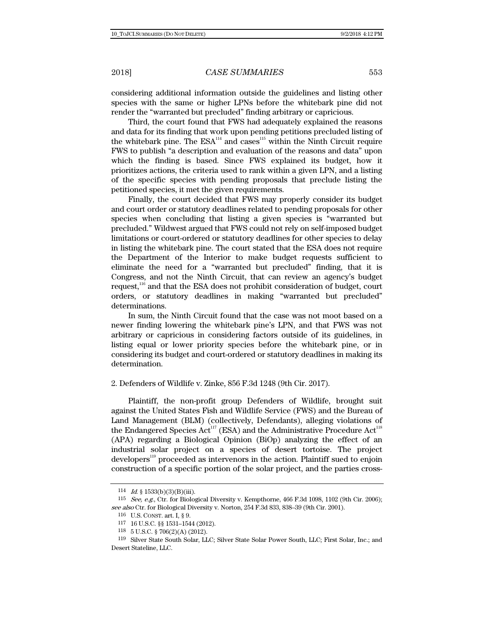considering additional information outside the guidelines and listing other species with the same or higher LPNs before the whitebark pine did not render the "warranted but precluded" finding arbitrary or capricious.

Third, the court found that FWS had adequately explained the reasons and data for its finding that work upon pending petitions precluded listing of the whitebark pine. The  $ESA^{114}$  and cases<sup>115</sup> within the Ninth Circuit require FWS to publish "a description and evaluation of the reasons and data" upon which the finding is based. Since FWS explained its budget, how it prioritizes actions, the criteria used to rank within a given LPN, and a listing of the specific species with pending proposals that preclude listing the petitioned species, it met the given requirements.

Finally, the court decided that FWS may properly consider its budget and court order or statutory deadlines related to pending proposals for other species when concluding that listing a given species is "warranted but precluded." Wildwest argued that FWS could not rely on self-imposed budget limitations or court-ordered or statutory deadlines for other species to delay in listing the whitebark pine. The court stated that the ESA does not require the Department of the Interior to make budget requests sufficient to eliminate the need for a "warranted but precluded" finding, that it is Congress, and not the Ninth Circuit, that can review an agency's budget request,116 and that the ESA does not prohibit consideration of budget, court orders, or statutory deadlines in making "warranted but precluded" determinations.

In sum, the Ninth Circuit found that the case was not moot based on a newer finding lowering the whitebark pine's LPN, and that FWS was not arbitrary or capricious in considering factors outside of its guidelines, in listing equal or lower priority species before the whitebark pine, or in considering its budget and court-ordered or statutory deadlines in making its determination.

## 2. Defenders of Wildlife v. Zinke, 856 F.3d 1248 (9th Cir. 2017).

Plaintiff, the non-profit group Defenders of Wildlife, brought suit against the United States Fish and Wildlife Service (FWS) and the Bureau of Land Management (BLM) (collectively, Defendants), alleging violations of the Endangered Species  $Act^{117}$  (ESA) and the Administrative Procedure Act<sup>118</sup> (APA) regarding a Biological Opinion (BiOp) analyzing the effect of an industrial solar project on a species of desert tortoise. The project developers<sup>119</sup> proceeded as intervenors in the action. Plaintiff sued to enjoin construction of a specific portion of the solar project, and the parties cross-

<sup>114</sup>  $Id. \$  1533(b)(3)(B)(iii).

 $115$  See, e.g., Ctr. for Biological Diversity v. Kempthorne, 466 F.3d 1098, 1102 (9th Cir. 2006); see also Ctr. for Biological Diversity v. Norton, 254 F.3d 833, 838–39 (9th Cir. 2001).

<sup>116</sup> U.S. CONST. art. I, § 9.

<sup>117 16</sup> U.S.C. §§ 1531–1544 (2012).

<sup>118 5</sup> U.S.C. § 706(2)(A) (2012).

<sup>119</sup> Silver State South Solar, LLC; Silver State Solar Power South, LLC; First Solar, Inc.; and Desert Stateline, LLC.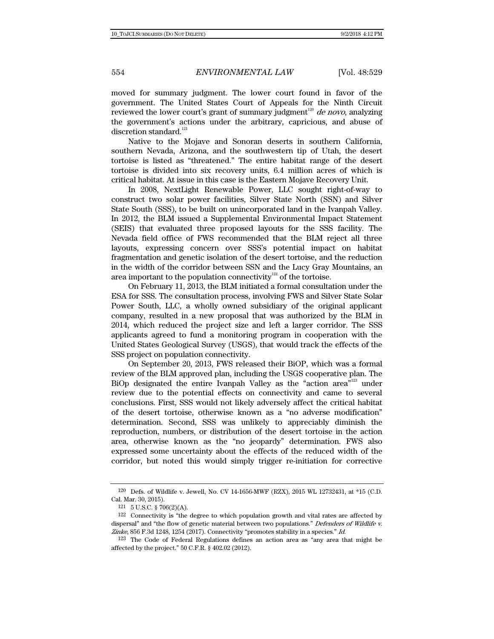moved for summary judgment. The lower court found in favor of the government. The United States Court of Appeals for the Ninth Circuit reviewed the lower court's grant of summary judgment $^{120}$  de novo, analyzing the government's actions under the arbitrary, capricious, and abuse of discretion standard. $121$ 

Native to the Mojave and Sonoran deserts in southern California, southern Nevada, Arizona, and the southwestern tip of Utah, the desert tortoise is listed as "threatened." The entire habitat range of the desert tortoise is divided into six recovery units, 6.4 million acres of which is critical habitat. At issue in this case is the Eastern Mojave Recovery Unit.

In 2008, NextLight Renewable Power, LLC sought right-of-way to construct two solar power facilities, Silver State North (SSN) and Silver State South (SSS), to be built on unincorporated land in the Ivanpah Valley. In 2012, the BLM issued a Supplemental Environmental Impact Statement (SEIS) that evaluated three proposed layouts for the SSS facility. The Nevada field office of FWS recommended that the BLM reject all three layouts, expressing concern over SSS's potential impact on habitat fragmentation and genetic isolation of the desert tortoise, and the reduction in the width of the corridor between SSN and the Lucy Gray Mountains, an area important to the population connectivity<sup>122</sup> of the tortoise.

On February 11, 2013, the BLM initiated a formal consultation under the ESA for SSS. The consultation process, involving FWS and Silver State Solar Power South, LLC, a wholly owned subsidiary of the original applicant company, resulted in a new proposal that was authorized by the BLM in 2014, which reduced the project size and left a larger corridor. The SSS applicants agreed to fund a monitoring program in cooperation with the United States Geological Survey (USGS), that would track the effects of the SSS project on population connectivity.

On September 20, 2013, FWS released their BiOP, which was a formal review of the BLM approved plan, including the USGS cooperative plan. The BiOp designated the entire Ivanpah Valley as the "action area"<sup>123</sup> under review due to the potential effects on connectivity and came to several conclusions. First, SSS would not likely adversely affect the critical habitat of the desert tortoise, otherwise known as a "no adverse modification" determination. Second, SSS was unlikely to appreciably diminish the reproduction, numbers, or distribution of the desert tortoise in the action area, otherwise known as the "no jeopardy" determination. FWS also expressed some uncertainty about the effects of the reduced width of the corridor, but noted this would simply trigger re-initiation for corrective

<sup>120</sup> Defs. of Wildlife v. Jewell, No. CV 14-1656-MWF (RZX), 2015 WL 12732431, at \*15 (C.D. Cal. Mar. 30, 2015).

<sup>121 5</sup> U.S.C. § 706(2)(A).

<sup>122</sup> Connectivity is "the degree to which population growth and vital rates are affected by dispersal" and "the flow of genetic material between two populations." Defenders of Wildlife v. Zinke, 856 F.3d 1248, 1254 (2017). Connectivity "promotes stability in a species." Id.

<sup>123</sup> The Code of Federal Regulations defines an action area as "any area that might be affected by the project." 50 C.F.R. § 402.02 (2012).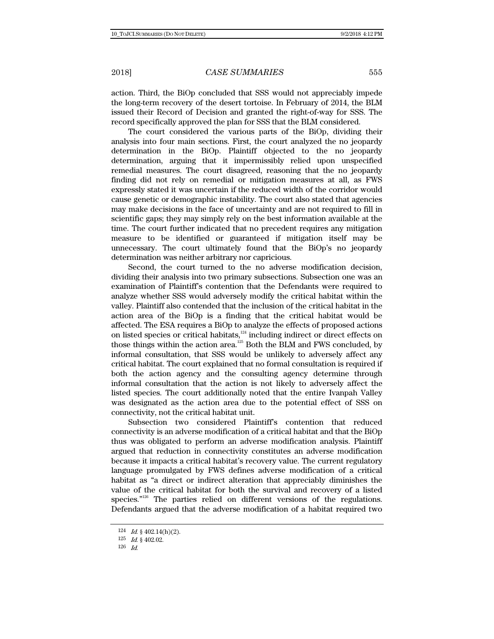action. Third, the BiOp concluded that SSS would not appreciably impede the long-term recovery of the desert tortoise. In February of 2014, the BLM issued their Record of Decision and granted the right-of-way for SSS. The record specifically approved the plan for SSS that the BLM considered.

The court considered the various parts of the BiOp, dividing their analysis into four main sections. First, the court analyzed the no jeopardy determination in the BiOp. Plaintiff objected to the no jeopardy determination, arguing that it impermissibly relied upon unspecified remedial measures. The court disagreed, reasoning that the no jeopardy finding did not rely on remedial or mitigation measures at all, as FWS expressly stated it was uncertain if the reduced width of the corridor would cause genetic or demographic instability. The court also stated that agencies may make decisions in the face of uncertainty and are not required to fill in scientific gaps; they may simply rely on the best information available at the time. The court further indicated that no precedent requires any mitigation measure to be identified or guaranteed if mitigation itself may be unnecessary. The court ultimately found that the BiOp's no jeopardy determination was neither arbitrary nor capricious.

Second, the court turned to the no adverse modification decision, dividing their analysis into two primary subsections. Subsection one was an examination of Plaintiff's contention that the Defendants were required to analyze whether SSS would adversely modify the critical habitat within the valley. Plaintiff also contended that the inclusion of the critical habitat in the action area of the BiOp is a finding that the critical habitat would be affected. The ESA requires a BiOp to analyze the effects of proposed actions on listed species or critical habitats, $124$  including indirect or direct effects on those things within the action area.<sup>125</sup> Both the BLM and FWS concluded, by informal consultation, that SSS would be unlikely to adversely affect any critical habitat. The court explained that no formal consultation is required if both the action agency and the consulting agency determine through informal consultation that the action is not likely to adversely affect the listed species. The court additionally noted that the entire Ivanpah Valley was designated as the action area due to the potential effect of SSS on connectivity, not the critical habitat unit.

Subsection two considered Plaintiff's contention that reduced connectivity is an adverse modification of a critical habitat and that the BiOp thus was obligated to perform an adverse modification analysis. Plaintiff argued that reduction in connectivity constitutes an adverse modification because it impacts a critical habitat's recovery value. The current regulatory language promulgated by FWS defines adverse modification of a critical habitat as "a direct or indirect alteration that appreciably diminishes the value of the critical habitat for both the survival and recovery of a listed species."<sup>126</sup> The parties relied on different versions of the regulations. Defendants argued that the adverse modification of a habitat required two

 $124$  *Id.* § 402.14(h)(2).

<sup>125</sup> *Id.* § 402.02.

<sup>126</sup> Id.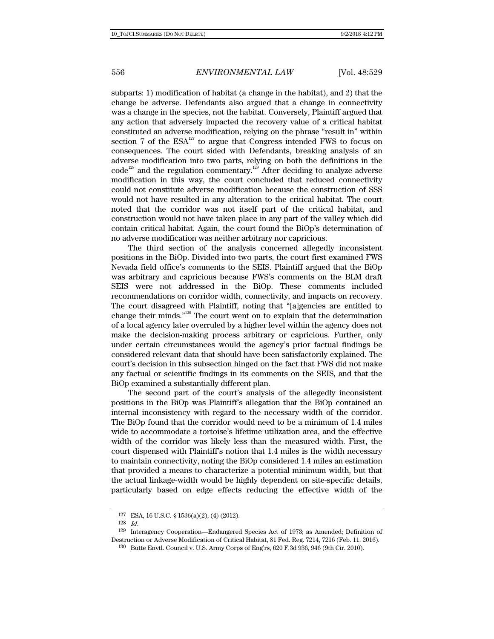subparts: 1) modification of habitat (a change in the habitat), and 2) that the change be adverse. Defendants also argued that a change in connectivity was a change in the species, not the habitat. Conversely, Plaintiff argued that any action that adversely impacted the recovery value of a critical habitat constituted an adverse modification, relying on the phrase "result in" within section 7 of the  $ESA^{127}$  to argue that Congress intended FWS to focus on consequences. The court sided with Defendants, breaking analysis of an adverse modification into two parts, relying on both the definitions in the  $code^{128}$  and the regulation commentary.<sup>129</sup> After deciding to analyze adverse modification in this way, the court concluded that reduced connectivity could not constitute adverse modification because the construction of SSS would not have resulted in any alteration to the critical habitat. The court noted that the corridor was not itself part of the critical habitat, and construction would not have taken place in any part of the valley which did contain critical habitat. Again, the court found the BiOp's determination of no adverse modification was neither arbitrary nor capricious.

The third section of the analysis concerned allegedly inconsistent positions in the BiOp. Divided into two parts, the court first examined FWS Nevada field office's comments to the SEIS. Plaintiff argued that the BiOp was arbitrary and capricious because FWS's comments on the BLM draft SEIS were not addressed in the BiOp. These comments included recommendations on corridor width, connectivity, and impacts on recovery. The court disagreed with Plaintiff, noting that "[a]gencies are entitled to change their minds."130 The court went on to explain that the determination of a local agency later overruled by a higher level within the agency does not make the decision-making process arbitrary or capricious. Further, only under certain circumstances would the agency's prior factual findings be considered relevant data that should have been satisfactorily explained. The court's decision in this subsection hinged on the fact that FWS did not make any factual or scientific findings in its comments on the SEIS, and that the BiOp examined a substantially different plan.

The second part of the court's analysis of the allegedly inconsistent positions in the BiOp was Plaintiff's allegation that the BiOp contained an internal inconsistency with regard to the necessary width of the corridor. The BiOp found that the corridor would need to be a minimum of 1.4 miles wide to accommodate a tortoise's lifetime utilization area, and the effective width of the corridor was likely less than the measured width. First, the court dispensed with Plaintiff's notion that 1.4 miles is the width necessary to maintain connectivity, noting the BiOp considered 1.4 miles an estimation that provided a means to characterize a potential minimum width, but that the actual linkage-width would be highly dependent on site-specific details, particularly based on edge effects reducing the effective width of the

<sup>127</sup> ESA, 16 U.S.C. § 1536(a)(2), (4) (2012).

<sup>128</sup> Id.

<sup>129</sup> Interagency Cooperation—Endangered Species Act of 1973; as Amended; Definition of Destruction or Adverse Modification of Critical Habitat, 81 Fed. Reg. 7214, 7216 (Feb. 11, 2016).

 $130$  Butte Envtl. Council v. U.S. Army Corps of Eng'rs, 620 F.3d 936, 946 (9th Cir. 2010).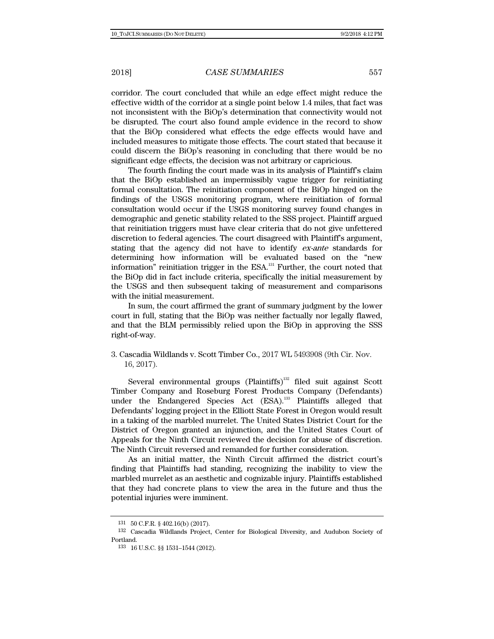corridor. The court concluded that while an edge effect might reduce the effective width of the corridor at a single point below 1.4 miles, that fact was not inconsistent with the BiOp's determination that connectivity would not be disrupted. The court also found ample evidence in the record to show that the BiOp considered what effects the edge effects would have and included measures to mitigate those effects. The court stated that because it could discern the BiOp's reasoning in concluding that there would be no significant edge effects, the decision was not arbitrary or capricious.

The fourth finding the court made was in its analysis of Plaintiff's claim that the BiOp established an impermissibly vague trigger for reinitiating formal consultation. The reinitiation component of the BiOp hinged on the findings of the USGS monitoring program, where reinitiation of formal consultation would occur if the USGS monitoring survey found changes in demographic and genetic stability related to the SSS project. Plaintiff argued that reinitiation triggers must have clear criteria that do not give unfettered discretion to federal agencies. The court disagreed with Plaintiff's argument, stating that the agency did not have to identify ex-ante standards for determining how information will be evaluated based on the "new information" reinitiation trigger in the ESA.131 Further, the court noted that the BiOp did in fact include criteria, specifically the initial measurement by the USGS and then subsequent taking of measurement and comparisons with the initial measurement.

In sum, the court affirmed the grant of summary judgment by the lower court in full, stating that the BiOp was neither factually nor legally flawed, and that the BLM permissibly relied upon the BiOp in approving the SSS right-of-way.

3. Cascadia Wildlands v. Scott Timber Co., 2017 WL 5493908 (9th Cir. Nov. 16, 2017).

Several environmental groups  $(Plaintiff)$ <sup>132</sup> filed suit against Scott Timber Company and Roseburg Forest Products Company (Defendants) under the Endangered Species Act (ESA).<sup>133</sup> Plaintiffs alleged that Defendants' logging project in the Elliott State Forest in Oregon would result in a taking of the marbled murrelet. The United States District Court for the District of Oregon granted an injunction, and the United States Court of Appeals for the Ninth Circuit reviewed the decision for abuse of discretion. The Ninth Circuit reversed and remanded for further consideration.

As an initial matter, the Ninth Circuit affirmed the district court's finding that Plaintiffs had standing, recognizing the inability to view the marbled murrelet as an aesthetic and cognizable injury. Plaintiffs established that they had concrete plans to view the area in the future and thus the potential injuries were imminent.

<sup>131 50</sup> C.F.R. § 402.16(b) (2017).

<sup>132</sup> Cascadia Wildlands Project, Center for Biological Diversity, and Audubon Society of Portland.

<sup>133 16</sup> U.S.C. §§ 1531–1544 (2012).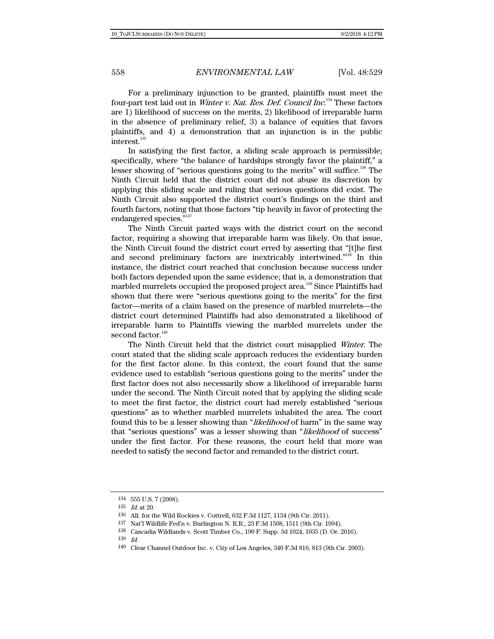For a preliminary injunction to be granted, plaintiffs must meet the four-part test laid out in *Winter v. Nat. Res. Def. Council Inc.*<sup>134</sup> These factors are 1) likelihood of success on the merits, 2) likelihood of irreparable harm in the absence of preliminary relief, 3) a balance of equities that favors plaintiffs, and 4) a demonstration that an injunction is in the public interest.<sup>135</sup>

In satisfying the first factor, a sliding scale approach is permissible; specifically, where "the balance of hardships strongly favor the plaintiff," a lesser showing of "serious questions going to the merits" will suffice.136 The Ninth Circuit held that the district court did not abuse its discretion by applying this sliding scale and ruling that serious questions did exist. The Ninth Circuit also supported the district court's findings on the third and fourth factors, noting that those factors "tip heavily in favor of protecting the endangered species."137

The Ninth Circuit parted ways with the district court on the second factor, requiring a showing that irreparable harm was likely. On that issue, the Ninth Circuit found the district court erred by asserting that "[t]he first and second preliminary factors are inextricably intertwined."138 In this instance, the district court reached that conclusion because success under both factors depended upon the same evidence; that is, a demonstration that marbled murrelets occupied the proposed project area.<sup>139</sup> Since Plaintiffs had shown that there were "serious questions going to the merits" for the first factor—merits of a claim based on the presence of marbled murrelets—the district court determined Plaintiffs had also demonstrated a likelihood of irreparable harm to Plaintiffs viewing the marbled murrelets under the second factor.<sup>140</sup>

The Ninth Circuit held that the district court misapplied Winter. The court stated that the sliding scale approach reduces the evidentiary burden for the first factor alone. In this context, the court found that the same evidence used to establish "serious questions going to the merits" under the first factor does not also necessarily show a likelihood of irreparable harm under the second. The Ninth Circuit noted that by applying the sliding scale to meet the first factor, the district court had merely established "serious questions" as to whether marbled murrelets inhabited the area. The court found this to be a lesser showing than "*likelihood* of harm" in the same way that "serious questions" was a lesser showing than "*likelihood* of success" under the first factor. For these reasons, the court held that more was needed to satisfy the second factor and remanded to the district court.

<sup>134 555</sup> U.S. 7 (2008).

 $^{135}$   $\,$   $\!Id\!$  at 20.

<sup>136</sup> All. for the Wild Rockies v. Cottrell, 632 F.3d 1127, 1134 (9th Cir. 2011).

<sup>137</sup> Nat'l Wildlife Fed'n v. Burlington N. R.R., 23 F.3d 1508, 1511 (9th Cir. 1994).

<sup>138</sup> Cascadia Wildlands v. Scott Timber Co., 190 F. Supp. 3d 1024, 1035 (D. Or. 2016).

<sup>139</sup> Id.

<sup>140</sup> Clear Channel Outdoor Inc. v. City of Los Angeles, 340 F.3d 810, 813 (9th Cir. 2003).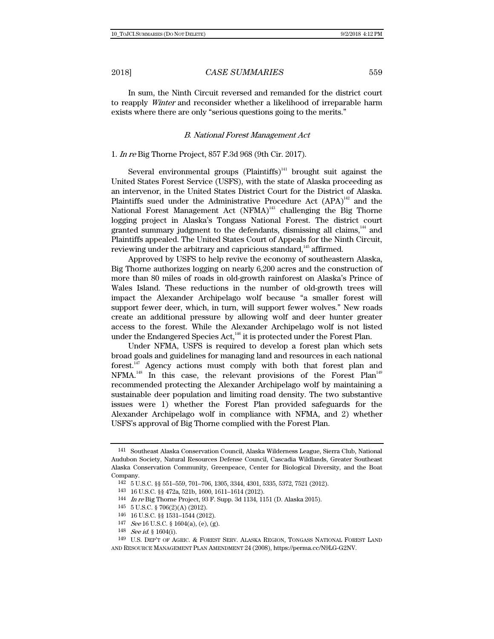In sum, the Ninth Circuit reversed and remanded for the district court to reapply Winter and reconsider whether a likelihood of irreparable harm exists where there are only "serious questions going to the merits."

### B. National Forest Management Act

## 1. In re Big Thorne Project, 857 F.3d 968 (9th Cir. 2017).

Several environmental groups  $(Plaintiff s)^{141}$  brought suit against the United States Forest Service (USFS), with the state of Alaska proceeding as an intervenor, in the United States District Court for the District of Alaska. Plaintiffs sued under the Administrative Procedure Act  $(APA)^{142}$  and the National Forest Management Act (NFMA)<sup>143</sup> challenging the Big Thorne logging project in Alaska's Tongass National Forest. The district court granted summary judgment to the defendants, dismissing all claims, <sup>144</sup> and Plaintiffs appealed. The United States Court of Appeals for the Ninth Circuit, reviewing under the arbitrary and capricious standard, $145$  affirmed.

Approved by USFS to help revive the economy of southeastern Alaska, Big Thorne authorizes logging on nearly 6,200 acres and the construction of more than 80 miles of roads in old-growth rainforest on Alaska's Prince of Wales Island. These reductions in the number of old-growth trees will impact the Alexander Archipelago wolf because "a smaller forest will support fewer deer, which, in turn, will support fewer wolves." New roads create an additional pressure by allowing wolf and deer hunter greater access to the forest. While the Alexander Archipelago wolf is not listed under the Endangered Species Act,<sup>146</sup> it is protected under the Forest Plan.

Under NFMA, USFS is required to develop a forest plan which sets broad goals and guidelines for managing land and resources in each national forest. $147$  Agency actions must comply with both that forest plan and NFMA.<sup>148</sup> In this case, the relevant provisions of the Forest Plan<sup>149</sup> recommended protecting the Alexander Archipelago wolf by maintaining a sustainable deer population and limiting road density. The two substantive issues were 1) whether the Forest Plan provided safeguards for the Alexander Archipelago wolf in compliance with NFMA, and 2) whether USFS's approval of Big Thorne complied with the Forest Plan.

<sup>141</sup> Southeast Alaska Conservation Council, Alaska Wilderness League, Sierra Club, National Audubon Society, Natural Resources Defense Council, Cascadia Wildlands, Greater Southeast Alaska Conservation Community, Greenpeace, Center for Biological Diversity, and the Boat Company.

<sup>142 5</sup> U.S.C. §§ 551–559, 701–706, 1305, 3344, 4301, 5335, 5372, 7521 (2012).

<sup>143 16</sup> U.S.C. §§ 472a, 521b, 1600, 1611–1614 (2012).<br><sup>144</sup> *In re* Big Thorne Project, 93 F. Supp. 3d 1134, 1151 (D. Alaska 2015).

<sup>145 5</sup> U.S.C. § 706(2)(A) (2012).

<sup>146 16</sup> U.S.C. §§ 1531–1544 (2012).

<sup>147</sup>  $See$  16 U.S.C. § 1604(a), (e), (g).

<sup>148</sup> *See id.* § 1604(i).

<sup>149</sup> U.S. DEP'T OF AGRIC. & FOREST SERV. ALASKA REGION, TONGASS NATIONAL FOREST LAND AND RESOURCE MANAGEMENT PLAN AMENDMENT 24 (2008), https://perma.cc/N9LG-G2NV.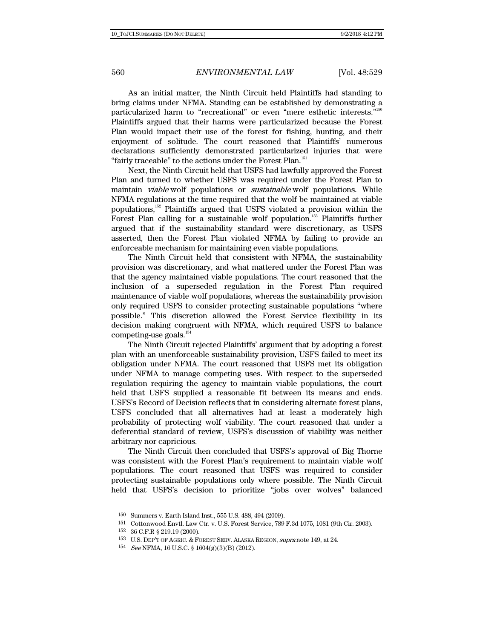As an initial matter, the Ninth Circuit held Plaintiffs had standing to bring claims under NFMA. Standing can be established by demonstrating a particularized harm to "recreational" or even "mere esthetic interests."150 Plaintiffs argued that their harms were particularized because the Forest Plan would impact their use of the forest for fishing, hunting, and their enjoyment of solitude. The court reasoned that Plaintiffs' numerous declarations sufficiently demonstrated particularized injuries that were "fairly traceable" to the actions under the Forest Plan.<sup>151</sup>

Next, the Ninth Circuit held that USFS had lawfully approved the Forest Plan and turned to whether USFS was required under the Forest Plan to maintain *viable* wolf populations or *sustainable* wolf populations. While NFMA regulations at the time required that the wolf be maintained at viable populations,152 Plaintiffs argued that USFS violated a provision within the Forest Plan calling for a sustainable wolf population.<sup>153</sup> Plaintiffs further argued that if the sustainability standard were discretionary, as USFS asserted, then the Forest Plan violated NFMA by failing to provide an enforceable mechanism for maintaining even viable populations.

The Ninth Circuit held that consistent with NFMA, the sustainability provision was discretionary, and what mattered under the Forest Plan was that the agency maintained viable populations. The court reasoned that the inclusion of a superseded regulation in the Forest Plan required maintenance of viable wolf populations, whereas the sustainability provision only required USFS to consider protecting sustainable populations "where possible." This discretion allowed the Forest Service flexibility in its decision making congruent with NFMA, which required USFS to balance competing-use goals.<sup>154</sup>

The Ninth Circuit rejected Plaintiffs' argument that by adopting a forest plan with an unenforceable sustainability provision, USFS failed to meet its obligation under NFMA. The court reasoned that USFS met its obligation under NFMA to manage competing uses. With respect to the superseded regulation requiring the agency to maintain viable populations, the court held that USFS supplied a reasonable fit between its means and ends. USFS's Record of Decision reflects that in considering alternate forest plans, USFS concluded that all alternatives had at least a moderately high probability of protecting wolf viability. The court reasoned that under a deferential standard of review, USFS's discussion of viability was neither arbitrary nor capricious.

The Ninth Circuit then concluded that USFS's approval of Big Thorne was consistent with the Forest Plan's requirement to maintain viable wolf populations. The court reasoned that USFS was required to consider protecting sustainable populations only where possible. The Ninth Circuit held that USFS's decision to prioritize "jobs over wolves" balanced

<sup>150</sup> Summers v. Earth Island Inst., 555 U.S. 488, 494 (2009).

<sup>151</sup> Cottonwood Envtl. Law Ctr. v. U.S. Forest Service, 789 F.3d 1075, 1081 (9th Cir. 2003).

<sup>152 36</sup> C.F.R § 219.19 (2000).

<sup>153</sup> U.S. DEP'T OF AGRIC. & FOREST SERV. ALASKA REGION, supra note 149, at 24.

 $154$  See NFMA, 16 U.S.C. § 1604(g)(3)(B) (2012).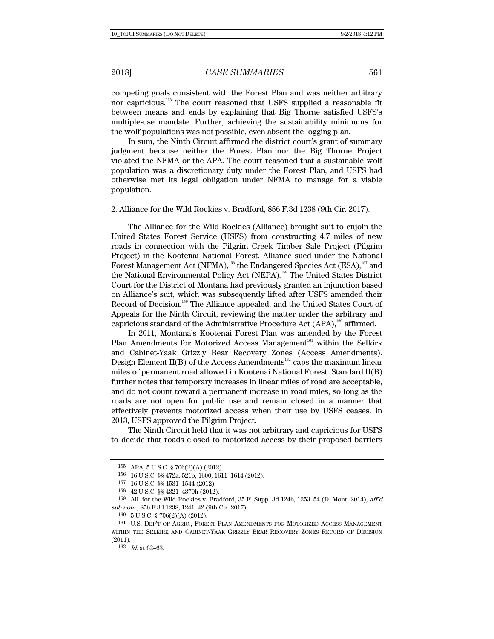competing goals consistent with the Forest Plan and was neither arbitrary nor capricious.155 The court reasoned that USFS supplied a reasonable fit between means and ends by explaining that Big Thorne satisfied USFS's multiple-use mandate. Further, achieving the sustainability minimums for the wolf populations was not possible, even absent the logging plan.

In sum, the Ninth Circuit affirmed the district court's grant of summary judgment because neither the Forest Plan nor the Big Thorne Project violated the NFMA or the APA. The court reasoned that a sustainable wolf population was a discretionary duty under the Forest Plan, and USFS had otherwise met its legal obligation under NFMA to manage for a viable population.

## 2. Alliance for the Wild Rockies v. Bradford, 856 F.3d 1238 (9th Cir. 2017).

The Alliance for the Wild Rockies (Alliance) brought suit to enjoin the United States Forest Service (USFS) from constructing 4.7 miles of new roads in connection with the Pilgrim Creek Timber Sale Project (Pilgrim Project) in the Kootenai National Forest. Alliance sued under the National Forest Management Act (NFMA),<sup>156</sup> the Endangered Species Act (ESA),<sup>157</sup> and the National Environmental Policy Act (NEPA).<sup>158</sup> The United States District Court for the District of Montana had previously granted an injunction based on Alliance's suit, which was subsequently lifted after USFS amended their Record of Decision.<sup>159</sup> The Alliance appealed, and the United States Court of Appeals for the Ninth Circuit, reviewing the matter under the arbitrary and capricious standard of the Administrative Procedure Act  $(APA)$ ,<sup>160</sup> affirmed.

In 2011, Montana's Kootenai Forest Plan was amended by the Forest Plan Amendments for Motorized Access Management<sup>161</sup> within the Selkirk and Cabinet-Yaak Grizzly Bear Recovery Zones (Access Amendments). Design Element II(B) of the Access Amendments<sup>162</sup> caps the maximum linear miles of permanent road allowed in Kootenai National Forest. Standard II(B) further notes that temporary increases in linear miles of road are acceptable, and do not count toward a permanent increase in road miles, so long as the roads are not open for public use and remain closed in a manner that effectively prevents motorized access when their use by USFS ceases. In 2013, USFS approved the Pilgrim Project.

The Ninth Circuit held that it was not arbitrary and capricious for USFS to decide that roads closed to motorized access by their proposed barriers

<sup>155</sup> APA, 5 U.S.C. § 706(2)(A) (2012).

<sup>156 16</sup> U.S.C. §§ 472a, 521b, 1600, 1611–1614 (2012).

<sup>157 16</sup> U.S.C. §§ 1531–1544 (2012).

<sup>158 42</sup> U.S.C. §§ 4321–4370h (2012).

 $159$  All. for the Wild Rockies v. Bradford, 35 F. Supp. 3d 1246, 1253–54 (D. Mont. 2014), aff'd sub nom., 856 F.3d 1238, 1241–42 (9th Cir. 2017).

<sup>160 5</sup> U.S.C. § 706(2)(A) (2012).

<sup>161</sup> U.S. DEP'T OF AGRIC., FOREST PLAN AMENDMENTS FOR MOTORIZED ACCESS MANAGEMENT WITHIN THE SELKIRK AND CABINET-YAAK GRIZZLY BEAR RECOVERY ZONES RECORD OF DECISION (2011).

 $162$  *Id.* at 62–63.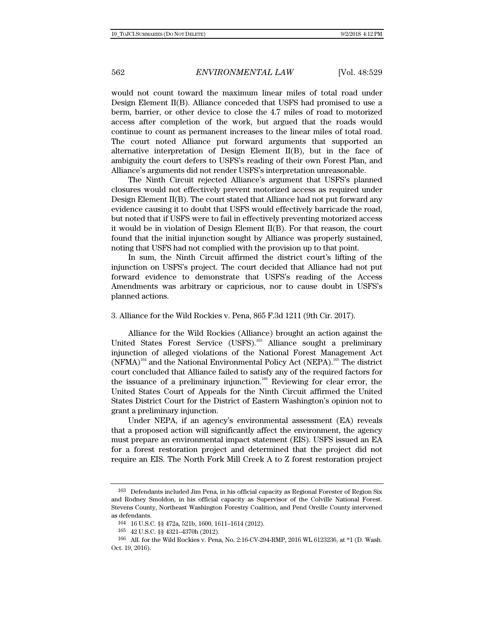would not count toward the maximum linear miles of total road under Design Element II(B). Alliance conceded that USFS had promised to use a berm, barrier, or other device to close the 4.7 miles of road to motorized access after completion of the work, but argued that the roads would continue to count as permanent increases to the linear miles of total road. The court noted Alliance put forward arguments that supported an alternative interpretation of Design Element II(B), but in the face of ambiguity the court defers to USFS's reading of their own Forest Plan, and Alliance's arguments did not render USFS's interpretation unreasonable.

The Ninth Circuit rejected Alliance's argument that USFS's planned closures would not effectively prevent motorized access as required under Design Element II(B). The court stated that Alliance had not put forward any evidence causing it to doubt that USFS would effectively barricade the road, but noted that if USFS were to fail in effectively preventing motorized access it would be in violation of Design Element II(B). For that reason, the court found that the initial injunction sought by Alliance was properly sustained, noting that USFS had not complied with the provision up to that point.

In sum, the Ninth Circuit affirmed the district court's lifting of the injunction on USFS's project. The court decided that Alliance had not put forward evidence to demonstrate that USFS's reading of the Access Amendments was arbitrary or capricious, nor to cause doubt in USFS's planned actions.

## 3. Alliance for the Wild Rockies v. Pena, 865 F.3d 1211 (9th Cir. 2017).

Alliance for the Wild Rockies (Alliance) brought an action against the United States Forest Service (USFS).<sup>163</sup> Alliance sought a preliminary injunction of alleged violations of the National Forest Management Act  $(NFMA)^{164}$  and the National Environmental Policy Act (NEPA).<sup>165</sup> The district court concluded that Alliance failed to satisfy any of the required factors for the issuance of a preliminary injunction.<sup>166</sup> Reviewing for clear error, the United States Court of Appeals for the Ninth Circuit affirmed the United States District Court for the District of Eastern Washington's opinion not to grant a preliminary injunction.

Under NEPA, if an agency's environmental assessment (EA) reveals that a proposed action will significantly affect the environment, the agency must prepare an environmental impact statement (EIS). USFS issued an EA for a forest restoration project and determined that the project did not require an EIS. The North Fork Mill Creek A to Z forest restoration project

<sup>163</sup> Defendants included Jim Pena, in his official capacity as Regional Forester of Region Six and Rodney Smoldon, in his official capacity as Supervisor of the Colville National Forest. Stevens County, Northeast Washington Forestry Coalition, and Pend Oreille County intervened as defendants.

<sup>164 16</sup> U.S.C. §§ 472a, 521b, 1600, 1611–1614 (2012).

<sup>165 42</sup> U.S.C. §§ 4321–4370h (2012).

<sup>166</sup> All. for the Wild Rockies v. Pena, No. 2:16-CV-294-RMP, 2016 WL 6123236, at \*1 (D. Wash. Oct. 19, 2016).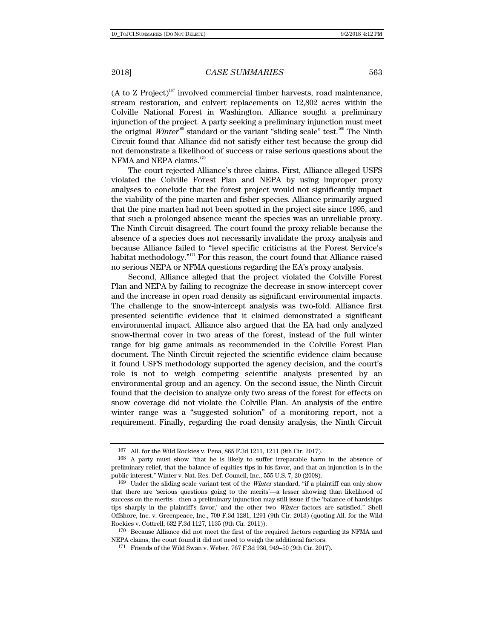(A to Z Project)<sup> $167$ </sup> involved commercial timber harvests, road maintenance, stream restoration, and culvert replacements on 12,802 acres within the Colville National Forest in Washington. Alliance sought a preliminary injunction of the project. A party seeking a preliminary injunction must meet the original *Winter*<sup>168</sup> standard or the variant "sliding scale" test.<sup>169</sup> The Ninth Circuit found that Alliance did not satisfy either test because the group did not demonstrate a likelihood of success or raise serious questions about the NFMA and NEPA claims.<sup>170</sup>

The court rejected Alliance's three claims. First, Alliance alleged USFS violated the Colville Forest Plan and NEPA by using improper proxy analyses to conclude that the forest project would not significantly impact the viability of the pine marten and fisher species. Alliance primarily argued that the pine marten had not been spotted in the project site since 1995, and that such a prolonged absence meant the species was an unreliable proxy. The Ninth Circuit disagreed. The court found the proxy reliable because the absence of a species does not necessarily invalidate the proxy analysis and because Alliance failed to "level specific criticisms at the Forest Service's habitat methodology."171 For this reason, the court found that Alliance raised no serious NEPA or NFMA questions regarding the EA's proxy analysis.

Second, Alliance alleged that the project violated the Colville Forest Plan and NEPA by failing to recognize the decrease in snow-intercept cover and the increase in open road density as significant environmental impacts. The challenge to the snow-intercept analysis was two-fold. Alliance first presented scientific evidence that it claimed demonstrated a significant environmental impact. Alliance also argued that the EA had only analyzed snow-thermal cover in two areas of the forest, instead of the full winter range for big game animals as recommended in the Colville Forest Plan document. The Ninth Circuit rejected the scientific evidence claim because it found USFS methodology supported the agency decision, and the court's role is not to weigh competing scientific analysis presented by an environmental group and an agency. On the second issue, the Ninth Circuit found that the decision to analyze only two areas of the forest for effects on snow coverage did not violate the Colville Plan. An analysis of the entire winter range was a "suggested solution" of a monitoring report, not a requirement. Finally, regarding the road density analysis, the Ninth Circuit

<sup>167</sup> All. for the Wild Rockies v. Pena, 865 F.3d 1211, 1211 (9th Cir. 2017).

<sup>168</sup> A party must show "that he is likely to suffer irreparable harm in the absence of preliminary relief, that the balance of equities tips in his favor, and that an injunction is in the public interest." Winter v. Nat. Res. Def. Council, Inc., 555 U.S. 7, 20 (2008).

<sup>&</sup>lt;sup>169</sup> Under the sliding scale variant test of the *Winter* standard, "if a plaintiff can only show that there are 'serious questions going to the merits'—a lesser showing than likelihood of success on the merits—then a preliminary injunction may still issue if the 'balance of hardships tips sharply in the plaintiff's favor,' and the other two Winter factors are satisfied." Shell Offshore, Inc. v. Greenpeace, Inc., 709 F.3d 1281, 1291 (9th Cir. 2013) (quoting All. for the Wild Rockies v. Cottrell, 632 F.3d 1127, 1135 (9th Cir. 2011)).

<sup>170</sup> Because Alliance did not meet the first of the required factors regarding its NFMA and NEPA claims, the court found it did not need to weigh the additional factors.

<sup>171</sup> Friends of the Wild Swan v. Weber, 767 F.3d 936, 949–50 (9th Cir. 2017).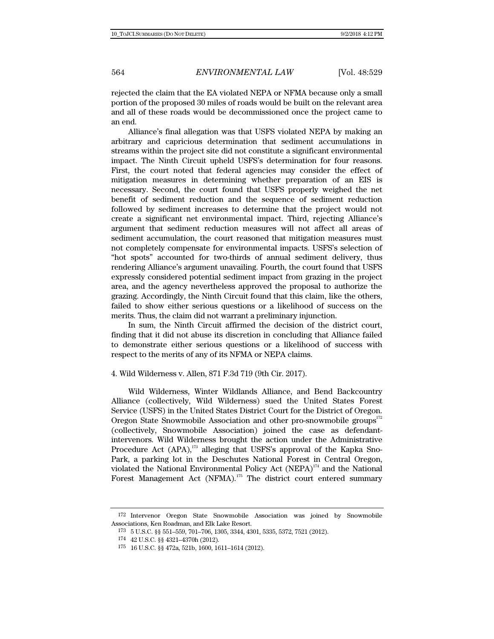rejected the claim that the EA violated NEPA or NFMA because only a small portion of the proposed 30 miles of roads would be built on the relevant area and all of these roads would be decommissioned once the project came to an end.

Alliance's final allegation was that USFS violated NEPA by making an arbitrary and capricious determination that sediment accumulations in streams within the project site did not constitute a significant environmental impact. The Ninth Circuit upheld USFS's determination for four reasons. First, the court noted that federal agencies may consider the effect of mitigation measures in determining whether preparation of an EIS is necessary. Second, the court found that USFS properly weighed the net benefit of sediment reduction and the sequence of sediment reduction followed by sediment increases to determine that the project would not create a significant net environmental impact. Third, rejecting Alliance's argument that sediment reduction measures will not affect all areas of sediment accumulation, the court reasoned that mitigation measures must not completely compensate for environmental impacts. USFS's selection of "hot spots" accounted for two-thirds of annual sediment delivery, thus rendering Alliance's argument unavailing. Fourth, the court found that USFS expressly considered potential sediment impact from grazing in the project area, and the agency nevertheless approved the proposal to authorize the grazing. Accordingly, the Ninth Circuit found that this claim, like the others, failed to show either serious questions or a likelihood of success on the merits. Thus, the claim did not warrant a preliminary injunction.

In sum, the Ninth Circuit affirmed the decision of the district court, finding that it did not abuse its discretion in concluding that Alliance failed to demonstrate either serious questions or a likelihood of success with respect to the merits of any of its NFMA or NEPA claims.

## 4. Wild Wilderness v. Allen, 871 F.3d 719 (9th Cir. 2017).

Wild Wilderness, Winter Wildlands Alliance, and Bend Backcountry Alliance (collectively, Wild Wilderness) sued the United States Forest Service (USFS) in the United States District Court for the District of Oregon. Oregon State Snowmobile Association and other pro-snowmobile groups<sup> $172$ </sup> (collectively, Snowmobile Association) joined the case as defendantintervenors. Wild Wilderness brought the action under the Administrative Procedure Act  $(APA)$ ,<sup>173</sup> alleging that USFS's approval of the Kapka Sno-Park, a parking lot in the Deschutes National Forest in Central Oregon, violated the National Environmental Policy Act  $(NEPA)^{174}$  and the National Forest Management Act (NFMA).<sup>175</sup> The district court entered summary

<sup>172</sup> Intervenor Oregon State Snowmobile Association was joined by Snowmobile Associations, Ken Roadman, and Elk Lake Resort.

<sup>173 5</sup> U.S.C. §§ 551–559, 701–706, 1305, 3344, 4301, 5335, 5372, 7521 (2012).

<sup>174 42</sup> U.S.C. §§ 4321–4370h (2012).

<sup>175 16</sup> U.S.C. §§ 472a, 521b, 1600, 1611–1614 (2012).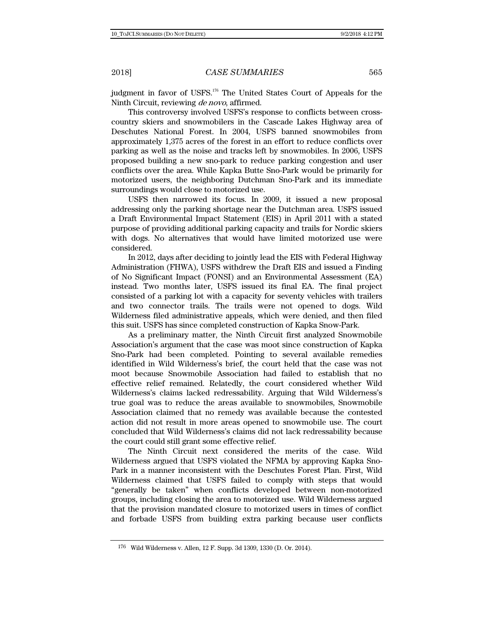judgment in favor of USFS.<sup>176</sup> The United States Court of Appeals for the Ninth Circuit, reviewing de novo, affirmed.

This controversy involved USFS's response to conflicts between crosscountry skiers and snowmobilers in the Cascade Lakes Highway area of Deschutes National Forest. In 2004, USFS banned snowmobiles from approximately 1,375 acres of the forest in an effort to reduce conflicts over parking as well as the noise and tracks left by snowmobiles. In 2006, USFS proposed building a new sno-park to reduce parking congestion and user conflicts over the area. While Kapka Butte Sno-Park would be primarily for motorized users, the neighboring Dutchman Sno-Park and its immediate surroundings would close to motorized use.

USFS then narrowed its focus. In 2009, it issued a new proposal addressing only the parking shortage near the Dutchman area. USFS issued a Draft Environmental Impact Statement (EIS) in April 2011 with a stated purpose of providing additional parking capacity and trails for Nordic skiers with dogs. No alternatives that would have limited motorized use were considered.

In 2012, days after deciding to jointly lead the EIS with Federal Highway Administration (FHWA), USFS withdrew the Draft EIS and issued a Finding of No Significant Impact (FONSI) and an Environmental Assessment (EA) instead. Two months later, USFS issued its final EA. The final project consisted of a parking lot with a capacity for seventy vehicles with trailers and two connector trails. The trails were not opened to dogs. Wild Wilderness filed administrative appeals, which were denied, and then filed this suit. USFS has since completed construction of Kapka Snow-Park.

As a preliminary matter, the Ninth Circuit first analyzed Snowmobile Association's argument that the case was moot since construction of Kapka Sno-Park had been completed. Pointing to several available remedies identified in Wild Wilderness's brief, the court held that the case was not moot because Snowmobile Association had failed to establish that no effective relief remained. Relatedly, the court considered whether Wild Wilderness's claims lacked redressability. Arguing that Wild Wilderness's true goal was to reduce the areas available to snowmobiles, Snowmobile Association claimed that no remedy was available because the contested action did not result in more areas opened to snowmobile use. The court concluded that Wild Wilderness's claims did not lack redressability because the court could still grant some effective relief.

The Ninth Circuit next considered the merits of the case. Wild Wilderness argued that USFS violated the NFMA by approving Kapka Sno-Park in a manner inconsistent with the Deschutes Forest Plan. First, Wild Wilderness claimed that USFS failed to comply with steps that would "generally be taken" when conflicts developed between non-motorized groups, including closing the area to motorized use. Wild Wilderness argued that the provision mandated closure to motorized users in times of conflict and forbade USFS from building extra parking because user conflicts

<sup>176</sup> Wild Wilderness v. Allen, 12 F. Supp. 3d 1309, 1330 (D. Or. 2014).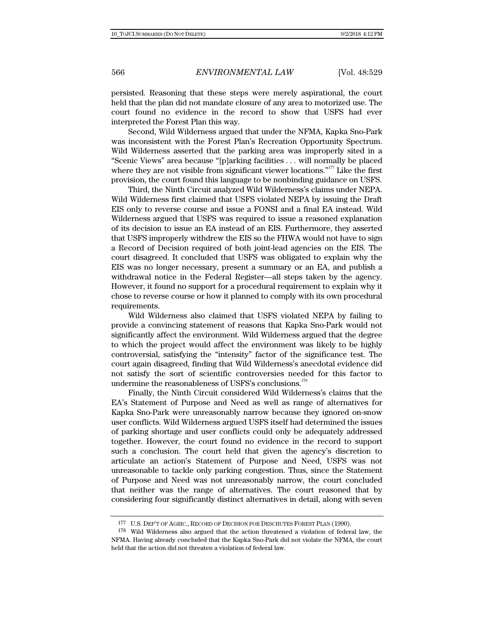persisted. Reasoning that these steps were merely aspirational, the court held that the plan did not mandate closure of any area to motorized use. The court found no evidence in the record to show that USFS had ever interpreted the Forest Plan this way.

Second, Wild Wilderness argued that under the NFMA, Kapka Sno-Park was inconsistent with the Forest Plan's Recreation Opportunity Spectrum. Wild Wilderness asserted that the parking area was improperly sited in a "Scenic Views" area because "[p]arking facilities . . . will normally be placed where they are not visible from significant viewer locations."<sup>177</sup> Like the first provision, the court found this language to be nonbinding guidance on USFS.

Third, the Ninth Circuit analyzed Wild Wilderness's claims under NEPA. Wild Wilderness first claimed that USFS violated NEPA by issuing the Draft EIS only to reverse course and issue a FONSI and a final EA instead. Wild Wilderness argued that USFS was required to issue a reasoned explanation of its decision to issue an EA instead of an EIS. Furthermore, they asserted that USFS improperly withdrew the EIS so the FHWA would not have to sign a Record of Decision required of both joint-lead agencies on the EIS. The court disagreed. It concluded that USFS was obligated to explain why the EIS was no longer necessary, present a summary or an EA, and publish a withdrawal notice in the Federal Register—all steps taken by the agency. However, it found no support for a procedural requirement to explain why it chose to reverse course or how it planned to comply with its own procedural requirements.

Wild Wilderness also claimed that USFS violated NEPA by failing to provide a convincing statement of reasons that Kapka Sno-Park would not significantly affect the environment. Wild Wilderness argued that the degree to which the project would affect the environment was likely to be highly controversial, satisfying the "intensity" factor of the significance test. The court again disagreed, finding that Wild Wilderness's anecdotal evidence did not satisfy the sort of scientific controversies needed for this factor to undermine the reasonableness of USFS's conclusions.<sup>178</sup>

Finally, the Ninth Circuit considered Wild Wilderness's claims that the EA's Statement of Purpose and Need as well as range of alternatives for Kapka Sno-Park were unreasonably narrow because they ignored on-snow user conflicts. Wild Wilderness argued USFS itself had determined the issues of parking shortage and user conflicts could only be adequately addressed together. However, the court found no evidence in the record to support such a conclusion. The court held that given the agency's discretion to articulate an action's Statement of Purpose and Need, USFS was not unreasonable to tackle only parking congestion. Thus, since the Statement of Purpose and Need was not unreasonably narrow, the court concluded that neither was the range of alternatives. The court reasoned that by considering four significantly distinct alternatives in detail, along with seven

<sup>177</sup> U.S. DEP'T OF AGRIC., RECORD OF DECISION FOR DESCHUTES FOREST PLAN (1990).

<sup>178</sup> Wild Wilderness also argued that the action threatened a violation of federal law, the NFMA. Having already concluded that the Kapka Sno-Park did not violate the NFMA, the court held that the action did not threaten a violation of federal law.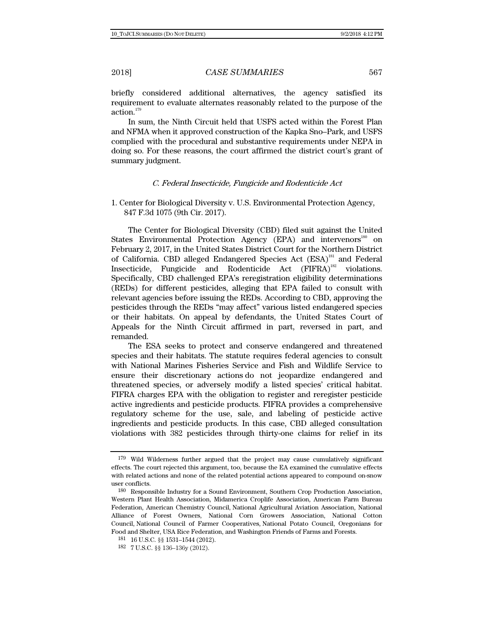briefly considered additional alternatives, the agency satisfied its requirement to evaluate alternates reasonably related to the purpose of the action.179

In sum, the Ninth Circuit held that USFS acted within the Forest Plan and NFMA when it approved construction of the Kapka Sno–Park, and USFS complied with the procedural and substantive requirements under NEPA in doing so. For these reasons, the court affirmed the district court's grant of summary judgment.

#### C. Federal Insecticide, Fungicide and Rodenticide Act

1. Center for Biological Diversity v. U.S. Environmental Protection Agency, 847 F.3d 1075 (9th Cir. 2017).

The Center for Biological Diversity (CBD) filed suit against the United States Environmental Protection Agency (EPA) and intervenors<sup>180</sup> on February 2, 2017, in the United States District Court for the Northern District of California. CBD alleged Endangered Species Act (ESA)<sup>181</sup> and Federal Insecticide, Fungicide and Rodenticide Act (FIFRA)<sup>182</sup> violations. Specifically, CBD challenged EPA's reregistration eligibility determinations (REDs) for different pesticides, alleging that EPA failed to consult with relevant agencies before issuing the REDs. According to CBD, approving the pesticides through the REDs "may affect" various listed endangered species or their habitats. On appeal by defendants, the United States Court of Appeals for the Ninth Circuit affirmed in part, reversed in part, and remanded.

The ESA seeks to protect and conserve endangered and threatened species and their habitats. The statute requires federal agencies to consult with National Marines Fisheries Service and Fish and Wildlife Service to ensure their discretionary actions do not jeopardize endangered and threatened species, or adversely modify a listed species' critical habitat. FIFRA charges EPA with the obligation to register and reregister pesticide active ingredients and pesticide products. FIFRA provides a comprehensive regulatory scheme for the use, sale, and labeling of pesticide active ingredients and pesticide products. In this case, CBD alleged consultation violations with 382 pesticides through thirty-one claims for relief in its

<sup>179</sup> Wild Wilderness further argued that the project may cause cumulatively significant effects. The court rejected this argument, too, because the EA examined the cumulative effects with related actions and none of the related potential actions appeared to compound on-snow user conflicts.

<sup>180</sup> Responsible Industry for a Sound Environment, Southern Crop Production Association, Western Plant Health Association, Midamerica Croplife Association, American Farm Bureau Federation, American Chemistry Council, National Agricultural Aviation Association, National Alliance of Forest Owners, National Corn Growers Association, National Cotton Council, National Council of Farmer Cooperatives, National Potato Council, Oregonians for Food and Shelter, USA Rice Federation, and Washington Friends of Farms and Forests.

<sup>181 16</sup> U.S.C. §§ 1531–1544 (2012).

<sup>182 7</sup> U.S.C. §§ 136–136y (2012).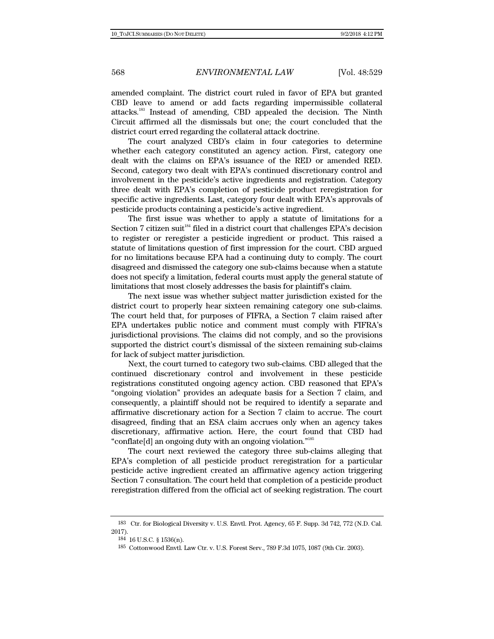amended complaint. The district court ruled in favor of EPA but granted CBD leave to amend or add facts regarding impermissible collateral attacks.183 Instead of amending, CBD appealed the decision. The Ninth Circuit affirmed all the dismissals but one; the court concluded that the district court erred regarding the collateral attack doctrine.

The court analyzed CBD's claim in four categories to determine whether each category constituted an agency action. First, category one dealt with the claims on EPA's issuance of the RED or amended RED. Second, category two dealt with EPA's continued discretionary control and involvement in the pesticide's active ingredients and registration. Category three dealt with EPA's completion of pesticide product reregistration for specific active ingredients. Last, category four dealt with EPA's approvals of pesticide products containing a pesticide's active ingredient.

The first issue was whether to apply a statute of limitations for a Section 7 citizen suit<sup>184</sup> filed in a district court that challenges EPA's decision to register or reregister a pesticide ingredient or product. This raised a statute of limitations question of first impression for the court. CBD argued for no limitations because EPA had a continuing duty to comply. The court disagreed and dismissed the category one sub-claims because when a statute does not specify a limitation, federal courts must apply the general statute of limitations that most closely addresses the basis for plaintiff's claim.

The next issue was whether subject matter jurisdiction existed for the district court to properly hear sixteen remaining category one sub-claims. The court held that, for purposes of FIFRA, a Section 7 claim raised after EPA undertakes public notice and comment must comply with FIFRA's jurisdictional provisions. The claims did not comply, and so the provisions supported the district court's dismissal of the sixteen remaining sub-claims for lack of subject matter jurisdiction.

Next, the court turned to category two sub-claims. CBD alleged that the continued discretionary control and involvement in these pesticide registrations constituted ongoing agency action. CBD reasoned that EPA's "ongoing violation" provides an adequate basis for a Section 7 claim, and consequently, a plaintiff should not be required to identify a separate and affirmative discretionary action for a Section 7 claim to accrue. The court disagreed, finding that an ESA claim accrues only when an agency takes discretionary, affirmative action. Here, the court found that CBD had "conflate[d] an ongoing duty with an ongoing violation."185

The court next reviewed the category three sub-claims alleging that EPA's completion of all pesticide product reregistration for a particular pesticide active ingredient created an affirmative agency action triggering Section 7 consultation. The court held that completion of a pesticide product reregistration differed from the official act of seeking registration. The court

<sup>183</sup> Ctr. for Biological Diversity v. U.S. Envtl. Prot. Agency, 65 F. Supp. 3d 742, 772 (N.D. Cal. 2017).

<sup>184 16</sup> U.S.C. § 1536(n).

<sup>185</sup> Cottonwood Envtl. Law Ctr. v. U.S. Forest Serv., 789 F.3d 1075, 1087 (9th Cir. 2003).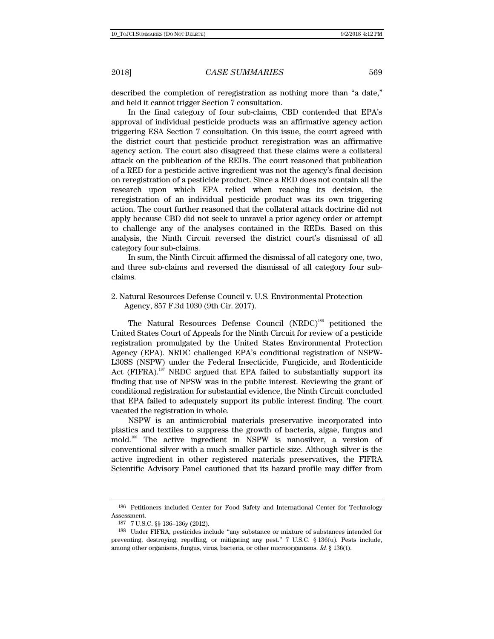described the completion of reregistration as nothing more than "a date," and held it cannot trigger Section 7 consultation.

In the final category of four sub-claims, CBD contended that EPA's approval of individual pesticide products was an affirmative agency action triggering ESA Section 7 consultation. On this issue, the court agreed with the district court that pesticide product reregistration was an affirmative agency action. The court also disagreed that these claims were a collateral attack on the publication of the REDs. The court reasoned that publication of a RED for a pesticide active ingredient was not the agency's final decision on reregistration of a pesticide product. Since a RED does not contain all the research upon which EPA relied when reaching its decision, the reregistration of an individual pesticide product was its own triggering action. The court further reasoned that the collateral attack doctrine did not apply because CBD did not seek to unravel a prior agency order or attempt to challenge any of the analyses contained in the REDs. Based on this analysis, the Ninth Circuit reversed the district court's dismissal of all category four sub-claims.

In sum, the Ninth Circuit affirmed the dismissal of all category one, two, and three sub-claims and reversed the dismissal of all category four subclaims.

2. Natural Resources Defense Council v. U.S. Environmental Protection Agency, 857 F.3d 1030 (9th Cir. 2017).

The Natural Resources Defense Council (NRDC)<sup>186</sup> petitioned the United States Court of Appeals for the Ninth Circuit for review of a pesticide registration promulgated by the United States Environmental Protection Agency (EPA). NRDC challenged EPA's conditional registration of NSPW-L30SS (NSPW) under the Federal Insecticide, Fungicide, and Rodenticide Act (FIFRA).<sup>187</sup> NRDC argued that EPA failed to substantially support its finding that use of NPSW was in the public interest. Reviewing the grant of conditional registration for substantial evidence, the Ninth Circuit concluded that EPA failed to adequately support its public interest finding. The court vacated the registration in whole.

NSPW is an antimicrobial materials preservative incorporated into plastics and textiles to suppress the growth of bacteria, algae, fungus and mold.188 The active ingredient in NSPW is nanosilver, a version of conventional silver with a much smaller particle size. Although silver is the active ingredient in other registered materials preservatives, the FIFRA Scientific Advisory Panel cautioned that its hazard profile may differ from

<sup>186</sup> Petitioners included Center for Food Safety and International Center for Technology Assessment.

<sup>187 7</sup> U.S.C. §§ 136–136y (2012).

<sup>188</sup> Under FIFRA, pesticides include ''any substance or mixture of substances intended for preventing, destroying, repelling, or mitigating any pest.'' 7 U.S.C. § 136(u). Pests include, among other organisms, fungus, virus, bacteria, or other microorganisms. Id. § 136(t).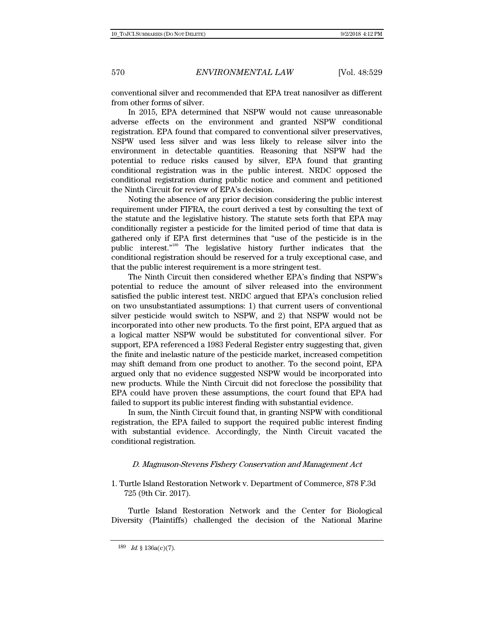conventional silver and recommended that EPA treat nanosilver as different from other forms of silver.

In 2015, EPA determined that NSPW would not cause unreasonable adverse effects on the environment and granted NSPW conditional registration. EPA found that compared to conventional silver preservatives, NSPW used less silver and was less likely to release silver into the environment in detectable quantities. Reasoning that NSPW had the potential to reduce risks caused by silver, EPA found that granting conditional registration was in the public interest. NRDC opposed the conditional registration during public notice and comment and petitioned the Ninth Circuit for review of EPA's decision.

Noting the absence of any prior decision considering the public interest requirement under FIFRA, the court derived a test by consulting the text of the statute and the legislative history. The statute sets forth that EPA may conditionally register a pesticide for the limited period of time that data is gathered only if EPA first determines that "use of the pesticide is in the public interest."189 The legislative history further indicates that the conditional registration should be reserved for a truly exceptional case, and that the public interest requirement is a more stringent test.

The Ninth Circuit then considered whether EPA's finding that NSPW's potential to reduce the amount of silver released into the environment satisfied the public interest test. NRDC argued that EPA's conclusion relied on two unsubstantiated assumptions: 1) that current users of conventional silver pesticide would switch to NSPW, and 2) that NSPW would not be incorporated into other new products. To the first point, EPA argued that as a logical matter NSPW would be substituted for conventional silver. For support, EPA referenced a 1983 Federal Register entry suggesting that, given the finite and inelastic nature of the pesticide market, increased competition may shift demand from one product to another. To the second point, EPA argued only that no evidence suggested NSPW would be incorporated into new products. While the Ninth Circuit did not foreclose the possibility that EPA could have proven these assumptions, the court found that EPA had failed to support its public interest finding with substantial evidence.

In sum, the Ninth Circuit found that, in granting NSPW with conditional registration, the EPA failed to support the required public interest finding with substantial evidence. Accordingly, the Ninth Circuit vacated the conditional registration.

## D. Magnuson-Stevens Fishery Conservation and Management Act

1. Turtle Island Restoration Network v. Department of Commerce, 878 F.3d 725 (9th Cir. 2017).

Turtle Island Restoration Network and the Center for Biological Diversity (Plaintiffs) challenged the decision of the National Marine

 $189$  *Id.* §  $136a(c)(7)$ .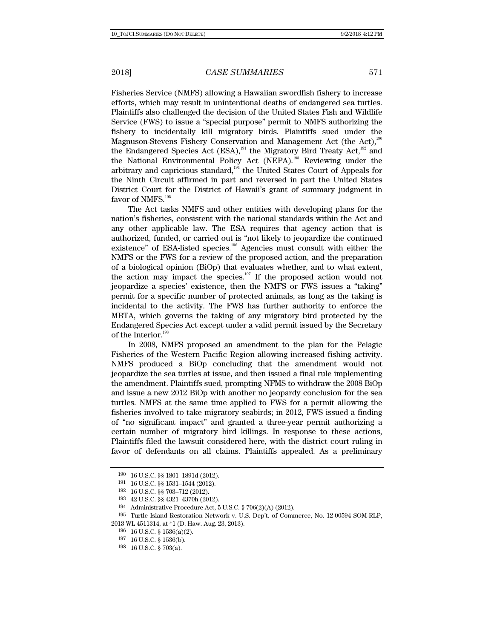Fisheries Service (NMFS) allowing a Hawaiian swordfish fishery to increase efforts, which may result in unintentional deaths of endangered sea turtles. Plaintiffs also challenged the decision of the United States Fish and Wildlife Service (FWS) to issue a "special purpose" permit to NMFS authorizing the fishery to incidentally kill migratory birds. Plaintiffs sued under the Magnuson-Stevens Fishery Conservation and Management Act (the Act),<sup>190</sup> the Endangered Species Act (ESA),<sup>191</sup> the Migratory Bird Treaty Act,<sup>192</sup> and the National Environmental Policy Act (NEPA).<sup>193</sup> Reviewing under the arbitrary and capricious standard,194 the United States Court of Appeals for the Ninth Circuit affirmed in part and reversed in part the United States District Court for the District of Hawaii's grant of summary judgment in favor of NMFS.<sup>195</sup>

The Act tasks NMFS and other entities with developing plans for the nation's fisheries, consistent with the national standards within the Act and any other applicable law. The ESA requires that agency action that is authorized, funded, or carried out is "not likely to jeopardize the continued existence" of ESA-listed species.<sup>196</sup> Agencies must consult with either the NMFS or the FWS for a review of the proposed action, and the preparation of a biological opinion (BiOp) that evaluates whether, and to what extent, the action may impact the species.<sup>197</sup> If the proposed action would not jeopardize a species' existence, then the NMFS or FWS issues a "taking" permit for a specific number of protected animals, as long as the taking is incidental to the activity. The FWS has further authority to enforce the MBTA, which governs the taking of any migratory bird protected by the Endangered Species Act except under a valid permit issued by the Secretary of the Interior.<sup>198</sup>

In 2008, NMFS proposed an amendment to the plan for the Pelagic Fisheries of the Western Pacific Region allowing increased fishing activity. NMFS produced a BiOp concluding that the amendment would not jeopardize the sea turtles at issue, and then issued a final rule implementing the amendment. Plaintiffs sued, prompting NFMS to withdraw the 2008 BiOp and issue a new 2012 BiOp with another no jeopardy conclusion for the sea turtles. NMFS at the same time applied to FWS for a permit allowing the fisheries involved to take migratory seabirds; in 2012, FWS issued a finding of "no significant impact" and granted a three-year permit authorizing a certain number of migratory bird killings. In response to these actions, Plaintiffs filed the lawsuit considered here, with the district court ruling in favor of defendants on all claims. Plaintiffs appealed. As a preliminary

<sup>190 16</sup> U.S.C. §§ 1801–1891d (2012).

<sup>191 16</sup> U.S.C. §§ 1531–1544 (2012).

<sup>192 16</sup> U.S.C. §§ 703–712 (2012).

<sup>193 42</sup> U.S.C. §§ 4321–4370h (2012).

<sup>194</sup> Administrative Procedure Act, 5 U.S.C. § 706(2)(A) (2012).

<sup>195</sup> Turtle Island Restoration Network v. U.S. Dep't. of Commerce, No. 12-00594 SOM-RLP, 2013 WL 4511314, at \*1 (D. Haw. Aug. 23, 2013).

<sup>196 16</sup> U.S.C. § 1536(a)(2).

<sup>197 16</sup> U.S.C. § 1536(b).

<sup>198 16</sup> U.S.C. § 703(a).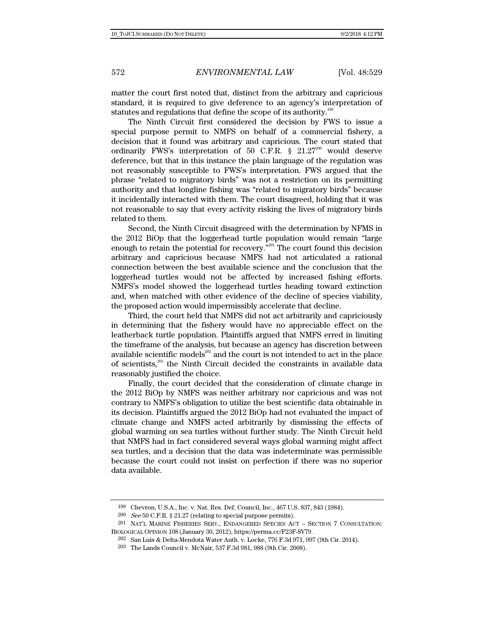matter the court first noted that, distinct from the arbitrary and capricious standard, it is required to give deference to an agency's interpretation of statutes and regulations that define the scope of its authority.<sup>199</sup>

The Ninth Circuit first considered the decision by FWS to issue a special purpose permit to NMFS on behalf of a commercial fishery, a decision that it found was arbitrary and capricious. The court stated that ordinarily FWS's interpretation of 50 C.F.R.  $\S$  21.27<sup>200</sup> would deserve deference, but that in this instance the plain language of the regulation was not reasonably susceptible to FWS's interpretation. FWS argued that the phrase "related to migratory birds" was not a restriction on its permitting authority and that longline fishing was "related to migratory birds" because it incidentally interacted with them. The court disagreed, holding that it was not reasonable to say that every activity risking the lives of migratory birds related to them.

Second, the Ninth Circuit disagreed with the determination by NFMS in the 2012 BiOp that the loggerhead turtle population would remain "large enough to retain the potential for recovery.<sup>"201</sup> The court found this decision arbitrary and capricious because NMFS had not articulated a rational connection between the best available science and the conclusion that the loggerhead turtles would not be affected by increased fishing efforts. NMFS's model showed the loggerhead turtles heading toward extinction and, when matched with other evidence of the decline of species viability, the proposed action would impermissibly accelerate that decline.

Third, the court held that NMFS did not act arbitrarily and capriciously in determining that the fishery would have no appreciable effect on the leatherback turtle population. Plaintiffs argued that NMFS erred in limiting the timeframe of the analysis, but because an agency has discretion between available scientific models $^{202}$  and the court is not intended to act in the place of scientists,203 the Ninth Circuit decided the constraints in available data reasonably justified the choice.

Finally, the court decided that the consideration of climate change in the 2012 BiOp by NMFS was neither arbitrary nor capricious and was not contrary to NMFS's obligation to utilize the best scientific data obtainable in its decision. Plaintiffs argued the 2012 BiOp had not evaluated the impact of climate change and NMFS acted arbitrarily by dismissing the effects of global warming on sea turtles without further study. The Ninth Circuit held that NMFS had in fact considered several ways global warming might affect sea turtles, and a decision that the data was indeterminate was permissible because the court could not insist on perfection if there was no superior data available.

<sup>199</sup> Chevron, U.S.A., Inc. v. Nat. Res. Def. Council, Inc., 467 U.S. 837, 843 (1984).

<sup>200</sup> See 50 C.F.R. § 21.27 (relating to special purpose permits).

<sup>201</sup> NAT'L MARINE FISHERIES SERV., ENDANGERED SPECIES ACT – SECTION 7 CONSULTATION: BIOLOGICAL OPINION 108 (January 30, 2012), https://perma.cc/F23F-8V79.

<sup>202</sup> San Luis & Delta-Mendota Water Auth. v. Locke, 776 F.3d 971, 997 (9th Cir. 2014).

<sup>203</sup> The Lands Council v. McNair, 537 F.3d 981, 988 (9th Cir. 2008).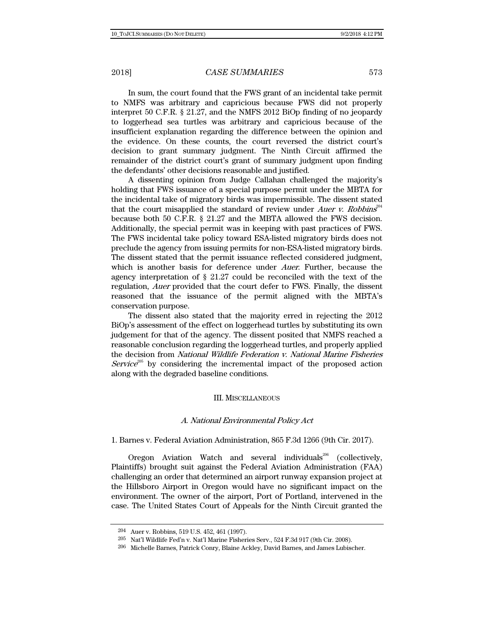In sum, the court found that the FWS grant of an incidental take permit to NMFS was arbitrary and capricious because FWS did not properly interpret 50 C.F.R. § 21.27, and the NMFS 2012 BiOp finding of no jeopardy to loggerhead sea turtles was arbitrary and capricious because of the insufficient explanation regarding the difference between the opinion and the evidence. On these counts, the court reversed the district court's decision to grant summary judgment. The Ninth Circuit affirmed the remainder of the district court's grant of summary judgment upon finding the defendants' other decisions reasonable and justified.

A dissenting opinion from Judge Callahan challenged the majority's holding that FWS issuance of a special purpose permit under the MBTA for the incidental take of migratory birds was impermissible. The dissent stated that the court misapplied the standard of review under Auer v. Robbins<sup>204</sup> because both 50 C.F.R. § 21.27 and the MBTA allowed the FWS decision. Additionally, the special permit was in keeping with past practices of FWS. The FWS incidental take policy toward ESA-listed migratory birds does not preclude the agency from issuing permits for non-ESA-listed migratory birds. The dissent stated that the permit issuance reflected considered judgment, which is another basis for deference under Auer. Further, because the agency interpretation of § 21.27 could be reconciled with the text of the regulation, Auer provided that the court defer to FWS. Finally, the dissent reasoned that the issuance of the permit aligned with the MBTA's conservation purpose.

The dissent also stated that the majority erred in rejecting the 2012 BiOp's assessment of the effect on loggerhead turtles by substituting its own judgement for that of the agency. The dissent posited that NMFS reached a reasonable conclusion regarding the loggerhead turtles, and properly applied the decision from National Wildlife Federation v. National Marine Fisheries Service<sup>205</sup> by considering the incremental impact of the proposed action along with the degraded baseline conditions.

#### III. MISCELLANEOUS

#### A. National Environmental Policy Act

1. Barnes v. Federal Aviation Administration, 865 F.3d 1266 (9th Cir. 2017).

Oregon Aviation Watch and several individuals $^{206}$  (collectively, Plaintiffs) brought suit against the Federal Aviation Administration (FAA) challenging an order that determined an airport runway expansion project at the Hillsboro Airport in Oregon would have no significant impact on the environment. The owner of the airport, Port of Portland, intervened in the case. The United States Court of Appeals for the Ninth Circuit granted the

<sup>204</sup> Auer v. Robbins, 519 U.S. 452, 461 (1997).

<sup>205</sup> Nat'l Wildlife Fed'n v. Nat'l Marine Fisheries Serv., 524 F.3d 917 (9th Cir. 2008).

<sup>206</sup> Michelle Barnes, Patrick Conry, Blaine Ackley, David Barnes, and James Lubischer.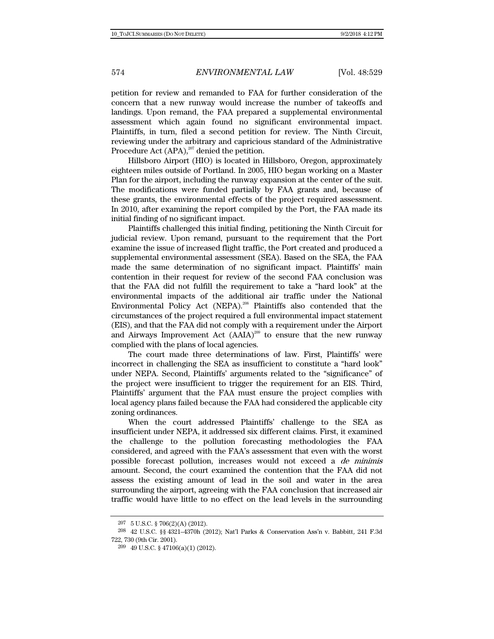petition for review and remanded to FAA for further consideration of the concern that a new runway would increase the number of takeoffs and landings. Upon remand, the FAA prepared a supplemental environmental assessment which again found no significant environmental impact. Plaintiffs, in turn, filed a second petition for review. The Ninth Circuit, reviewing under the arbitrary and capricious standard of the Administrative Procedure Act  $(APA)$ ,<sup>207</sup> denied the petition.

Hillsboro Airport (HIO) is located in Hillsboro, Oregon, approximately eighteen miles outside of Portland. In 2005, HIO began working on a Master Plan for the airport, including the runway expansion at the center of the suit. The modifications were funded partially by FAA grants and, because of these grants, the environmental effects of the project required assessment. In 2010, after examining the report compiled by the Port, the FAA made its initial finding of no significant impact.

Plaintiffs challenged this initial finding, petitioning the Ninth Circuit for judicial review. Upon remand, pursuant to the requirement that the Port examine the issue of increased flight traffic, the Port created and produced a supplemental environmental assessment (SEA). Based on the SEA, the FAA made the same determination of no significant impact. Plaintiffs' main contention in their request for review of the second FAA conclusion was that the FAA did not fulfill the requirement to take a "hard look" at the environmental impacts of the additional air traffic under the National Environmental Policy Act (NEPA).<sup>208</sup> Plaintiffs also contended that the circumstances of the project required a full environmental impact statement (EIS), and that the FAA did not comply with a requirement under the Airport and Airways Improvement Act  $(AAIA)^{209}$  to ensure that the new runway complied with the plans of local agencies.

The court made three determinations of law. First, Plaintiffs' were incorrect in challenging the SEA as insufficient to constitute a "hard look" under NEPA. Second, Plaintiffs' arguments related to the "significance" of the project were insufficient to trigger the requirement for an EIS. Third, Plaintiffs' argument that the FAA must ensure the project complies with local agency plans failed because the FAA had considered the applicable city zoning ordinances.

When the court addressed Plaintiffs' challenge to the SEA as insufficient under NEPA, it addressed six different claims. First, it examined the challenge to the pollution forecasting methodologies the FAA considered, and agreed with the FAA's assessment that even with the worst possible forecast pollution, increases would not exceed a de minimis amount. Second, the court examined the contention that the FAA did not assess the existing amount of lead in the soil and water in the area surrounding the airport, agreeing with the FAA conclusion that increased air traffic would have little to no effect on the lead levels in the surrounding

<sup>207 5</sup> U.S.C. § 706(2)(A) (2012).

<sup>208 42</sup> U.S.C. §§ 4321–4370h (2012); Nat'l Parks & Conservation Ass'n v. Babbitt, 241 F.3d 722, 730 (9th Cir. 2001).

<sup>209 49</sup> U.S.C. § 47106(a)(1) (2012).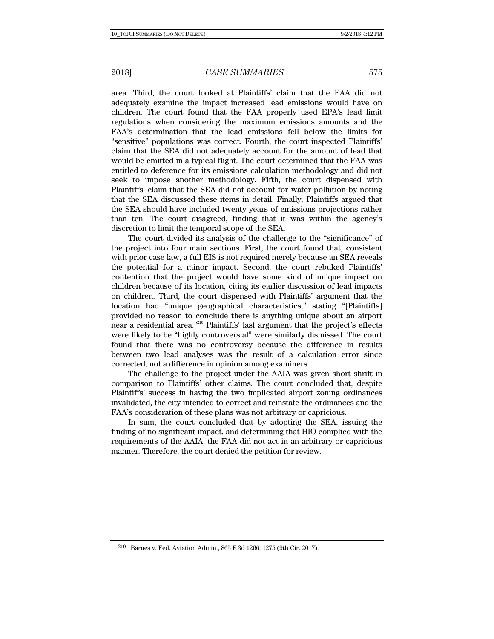area. Third, the court looked at Plaintiffs' claim that the FAA did not adequately examine the impact increased lead emissions would have on children. The court found that the FAA properly used EPA's lead limit regulations when considering the maximum emissions amounts and the FAA's determination that the lead emissions fell below the limits for "sensitive" populations was correct. Fourth, the court inspected Plaintiffs' claim that the SEA did not adequately account for the amount of lead that would be emitted in a typical flight. The court determined that the FAA was entitled to deference for its emissions calculation methodology and did not seek to impose another methodology. Fifth, the court dispensed with Plaintiffs' claim that the SEA did not account for water pollution by noting that the SEA discussed these items in detail. Finally, Plaintiffs argued that the SEA should have included twenty years of emissions projections rather than ten. The court disagreed, finding that it was within the agency's discretion to limit the temporal scope of the SEA.

The court divided its analysis of the challenge to the "significance" of the project into four main sections. First, the court found that, consistent with prior case law, a full EIS is not required merely because an SEA reveals the potential for a minor impact. Second, the court rebuked Plaintiffs' contention that the project would have some kind of unique impact on children because of its location, citing its earlier discussion of lead impacts on children. Third, the court dispensed with Plaintiffs' argument that the location had "unique geographical characteristics," stating "[Plaintiffs] provided no reason to conclude there is anything unique about an airport near a residential area."210 Plaintiffs' last argument that the project's effects were likely to be "highly controversial" were similarly dismissed. The court found that there was no controversy because the difference in results between two lead analyses was the result of a calculation error since corrected, not a difference in opinion among examiners.

The challenge to the project under the AAIA was given short shrift in comparison to Plaintiffs' other claims. The court concluded that, despite Plaintiffs' success in having the two implicated airport zoning ordinances invalidated, the city intended to correct and reinstate the ordinances and the FAA's consideration of these plans was not arbitrary or capricious.

In sum, the court concluded that by adopting the SEA, issuing the finding of no significant impact, and determining that HIO complied with the requirements of the AAIA, the FAA did not act in an arbitrary or capricious manner. Therefore, the court denied the petition for review.

<sup>210</sup> Barnes v. Fed. Aviation Admin., 865 F.3d 1266, 1275 (9th Cir. 2017).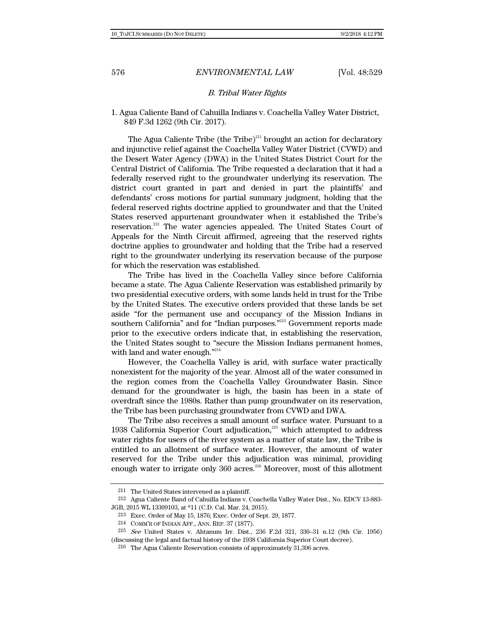#### B. Tribal Water Rights

1. Agua Caliente Band of Cahuilla Indians v. Coachella Valley Water District, 849 F.3d 1262 (9th Cir. 2017).

The Agua Caliente Tribe (the Tribe)<sup>211</sup> brought an action for declaratory and injunctive relief against the Coachella Valley Water District (CVWD) and the Desert Water Agency (DWA) in the United States District Court for the Central District of California. The Tribe requested a declaration that it had a federally reserved right to the groundwater underlying its reservation. The district court granted in part and denied in part the plaintiffs' and defendants' cross motions for partial summary judgment, holding that the federal reserved rights doctrine applied to groundwater and that the United States reserved appurtenant groundwater when it established the Tribe's reservation.212 The water agencies appealed. The United States Court of Appeals for the Ninth Circuit affirmed, agreeing that the reserved rights doctrine applies to groundwater and holding that the Tribe had a reserved right to the groundwater underlying its reservation because of the purpose for which the reservation was established.

The Tribe has lived in the Coachella Valley since before California became a state. The Agua Caliente Reservation was established primarily by two presidential executive orders, with some lands held in trust for the Tribe by the United States. The executive orders provided that these lands be set aside "for the permanent use and occupancy of the Mission Indians in southern California" and for "Indian purposes."<sup>213</sup> Government reports made prior to the executive orders indicate that, in establishing the reservation, the United States sought to "secure the Mission Indians permanent homes, with land and water enough."<sup>214</sup>

However, the Coachella Valley is arid, with surface water practically nonexistent for the majority of the year. Almost all of the water consumed in the region comes from the Coachella Valley Groundwater Basin. Since demand for the groundwater is high, the basin has been in a state of overdraft since the 1980s. Rather than pump groundwater on its reservation, the Tribe has been purchasing groundwater from CVWD and DWA.

The Tribe also receives a small amount of surface water. Pursuant to a 1938 California Superior Court adjudication, $215$  which attempted to address water rights for users of the river system as a matter of state law, the Tribe is entitled to an allotment of surface water. However, the amount of water reserved for the Tribe under this adjudication was minimal, providing enough water to irrigate only 360 acres.<sup>216</sup> Moreover, most of this allotment

<sup>211</sup> The United States intervened as a plaintiff.

<sup>212</sup> Agua Caliente Band of Cahuilla Indians v. Coachella Valley Water Dist., No. EDCV 13-883- JGB, 2015 WL 13309103, at \*11 (C.D. Cal. Mar. 24, 2015).

<sup>213</sup> Exec. Order of May 15, 1876; Exec. Order of Sept. 29, 1877.

<sup>214</sup> COMM'R OF INDIAN AFF., ANN. REP. 37 (1877).

<sup>215</sup> See United States v. Ahtanum Irr. Dist., 236 F.2d 321, 330–31 n.12 (9th Cir. 1956) (discussing the legal and factual history of the 1938 California Superior Court decree).

 $216$  The Agua Caliente Reservation consists of approximately 31,396 acres.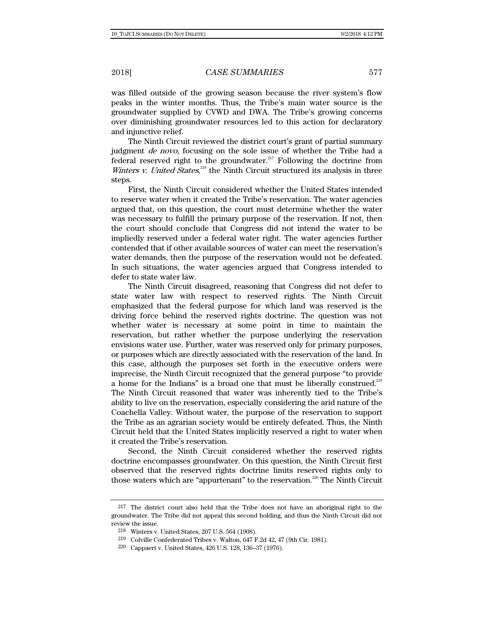was filled outside of the growing season because the river system's flow peaks in the winter months. Thus, the Tribe's main water source is the groundwater supplied by CVWD and DWA. The Tribe's growing concerns over diminishing groundwater resources led to this action for declaratory and injunctive relief.

The Ninth Circuit reviewed the district court's grant of partial summary judgment de novo, focusing on the sole issue of whether the Tribe had a federal reserved right to the groundwater.<sup>217</sup> Following the doctrine from Winters v. United States, $^{218}$  the Ninth Circuit structured its analysis in three steps.

First, the Ninth Circuit considered whether the United States intended to reserve water when it created the Tribe's reservation. The water agencies argued that, on this question, the court must determine whether the water was necessary to fulfill the primary purpose of the reservation. If not, then the court should conclude that Congress did not intend the water to be impliedly reserved under a federal water right. The water agencies further contended that if other available sources of water can meet the reservation's water demands, then the purpose of the reservation would not be defeated. In such situations, the water agencies argued that Congress intended to defer to state water law.

The Ninth Circuit disagreed, reasoning that Congress did not defer to state water law with respect to reserved rights. The Ninth Circuit emphasized that the federal purpose for which land was reserved is the driving force behind the reserved rights doctrine. The question was not whether water is necessary at some point in time to maintain the reservation, but rather whether the purpose underlying the reservation envisions water use. Further, water was reserved only for primary purposes, or purposes which are directly associated with the reservation of the land. In this case, although the purposes set forth in the executive orders were imprecise, the Ninth Circuit recognized that the general purpose "to provide a home for the Indians" is a broad one that must be liberally construed.<sup>219</sup> The Ninth Circuit reasoned that water was inherently tied to the Tribe's ability to live on the reservation, especially considering the arid nature of the Coachella Valley. Without water, the purpose of the reservation to support the Tribe as an agrarian society would be entirely defeated. Thus, the Ninth Circuit held that the United States implicitly reserved a right to water when it created the Tribe's reservation.

Second, the Ninth Circuit considered whether the reserved rights doctrine encompasses groundwater. On this question, the Ninth Circuit first observed that the reserved rights doctrine limits reserved rights only to those waters which are "appurtenant" to the reservation.<sup>220</sup> The Ninth Circuit

<sup>217</sup> The district court also held that the Tribe does not have an aboriginal right to the groundwater. The Tribe did not appeal this second holding, and thus the Ninth Circuit did not review the issue.

<sup>218</sup> Winters v. United States, 207 U.S. 564 (1908).

<sup>219</sup> Colville Confederated Tribes v. Walton, 647 F.2d 42, 47 (9th Cir. 1981).

<sup>220</sup> Cappaert v. United States, 426 U.S. 128, 136–37 (1976).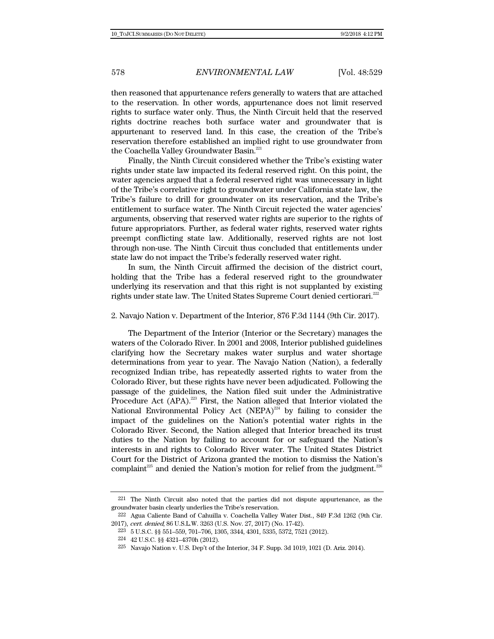then reasoned that appurtenance refers generally to waters that are attached to the reservation. In other words, appurtenance does not limit reserved rights to surface water only. Thus, the Ninth Circuit held that the reserved rights doctrine reaches both surface water and groundwater that is appurtenant to reserved land. In this case, the creation of the Tribe's reservation therefore established an implied right to use groundwater from the Coachella Valley Groundwater Basin.<sup>221</sup>

Finally, the Ninth Circuit considered whether the Tribe's existing water rights under state law impacted its federal reserved right. On this point, the water agencies argued that a federal reserved right was unnecessary in light of the Tribe's correlative right to groundwater under California state law, the Tribe's failure to drill for groundwater on its reservation, and the Tribe's entitlement to surface water. The Ninth Circuit rejected the water agencies' arguments, observing that reserved water rights are superior to the rights of future appropriators. Further, as federal water rights, reserved water rights preempt conflicting state law. Additionally, reserved rights are not lost through non-use. The Ninth Circuit thus concluded that entitlements under state law do not impact the Tribe's federally reserved water right.

In sum, the Ninth Circuit affirmed the decision of the district court, holding that the Tribe has a federal reserved right to the groundwater underlying its reservation and that this right is not supplanted by existing rights under state law. The United States Supreme Court denied certiorari.<sup>222</sup>

## 2. Navajo Nation v. Department of the Interior, 876 F.3d 1144 (9th Cir. 2017).

The Department of the Interior (Interior or the Secretary) manages the waters of the Colorado River. In 2001 and 2008, Interior published guidelines clarifying how the Secretary makes water surplus and water shortage determinations from year to year. The Navajo Nation (Nation), a federally recognized Indian tribe, has repeatedly asserted rights to water from the Colorado River, but these rights have never been adjudicated. Following the passage of the guidelines, the Nation filed suit under the Administrative Procedure Act  $(APA)$ <sup>223</sup> First, the Nation alleged that Interior violated the National Environmental Policy Act  $(NEPA)^{224}$  by failing to consider the impact of the guidelines on the Nation's potential water rights in the Colorado River. Second, the Nation alleged that Interior breached its trust duties to the Nation by failing to account for or safeguard the Nation's interests in and rights to Colorado River water. The United States District Court for the District of Arizona granted the motion to dismiss the Nation's complaint<sup>225</sup> and denied the Nation's motion for relief from the judgment.<sup>226</sup>

<sup>221</sup> The Ninth Circuit also noted that the parties did not dispute appurtenance, as the groundwater basin clearly underlies the Tribe's reservation.

<sup>222</sup> Agua Caliente Band of Cahuilla v. Coachella Valley Water Dist., 849 F.3d 1262 (9th Cir. 2017), cert. denied, 86 U.S.L.W. 3263 (U.S. Nov. 27, 2017) (No. 17-42).

<sup>223 5</sup> U.S.C. §§ 551–559, 701–706, 1305, 3344, 4301, 5335, 5372, 7521 (2012).

<sup>224 42</sup> U.S.C. §§ 4321–4370h (2012).

 $225$  Navajo Nation v. U.S. Dep't of the Interior,  $34$  F. Supp. 3d 1019, 1021 (D. Ariz. 2014).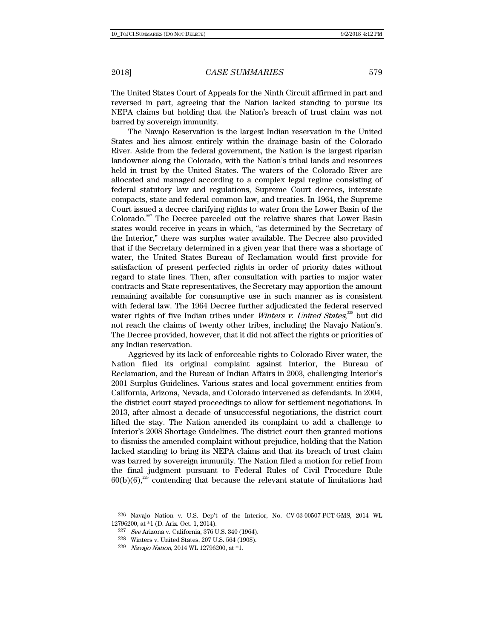The United States Court of Appeals for the Ninth Circuit affirmed in part and reversed in part, agreeing that the Nation lacked standing to pursue its NEPA claims but holding that the Nation's breach of trust claim was not barred by sovereign immunity.

The Navajo Reservation is the largest Indian reservation in the United States and lies almost entirely within the drainage basin of the Colorado River. Aside from the federal government, the Nation is the largest riparian landowner along the Colorado, with the Nation's tribal lands and resources held in trust by the United States. The waters of the Colorado River are allocated and managed according to a complex legal regime consisting of federal statutory law and regulations, Supreme Court decrees, interstate compacts, state and federal common law, and treaties. In 1964, the Supreme Court issued a decree clarifying rights to water from the Lower Basin of the Colorado.<sup>227</sup> The Decree parceled out the relative shares that Lower Basin states would receive in years in which, "as determined by the Secretary of the Interior," there was surplus water available. The Decree also provided that if the Secretary determined in a given year that there was a shortage of water, the United States Bureau of Reclamation would first provide for satisfaction of present perfected rights in order of priority dates without regard to state lines. Then, after consultation with parties to major water contracts and State representatives, the Secretary may apportion the amount remaining available for consumptive use in such manner as is consistent with federal law. The 1964 Decree further adjudicated the federal reserved water rights of five Indian tribes under *Winters v. United States*,<sup>228</sup> but did not reach the claims of twenty other tribes, including the Navajo Nation's. The Decree provided, however, that it did not affect the rights or priorities of any Indian reservation.

Aggrieved by its lack of enforceable rights to Colorado River water, the Nation filed its original complaint against Interior, the Bureau of Reclamation, and the Bureau of Indian Affairs in 2003, challenging Interior's 2001 Surplus Guidelines. Various states and local government entities from California, Arizona, Nevada, and Colorado intervened as defendants. In 2004, the district court stayed proceedings to allow for settlement negotiations. In 2013, after almost a decade of unsuccessful negotiations, the district court lifted the stay. The Nation amended its complaint to add a challenge to Interior's 2008 Shortage Guidelines. The district court then granted motions to dismiss the amended complaint without prejudice, holding that the Nation lacked standing to bring its NEPA claims and that its breach of trust claim was barred by sovereign immunity. The Nation filed a motion for relief from the final judgment pursuant to Federal Rules of Civil Procedure Rule  $60(b)(6)$ ,<sup>229</sup> contending that because the relevant statute of limitations had

<sup>226</sup> Navajo Nation v. U.S. Dep't of the Interior, No. CV-03-00507-PCT-GMS, 2014 WL 12796200, at \*1 (D. Ariz. Oct. 1, 2014).

<sup>227</sup> See Arizona v. California, 376 U.S. 340 (1964).

<sup>228</sup> Winters v. United States, 207 U.S. 564 (1908).

 $229$  *Navajo Nation*, 2014 WL 12796200, at \*1.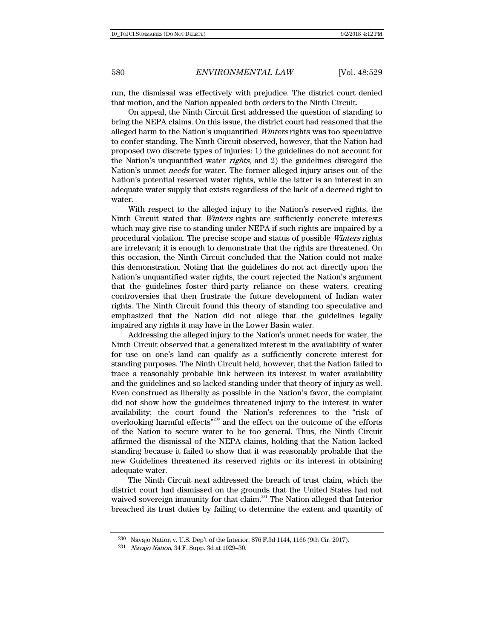run, the dismissal was effectively with prejudice. The district court denied that motion, and the Nation appealed both orders to the Ninth Circuit.

On appeal, the Ninth Circuit first addressed the question of standing to bring the NEPA claims. On this issue, the district court had reasoned that the alleged harm to the Nation's unquantified Winters rights was too speculative to confer standing. The Ninth Circuit observed, however, that the Nation had proposed two discrete types of injuries: 1) the guidelines do not account for the Nation's unquantified water rights, and 2) the guidelines disregard the Nation's unmet needs for water. The former alleged injury arises out of the Nation's potential reserved water rights, while the latter is an interest in an adequate water supply that exists regardless of the lack of a decreed right to water.

With respect to the alleged injury to the Nation's reserved rights, the Ninth Circuit stated that Winters rights are sufficiently concrete interests which may give rise to standing under NEPA if such rights are impaired by a procedural violation. The precise scope and status of possible Winters rights are irrelevant; it is enough to demonstrate that the rights are threatened. On this occasion, the Ninth Circuit concluded that the Nation could not make this demonstration. Noting that the guidelines do not act directly upon the Nation's unquantified water rights, the court rejected the Nation's argument that the guidelines foster third-party reliance on these waters, creating controversies that then frustrate the future development of Indian water rights. The Ninth Circuit found this theory of standing too speculative and emphasized that the Nation did not allege that the guidelines legally impaired any rights it may have in the Lower Basin water.

Addressing the alleged injury to the Nation's unmet needs for water, the Ninth Circuit observed that a generalized interest in the availability of water for use on one's land can qualify as a sufficiently concrete interest for standing purposes. The Ninth Circuit held, however, that the Nation failed to trace a reasonably probable link between its interest in water availability and the guidelines and so lacked standing under that theory of injury as well. Even construed as liberally as possible in the Nation's favor, the complaint did not show how the guidelines threatened injury to the interest in water availability; the court found the Nation's references to the "risk of overlooking harmful effects"230 and the effect on the outcome of the efforts of the Nation to secure water to be too general. Thus, the Ninth Circuit affirmed the dismissal of the NEPA claims, holding that the Nation lacked standing because it failed to show that it was reasonably probable that the new Guidelines threatened its reserved rights or its interest in obtaining adequate water.

The Ninth Circuit next addressed the breach of trust claim, which the district court had dismissed on the grounds that the United States had not waived sovereign immunity for that claim.<sup>231</sup> The Nation alleged that Interior breached its trust duties by failing to determine the extent and quantity of

<sup>230</sup> Navajo Nation v. U.S. Dep't of the Interior, 876 F.3d 1144, 1166 (9th Cir. 2017).

<sup>&</sup>lt;sup>231</sup> *Navajo Nation*, 34 F. Supp. 3d at 1029–30.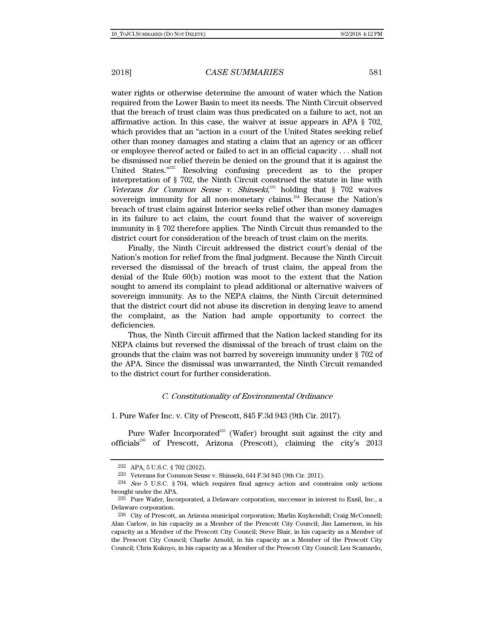water rights or otherwise determine the amount of water which the Nation required from the Lower Basin to meet its needs. The Ninth Circuit observed that the breach of trust claim was thus predicated on a failure to act, not an affirmative action. In this case, the waiver at issue appears in APA § 702, which provides that an "action in a court of the United States seeking relief other than money damages and stating a claim that an agency or an officer or employee thereof acted or failed to act in an official capacity . . . shall not be dismissed nor relief therein be denied on the ground that it is against the United States."232 Resolving confusing precedent as to the proper interpretation of § 702, the Ninth Circuit construed the statute in line with Veterans for Common Sense v. Shinseki, $233$  holding that § 702 waives sovereign immunity for all non-monetary claims.<sup>234</sup> Because the Nation's breach of trust claim against Interior seeks relief other than money damages in its failure to act claim, the court found that the waiver of sovereign immunity in § 702 therefore applies. The Ninth Circuit thus remanded to the district court for consideration of the breach of trust claim on the merits.

Finally, the Ninth Circuit addressed the district court's denial of the Nation's motion for relief from the final judgment. Because the Ninth Circuit reversed the dismissal of the breach of trust claim, the appeal from the denial of the Rule 60(b) motion was moot to the extent that the Nation sought to amend its complaint to plead additional or alternative waivers of sovereign immunity. As to the NEPA claims, the Ninth Circuit determined that the district court did not abuse its discretion in denying leave to amend the complaint, as the Nation had ample opportunity to correct the deficiencies.

Thus, the Ninth Circuit affirmed that the Nation lacked standing for its NEPA claims but reversed the dismissal of the breach of trust claim on the grounds that the claim was not barred by sovereign immunity under § 702 of the APA. Since the dismissal was unwarranted, the Ninth Circuit remanded to the district court for further consideration.

### C. Constitutionality of Environmental Ordinance

1. Pure Wafer Inc. v. City of Prescott, 845 F.3d 943 (9th Cir. 2017).

Pure Wafer Incorporated<sup>235</sup> (Wafer) brought suit against the city and officials<sup>236</sup> of Prescott, Arizona (Prescott), claiming the city's  $2013$ 

<sup>232</sup> APA, 5 U.S.C. § 702 (2012).

<sup>233</sup> Veterans for Common Sense v. Shinseki, 644 F.3d 845 (9th Cir. 2011).

<sup>234</sup> See 5 U.S.C. § 704, which requires final agency action and constrains only actions brought under the APA.

<sup>235</sup> Pure Wafer, Incorporated, a Delaware corporation, successor in interest to Exsil, Inc., a Delaware corporation.

<sup>236</sup> City of Prescott, an Arizona municipal corporation; Marlin Kuykendall; Craig McConnell; Alan Carlow, in his capacity as a Member of the Prescott City Council; Jim Lamerson, in his capacity as a Member of the Prescott City Council; Steve Blair, in his capacity as a Member of the Prescott City Council; Charlie Arnold, in his capacity as a Member of the Prescott City Council; Chris Kuknyo, in his capacity as a Member of the Prescott City Council; Len Scamardo,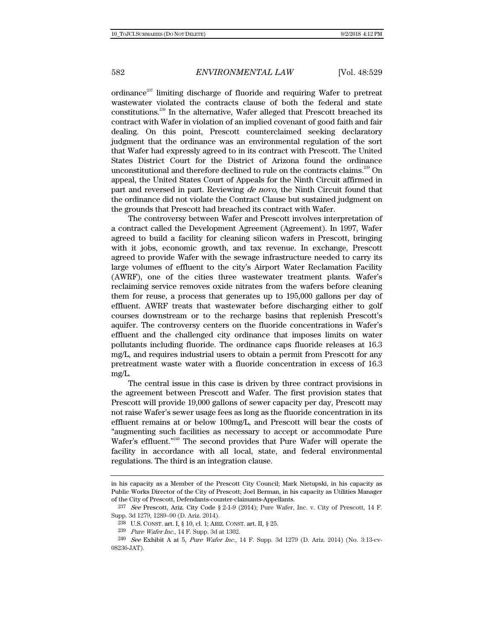ordinance $^{237}$  limiting discharge of fluoride and requiring Wafer to pretreat wastewater violated the contracts clause of both the federal and state constitutions.238 In the alternative, Wafer alleged that Prescott breached its contract with Wafer in violation of an implied covenant of good faith and fair dealing. On this point, Prescott counterclaimed seeking declaratory judgment that the ordinance was an environmental regulation of the sort that Wafer had expressly agreed to in its contract with Prescott. The United States District Court for the District of Arizona found the ordinance unconstitutional and therefore declined to rule on the contracts claims.<sup>239</sup> On appeal, the United States Court of Appeals for the Ninth Circuit affirmed in part and reversed in part. Reviewing de novo, the Ninth Circuit found that the ordinance did not violate the Contract Clause but sustained judgment on the grounds that Prescott had breached its contract with Wafer.

The controversy between Wafer and Prescott involves interpretation of a contract called the Development Agreement (Agreement). In 1997, Wafer agreed to build a facility for cleaning silicon wafers in Prescott, bringing with it jobs, economic growth, and tax revenue. In exchange, Prescott agreed to provide Wafer with the sewage infrastructure needed to carry its large volumes of effluent to the city's Airport Water Reclamation Facility (AWRF), one of the cities three wastewater treatment plants. Wafer's reclaiming service removes oxide nitrates from the wafers before cleaning them for reuse, a process that generates up to 195,000 gallons per day of effluent. AWRF treats that wastewater before discharging either to golf courses downstream or to the recharge basins that replenish Prescott's aquifer. The controversy centers on the fluoride concentrations in Wafer's effluent and the challenged city ordinance that imposes limits on water pollutants including fluoride. The ordinance caps fluoride releases at 16.3 mg/L, and requires industrial users to obtain a permit from Prescott for any pretreatment waste water with a fluoride concentration in excess of 16.3 mg/L.

The central issue in this case is driven by three contract provisions in the agreement between Prescott and Wafer. The first provision states that Prescott will provide 19,000 gallons of sewer capacity per day, Prescott may not raise Wafer's sewer usage fees as long as the fluoride concentration in its effluent remains at or below 100mg/L, and Prescott will bear the costs of "augmenting such facilities as necessary to accept or accommodate Pure Wafer's effluent.<sup>"240</sup> The second provides that Pure Wafer will operate the facility in accordance with all local, state, and federal environmental regulations. The third is an integration clause.

in his capacity as a Member of the Prescott City Council; Mark Nietupski, in his capacity as Public Works Director of the City of Prescott; Joel Berman, in his capacity as Utilities Manager of the City of Prescott, Defendants-counter-claimants-Appellants.

<sup>237</sup> See Prescott, Ariz. City Code § 2-1-9 (2014); Pure Wafer, Inc. v. City of Prescott, 14 F. Supp. 3d 1279, 1289–90 (D. Ariz. 2014).

<sup>238</sup> U.S. CONST. art. I, § 10, cl. 1; ARIZ. CONST. art. II, § 25.

<sup>239</sup> Pure Wafer Inc., 14 F. Supp. 3d at 1302.

 $240$  See Exhibit A at 5, Pure Wafer Inc., 14 F. Supp. 3d 1279 (D. Ariz. 2014) (No. 3:13-cv-08236-JAT).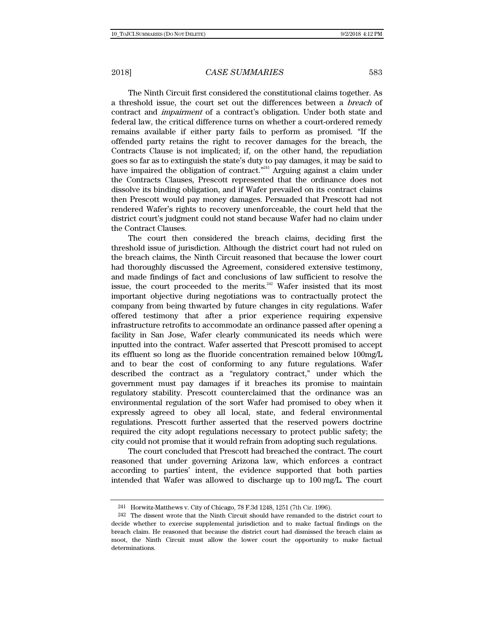The Ninth Circuit first considered the constitutional claims together. As a threshold issue, the court set out the differences between a breach of contract and impairment of a contract's obligation. Under both state and federal law, the critical difference turns on whether a court-ordered remedy remains available if either party fails to perform as promised. "If the offended party retains the right to recover damages for the breach, the Contracts Clause is not implicated; if, on the other hand, the repudiation goes so far as to extinguish the state's duty to pay damages, it may be said to have impaired the obligation of contract."<sup>241</sup> Arguing against a claim under the Contracts Clauses, Prescott represented that the ordinance does not dissolve its binding obligation, and if Wafer prevailed on its contract claims then Prescott would pay money damages. Persuaded that Prescott had not rendered Wafer's rights to recovery unenforceable, the court held that the district court's judgment could not stand because Wafer had no claim under the Contract Clauses.

The court then considered the breach claims, deciding first the threshold issue of jurisdiction. Although the district court had not ruled on the breach claims, the Ninth Circuit reasoned that because the lower court had thoroughly discussed the Agreement, considered extensive testimony, and made findings of fact and conclusions of law sufficient to resolve the issue, the court proceeded to the merits.<sup>242</sup> Wafer insisted that its most important objective during negotiations was to contractually protect the company from being thwarted by future changes in city regulations. Wafer offered testimony that after a prior experience requiring expensive infrastructure retrofits to accommodate an ordinance passed after opening a facility in San Jose, Wafer clearly communicated its needs which were inputted into the contract. Wafer asserted that Prescott promised to accept its effluent so long as the fluoride concentration remained below 100mg/L and to bear the cost of conforming to any future regulations. Wafer described the contract as a "regulatory contract," under which the government must pay damages if it breaches its promise to maintain regulatory stability. Prescott counterclaimed that the ordinance was an environmental regulation of the sort Wafer had promised to obey when it expressly agreed to obey all local, state, and federal environmental regulations. Prescott further asserted that the reserved powers doctrine required the city adopt regulations necessary to protect public safety; the city could not promise that it would refrain from adopting such regulations.

The court concluded that Prescott had breached the contract. The court reasoned that under governing Arizona law, which enforces a contract according to parties' intent, the evidence supported that both parties intended that Wafer was allowed to discharge up to 100 mg/L. The court

<sup>241</sup> Horwitz-Matthews v. City of Chicago, 78 F.3d 1248, 1251 (7th Cir. 1996).

<sup>242</sup> The dissent wrote that the Ninth Circuit should have remanded to the district court to decide whether to exercise supplemental jurisdiction and to make factual findings on the breach claim. He reasoned that because the district court had dismissed the breach claim as moot, the Ninth Circuit must allow the lower court the opportunity to make factual determinations.